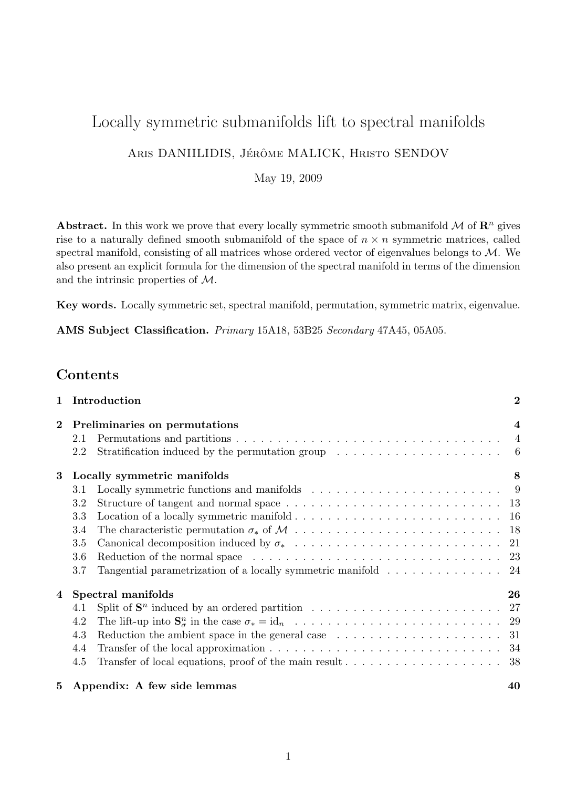# Locally symmetric submanifolds lift to spectral manifolds

ARIS DANIILIDIS, JÉRÔME MALICK, HRISTO SENDOV

May 19, 2009

**Abstract.** In this work we prove that every locally symmetric smooth submanifold M of  $\mathbb{R}^n$  gives rise to a naturally defined smooth submanifold of the space of  $n \times n$  symmetric matrices, called spectral manifold, consisting of all matrices whose ordered vector of eigenvalues belongs to  $M$ . We also present an explicit formula for the dimension of the spectral manifold in terms of the dimension and the intrinsic properties of M.

Key words. Locally symmetric set, spectral manifold, permutation, symmetric matrix, eigenvalue.

AMS Subject Classification. Primary 15A18, 53B25 Secondary 47A45, 05A05.

## Contents

|              |                             | 1 Introduction                                                                                    | $\bf{2}$ |
|--------------|-----------------------------|---------------------------------------------------------------------------------------------------|----------|
| $\mathbf{2}$ |                             | Preliminaries on permutations                                                                     |          |
|              | 2.1                         |                                                                                                   |          |
|              | 2.2                         | Stratification induced by the permutation group $\ldots \ldots \ldots \ldots \ldots \ldots$       |          |
| 3            | Locally symmetric manifolds |                                                                                                   | 8        |
|              | 3.1                         | Locally symmetric functions and manifolds $\dots \dots \dots \dots \dots \dots \dots \dots \dots$ |          |
|              | $3.2\,$                     |                                                                                                   |          |
|              | 3.3                         |                                                                                                   |          |
|              | 3.4                         |                                                                                                   |          |
|              | 3.5                         |                                                                                                   |          |
|              | 3.6                         |                                                                                                   |          |
|              | 3.7                         | Tangential parametrization of a locally symmetric manifold $\dots \dots \dots \dots \dots$        |          |
| 4            |                             | Spectral manifolds                                                                                | 26       |
|              | 4.1                         |                                                                                                   |          |
|              | 4.2                         |                                                                                                   |          |
|              | 4.3                         | Reduction the ambient space in the general case $\dots \dots \dots \dots \dots \dots \dots \dots$ |          |
|              | 4.4                         |                                                                                                   |          |
|              | 4.5                         |                                                                                                   |          |
|              |                             |                                                                                                   |          |

#### 5 Appendix: A few side lemmas 40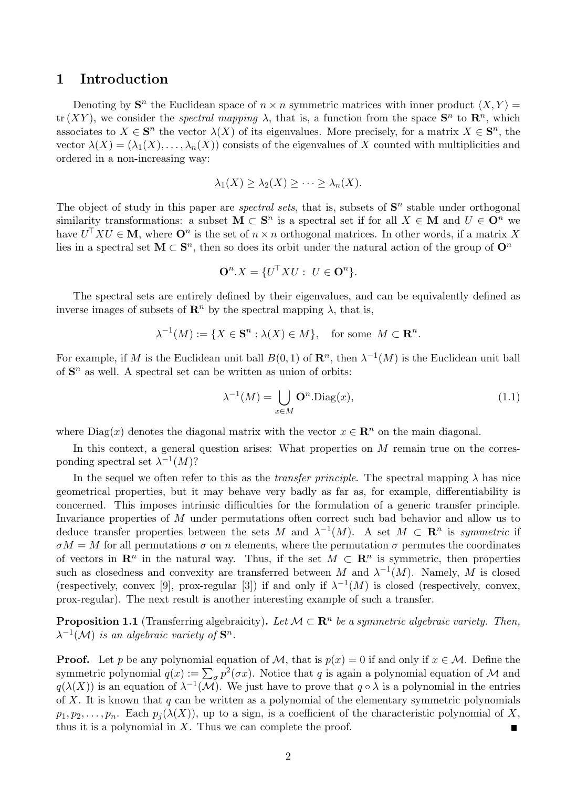### 1 Introduction

Denoting by  $S<sup>n</sup>$  the Euclidean space of  $n \times n$  symmetric matrices with inner product  $\langle X, Y \rangle =$ tr  $(XY)$ , we consider the *spectral mapping*  $\lambda$ , that is, a function from the space  $S^n$  to  $\mathbb{R}^n$ , which associates to  $X \in \mathbf{S}^n$  the vector  $\lambda(X)$  of its eigenvalues. More precisely, for a matrix  $X \in \mathbf{S}^n$ , the vector  $\lambda(X) = (\lambda_1(X), \ldots, \lambda_n(X))$  consists of the eigenvalues of X counted with multiplicities and ordered in a non-increasing way:

$$
\lambda_1(X) \geq \lambda_2(X) \geq \cdots \geq \lambda_n(X).
$$

The object of study in this paper are *spectral sets*, that is, subsets of  $S<sup>n</sup>$  stable under orthogonal similarity transformations: a subset  $M \subset S^n$  is a spectral set if for all  $X \in M$  and  $U \in \mathbb{O}^n$  we have  $U^{\top} X U \in \mathbf{M}$ , where  $\mathbf{O}^n$  is the set of  $n \times n$  orthogonal matrices. In other words, if a matrix X lies in a spectral set  $M \subset \mathbf{S}^n$ , then so does its orbit under the natural action of the group of  $\mathbf{O}^n$ 

$$
\mathbf{O}^n.X = \{U^\top X U : U \in \mathbf{O}^n\}.
$$

The spectral sets are entirely defined by their eigenvalues, and can be equivalently defined as inverse images of subsets of  $\mathbb{R}^n$  by the spectral mapping  $\lambda$ , that is,

$$
\lambda^{-1}(M) := \{ X \in \mathbf{S}^n : \lambda(X) \in M \}, \quad \text{for some } M \subset \mathbf{R}^n.
$$

For example, if M is the Euclidean unit ball  $B(0,1)$  of  $\mathbb{R}^n$ , then  $\lambda^{-1}(M)$  is the Euclidean unit ball of  $S<sup>n</sup>$  as well. A spectral set can be written as union of orbits:

$$
\lambda^{-1}(M) = \bigcup_{x \in M} \mathbf{O}^n \cdot \text{Diag}(x),\tag{1.1}
$$

where  $Diag(x)$  denotes the diagonal matrix with the vector  $x \in \mathbb{R}^n$  on the main diagonal.

In this context, a general question arises: What properties on M remain true on the corresponding spectral set  $\lambda^{-1}(M)$ ?

In the sequel we often refer to this as the *transfer principle*. The spectral mapping  $\lambda$  has nice geometrical properties, but it may behave very badly as far as, for example, differentiability is concerned. This imposes intrinsic difficulties for the formulation of a generic transfer principle. Invariance properties of M under permutations often correct such bad behavior and allow us to deduce transfer properties between the sets M and  $\lambda^{-1}(M)$ . A set  $M \subset \mathbb{R}^n$  is symmetric if  $\sigma M = M$  for all permutations  $\sigma$  on n elements, where the permutation  $\sigma$  permutes the coordinates of vectors in  $\mathbb{R}^n$  in the natural way. Thus, if the set  $M \subset \mathbb{R}^n$  is symmetric, then properties such as closedness and convexity are transferred between M and  $\lambda^{-1}(M)$ . Namely, M is closed (respectively, convex [9], prox-regular [3]) if and only if  $\lambda^{-1}(M)$  is closed (respectively, convex, prox-regular). The next result is another interesting example of such a transfer.

**Proposition 1.1** (Transferring algebraicity). Let  $M \subset \mathbb{R}^n$  be a symmetric algebraic variety. Then,  $\lambda^{-1}(\mathcal{M})$  is an algebraic variety of  $\mathbf{S}^n$ .

**Proof.** Let p be any polynomial equation of M, that is  $p(x) = 0$  if and only if  $x \in M$ . Define the symmetric polynomial  $q(x) := \sum_{\sigma} p^2(\sigma x)$ . Notice that q is again a polynomial equation of M and  $q(\lambda(X))$  is an equation of  $\lambda^{-1}(\mathcal{M})$ . We just have to prove that  $q \circ \lambda$  is a polynomial in the entries of X. It is known that q can be written as a polynomial of the elementary symmetric polynomials  $p_1, p_2, \ldots, p_n$ . Each  $p_i(\lambda(X))$ , up to a sign, is a coefficient of the characteristic polynomial of X, thus it is a polynomial in  $X$ . Thus we can complete the proof.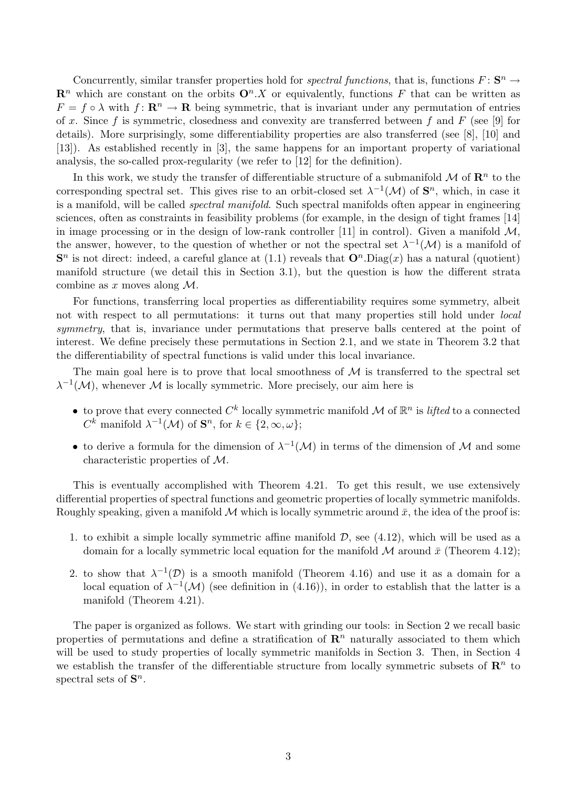Concurrently, similar transfer properties hold for *spectral functions*, that is, functions  $F: S^n \to$  $\mathbb{R}^n$  which are constant on the orbits  $\mathbb{O}^n$ . X or equivalently, functions F that can be written as  $F = f \circ \lambda$  with  $f: \mathbf{R}^n \to \mathbf{R}$  being symmetric, that is invariant under any permutation of entries of x. Since f is symmetric, closedness and convexity are transferred between f and F (see [9] for details). More surprisingly, some differentiability properties are also transferred (see [8], [10] and [13]). As established recently in [3], the same happens for an important property of variational analysis, the so-called prox-regularity (we refer to [12] for the definition).

In this work, we study the transfer of differentiable structure of a submanifold  $\mathcal M$  of  $\mathbb R^n$  to the corresponding spectral set. This gives rise to an orbit-closed set  $\lambda^{-1}(\mathcal{M})$  of  $\mathbf{S}^n$ , which, in case it is a manifold, will be called spectral manifold. Such spectral manifolds often appear in engineering sciences, often as constraints in feasibility problems (for example, in the design of tight frames [14] in image processing or in the design of low-rank controller [11] in control). Given a manifold  $M$ , the answer, however, to the question of whether or not the spectral set  $\lambda^{-1}(\mathcal{M})$  is a manifold of  $\mathbf{S}^n$  is not direct: indeed, a careful glance at (1.1) reveals that  $\mathbf{O}^n$ . Diag(x) has a natural (quotient) manifold structure (we detail this in Section 3.1), but the question is how the different strata combine as x moves along  $\mathcal{M}$ .

For functions, transferring local properties as differentiability requires some symmetry, albeit not with respect to all permutations: it turns out that many properties still hold under *local* symmetry, that is, invariance under permutations that preserve balls centered at the point of interest. We define precisely these permutations in Section 2.1, and we state in Theorem 3.2 that the differentiability of spectral functions is valid under this local invariance.

The main goal here is to prove that local smoothness of  $\mathcal M$  is transferred to the spectral set  $\lambda^{-1}(\mathcal{M})$ , whenever M is locally symmetric. More precisely, our aim here is

- to prove that every connected  $C^k$  locally symmetric manifold M of  $\mathbb{R}^n$  is lifted to a connected  $C^k$  manifold  $\lambda^{-1}(\mathcal{M})$  of  $\mathbf{S}^n$ , for  $k \in \{2, \infty, \omega\};$
- to derive a formula for the dimension of  $\lambda^{-1}(\mathcal{M})$  in terms of the dimension of M and some characteristic properties of M.

This is eventually accomplished with Theorem 4.21. To get this result, we use extensively differential properties of spectral functions and geometric properties of locally symmetric manifolds. Roughly speaking, given a manifold  $M$  which is locally symmetric around  $\bar{x}$ , the idea of the proof is:

- 1. to exhibit a simple locally symmetric affine manifold  $\mathcal{D}$ , see (4.12), which will be used as a domain for a locally symmetric local equation for the manifold M around  $\bar{x}$  (Theorem 4.12);
- 2. to show that  $\lambda^{-1}(\mathcal{D})$  is a smooth manifold (Theorem 4.16) and use it as a domain for a local equation of  $\lambda^{-1}(\mathcal{M})$  (see definition in (4.16)), in order to establish that the latter is a manifold (Theorem 4.21).

The paper is organized as follows. We start with grinding our tools: in Section 2 we recall basic properties of permutations and define a stratification of  $\mathbb{R}^n$  naturally associated to them which will be used to study properties of locally symmetric manifolds in Section 3. Then, in Section 4 we establish the transfer of the differentiable structure from locally symmetric subsets of  $\mathbb{R}^n$  to spectral sets of  $S^n$ .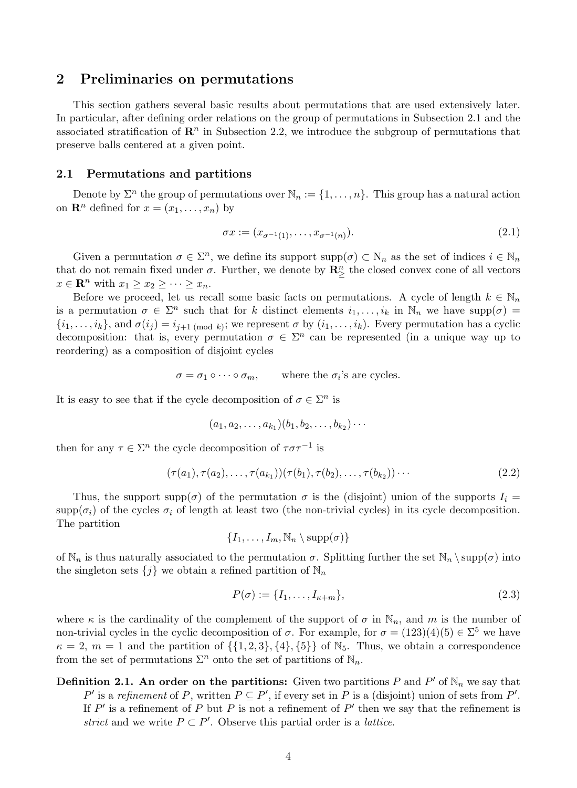### 2 Preliminaries on permutations

This section gathers several basic results about permutations that are used extensively later. In particular, after defining order relations on the group of permutations in Subsection 2.1 and the associated stratification of  $\mathbb{R}^n$  in Subsection 2.2, we introduce the subgroup of permutations that preserve balls centered at a given point.

#### 2.1 Permutations and partitions

Denote by  $\Sigma^n$  the group of permutations over  $\mathbb{N}_n := \{1, \ldots, n\}$ . This group has a natural action on  $\mathbf{R}^n$  defined for  $x = (x_1, \ldots, x_n)$  by

$$
\sigma x := (x_{\sigma^{-1}(1)}, \dots, x_{\sigma^{-1}(n)}). \tag{2.1}
$$

Given a permutation  $\sigma \in \Sigma^n$ , we define its support  $\text{supp}(\sigma) \subset N_n$  as the set of indices  $i \in \mathbb{N}_n$ that do not remain fixed under  $\sigma$ . Further, we denote by  $\mathbb{R}^n_{\geq}$  the closed convex cone of all vectors  $x \in \mathbf{R}^n$  with  $x_1 \ge x_2 \ge \cdots \ge x_n$ .

Before we proceed, let us recall some basic facts on permutations. A cycle of length  $k \in \mathbb{N}_n$ is a permutation  $\sigma \in \Sigma^n$  such that for k distinct elements  $i_1, \ldots, i_k$  in  $\mathbb{N}_n$  we have  $\text{supp}(\sigma) =$  $\{i_1,\ldots,i_k\}$ , and  $\sigma(i_j) = i_{j+1 \pmod{k}}$ ; we represent  $\sigma$  by  $(i_1,\ldots,i_k)$ . Every permutation has a cyclic decomposition: that is, every permutation  $\sigma \in \Sigma^n$  can be represented (in a unique way up to reordering) as a composition of disjoint cycles

 $\sigma = \sigma_1 \circ \cdots \circ \sigma_m$ , where the  $\sigma_i$ 's are cycles.

It is easy to see that if the cycle decomposition of  $\sigma \in \Sigma^n$  is

$$
(a_1, a_2, \ldots, a_{k_1})(b_1, b_2, \ldots, b_{k_2}) \cdots
$$

then for any  $\tau \in \Sigma^n$  the cycle decomposition of  $\tau \sigma \tau^{-1}$  is

$$
(\tau(a_1), \tau(a_2), \ldots, \tau(a_{k_1}))(\tau(b_1), \tau(b_2), \ldots, \tau(b_{k_2})) \cdots
$$
\n(2.2)

Thus, the support supp( $\sigma$ ) of the permutation  $\sigma$  is the (disjoint) union of the supports  $I_i =$  $\text{supp}(\sigma_i)$  of the cycles  $\sigma_i$  of length at least two (the non-trivial cycles) in its cycle decomposition. The partition

$$
\{I_1,\ldots,I_m,\mathbb{N}_n\setminus\mathrm{supp}(\sigma)\}
$$

of  $\mathbb{N}_n$  is thus naturally associated to the permutation  $\sigma$ . Splitting further the set  $\mathbb{N}_n \setminus \text{supp}(\sigma)$  into the singleton sets  $\{j\}$  we obtain a refined partition of  $\mathbb{N}_n$ 

$$
P(\sigma) := \{I_1, \dots, I_{\kappa + m}\},\tag{2.3}
$$

where  $\kappa$  is the cardinality of the complement of the support of  $\sigma$  in  $\mathbb{N}_n$ , and m is the number of non-trivial cycles in the cyclic decomposition of  $\sigma$ . For example, for  $\sigma = (123)(4)(5) \in \Sigma^5$  we have  $\kappa = 2, m = 1$  and the partition of  $\{\{1, 2, 3\}, \{4\}, \{5\}\}\$  of  $\mathbb{N}_5$ . Thus, we obtain a correspondence from the set of permutations  $\Sigma^n$  onto the set of partitions of  $\mathbb{N}_n$ .

**Definition 2.1. An order on the partitions:** Given two partitions P and P' of  $\mathbb{N}_n$  we say that P' is a refinement of P, written  $P \subseteq P'$ , if every set in P is a (disjoint) union of sets from P'. If  $P'$  is a refinement of P but P is not a refinement of P' then we say that the refinement is strict and we write  $P \subset P'$ . Observe this partial order is a *lattice*.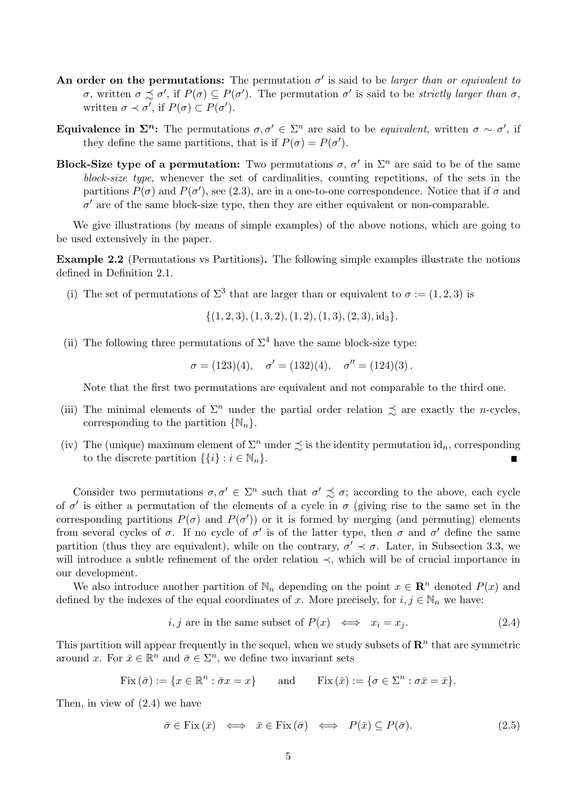- An order on the permutations: The permutation  $\sigma'$  is said to be *larger than or equivalent to* σ, written  $\sigma \precsim \sigma'$ , if  $P(\sigma) \subseteq P(\sigma')$ . The permutation  $\sigma'$  is said to be *strictly larger than* σ, written  $\sigma \prec \sigma'$ , if  $P(\sigma) \subset P(\sigma')$ .
- **Equivalence in**  $\Sigma^n$ **:** The permutations  $\sigma, \sigma' \in \Sigma^n$  are said to be *equivalent*, written  $\sigma \sim \sigma'$ , if they define the same partitions, that is if  $P(\sigma) = P(\sigma')$ .
- **Block-Size type of a permutation:** Two permutations  $\sigma$ ,  $\sigma'$  in  $\Sigma^n$  are said to be of the same block-size type, whenever the set of cardinalities, counting repetitions, of the sets in the partitions  $P(\sigma)$  and  $P(\sigma')$ , see (2.3), are in a one-to-one correspondence. Notice that if  $\sigma$  and  $\sigma'$  are of the same block-size type, then they are either equivalent or non-comparable.

We give illustrations (by means of simple examples) of the above notions, which are going to be used extensively in the paper.

Example 2.2 (Permutations vs Partitions). The following simple examples illustrate the notions defined in Definition 2.1.

(i) The set of permutations of  $\Sigma^3$  that are larger than or equivalent to  $\sigma := (1, 2, 3)$  is

 $\{(1, 2, 3), (1, 3, 2), (1, 2), (1, 3), (2, 3), id_3\}.$ 

(ii) The following three permutations of  $\Sigma^4$  have the same block-size type:

$$
\sigma = (123)(4), \quad \sigma' = (132)(4), \quad \sigma'' = (124)(3).
$$

Note that the first two permutations are equivalent and not comparable to the third one.

- (iii) The minimal elements of  $\Sigma^n$  under the partial order relation  $\precsim$  are exactly the n-cycles, corresponding to the partition  $\{\mathbb{N}_n\}$ .
- (iv) The (unique) maximum element of  $\Sigma^n$  under  $\precsim$  is the identity permutation id<sub>n</sub>, corresponding to the discrete partition  $\{\{i\} : i \in \mathbb{N}_n\}.$ П

Consider two permutations  $\sigma, \sigma' \in \Sigma^n$  such that  $\sigma' \precsim \sigma$ ; according to the above, each cycle of  $\sigma'$  is either a permutation of the elements of a cycle in  $\sigma$  (giving rise to the same set in the corresponding partitions  $P(\sigma)$  and  $P(\sigma')$  or it is formed by merging (and permuting) elements from several cycles of  $\sigma$ . If no cycle of  $\sigma'$  is of the latter type, then  $\sigma$  and  $\sigma'$  define the same partition (thus they are equivalent), while on the contrary,  $\sigma' \prec \sigma$ . Later, in Subsection 3.3, we will introduce a subtle refinement of the order relation ≺, which will be of crucial importance in our development.

We also introduce another partition of  $\mathbb{N}_n$  depending on the point  $x \in \mathbb{R}^n$  denoted  $P(x)$  and defined by the indexes of the equal coordinates of x. More precisely, for  $i, j \in \mathbb{N}_n$  we have:

i, j are in the same subset of  $P(x) \iff x_i = x_j$ . (2.4)

This partition will appear frequently in the sequel, when we study subsets of  $\mathbb{R}^n$  that are symmetric around x. For  $\bar{x} \in \mathbb{R}^n$  and  $\bar{\sigma} \in \Sigma^n$ , we define two invariant sets

Fix 
$$
(\bar{\sigma}) := \{x \in \mathbb{R}^n : \bar{\sigma}x = x\}
$$
 and Fix  $(\bar{x}) := \{\sigma \in \Sigma^n : \sigma\bar{x} = \bar{x}\}.$ 

Then, in view of (2.4) we have

$$
\bar{\sigma} \in \text{Fix}(\bar{x}) \iff \bar{x} \in \text{Fix}(\bar{\sigma}) \iff P(\bar{x}) \subseteq P(\bar{\sigma}). \tag{2.5}
$$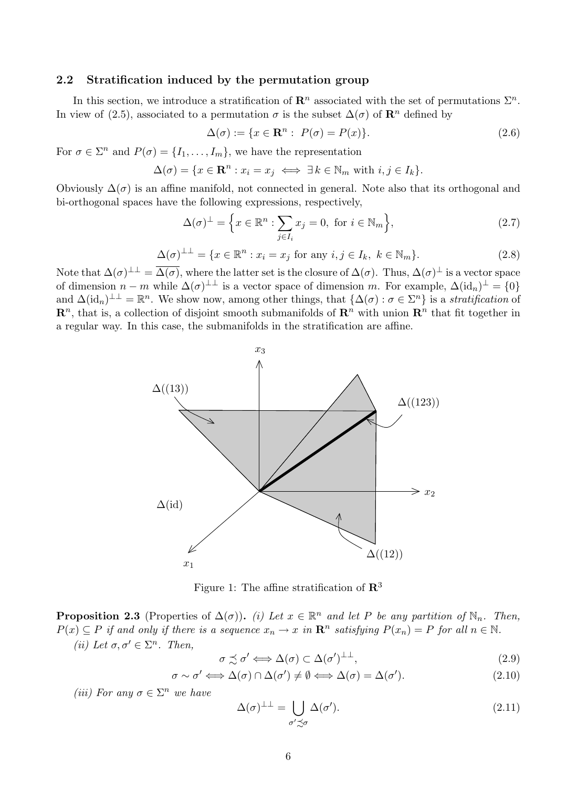#### 2.2 Stratification induced by the permutation group

In this section, we introduce a stratification of  $\mathbb{R}^n$  associated with the set of permutations  $\Sigma^n$ . In view of (2.5), associated to a permutation  $\sigma$  is the subset  $\Delta(\sigma)$  of  $\mathbb{R}^n$  defined by

$$
\Delta(\sigma) := \{ x \in \mathbf{R}^n : P(\sigma) = P(x) \}. \tag{2.6}
$$

For  $\sigma \in \Sigma^n$  and  $P(\sigma) = \{I_1, \ldots, I_m\}$ , we have the representation

$$
\Delta(\sigma) = \{x \in \mathbf{R}^n : x_i = x_j \iff \exists \, k \in \mathbb{N}_m \text{ with } i, j \in I_k\}.
$$

Obviously  $\Delta(\sigma)$  is an affine manifold, not connected in general. Note also that its orthogonal and bi-orthogonal spaces have the following expressions, respectively,

$$
\Delta(\sigma)^{\perp} = \left\{ x \in \mathbb{R}^n : \sum_{j \in I_i} x_j = 0, \text{ for } i \in \mathbb{N}_m \right\},\tag{2.7}
$$

$$
\Delta(\sigma)^{\perp \perp} = \{ x \in \mathbb{R}^n : x_i = x_j \text{ for any } i, j \in I_k, k \in \mathbb{N}_m \}. \tag{2.8}
$$

Note that  $\Delta(\sigma)^{\perp \perp} = \overline{\Delta(\sigma)}$ , where the latter set is the closure of  $\Delta(\sigma)$ . Thus,  $\Delta(\sigma)^{\perp}$  is a vector space of dimension  $n - m$  while  $\Delta(\sigma)^{\perp}$  is a vector space of dimension m. For example,  $\Delta(\mathrm{id}_n)^{\perp} = \{0\}$ and  $\Delta(\mathrm{id}_n)^{\perp \perp} = \mathbb{R}^n$ . We show now, among other things, that  $\{\Delta(\sigma) : \sigma \in \Sigma^n\}$  is a *stratification* of  $\mathbf{R}^n$ , that is, a collection of disjoint smooth submanifolds of  $\mathbf{R}^n$  with union  $\mathbf{R}^n$  that fit together in a regular way. In this case, the submanifolds in the stratification are affine.



Figure 1: The affine stratification of  $\mathbb{R}^3$ 

**Proposition 2.3** (Properties of  $\Delta(\sigma)$ ). (i) Let  $x \in \mathbb{R}^n$  and let P be any partition of  $\mathbb{N}_n$ . Then,  $P(x) \subseteq P$  if and only if there is a sequence  $x_n \to x$  in  $\mathbb{R}^n$  satisfying  $P(x_n) = P$  for all  $n \in \mathbb{N}$ . (*ii*) Let  $\sigma, \sigma' \in \Sigma^n$ . Then,

$$
\sigma \precsim \sigma' \Longleftrightarrow \Delta(\sigma) \subset \Delta(\sigma')^{\perp \perp},\tag{2.9}
$$

$$
\sigma \sim \sigma' \Longleftrightarrow \Delta(\sigma) \cap \Delta(\sigma') \neq \emptyset \Longleftrightarrow \Delta(\sigma) = \Delta(\sigma'). \tag{2.10}
$$

(iii) For any  $\sigma \in \Sigma^n$  we have

$$
\Delta(\sigma)^{\perp\perp} = \bigcup_{\sigma' \preceq \sigma} \Delta(\sigma'). \tag{2.11}
$$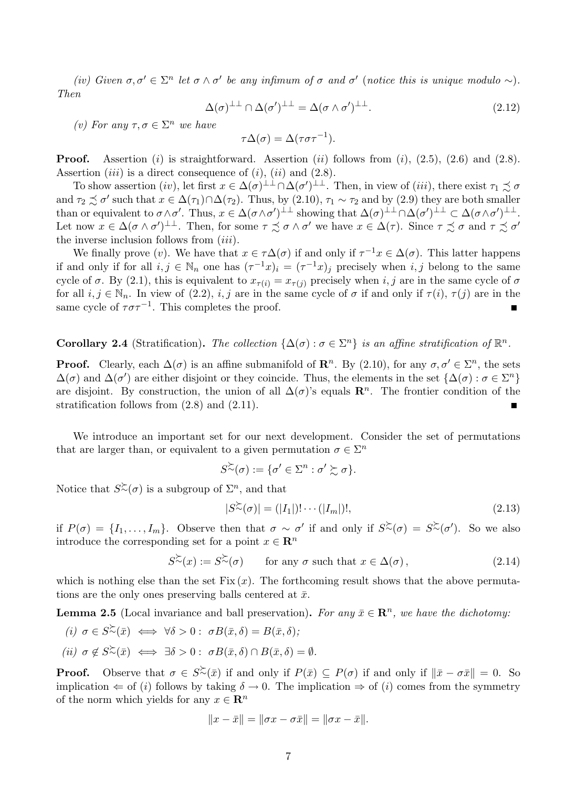(iv) Given  $\sigma, \sigma' \in \Sigma^n$  let  $\sigma \wedge \sigma'$  be any infimum of  $\sigma$  and  $\sigma'$  (notice this is unique modulo  $\sim$ ). Then

$$
\Delta(\sigma)^{\perp\perp} \cap \Delta(\sigma')^{\perp\perp} = \Delta(\sigma \wedge \sigma')^{\perp\perp}.
$$
\n(2.12)

(v) For any  $\tau, \sigma \in \Sigma^n$  we have

$$
\tau \Delta(\sigma) = \Delta(\tau \sigma \tau^{-1}).
$$

**Proof.** Assertion (i) is straightforward. Assertion (ii) follows from (i),  $(2.5)$ ,  $(2.6)$  and  $(2.8)$ . Assertion *(iii)* is a direct consequence of *(i)*, *(ii)* and  $(2.8)$ .

To show assertion  $(iv)$ , let first  $x \in \Delta(\sigma)^{\perp \perp} \cap \Delta(\sigma')^{\perp \perp}$ . Then, in view of  $(iii)$ , there exist  $\tau_1 \precsim \sigma$ and  $\tau_2 \precsim \sigma'$  such that  $x \in \Delta(\tau_1) \cap \Delta(\tau_2)$ . Thus, by  $(2.10)$ ,  $\tau_1 \sim \tau_2$  and by  $(2.9)$  they are both smaller than or equivalent to  $\sigma \wedge \sigma'$ . Thus,  $x \in \Delta(\sigma \wedge \sigma')^{\perp \perp}$  showing that  $\Delta(\sigma)^{\perp \perp} \cap \Delta(\sigma')^{\perp \perp} \subset \Delta(\sigma \wedge \sigma')^{\perp \perp}$ . Let now  $x \in \Delta(\sigma \wedge \sigma')^{\perp \perp}$ . Then, for some  $\tau \precsim \sigma \wedge \sigma'$  we have  $x \in \Delta(\tau)$ . Since  $\tau \precsim \sigma$  and  $\tau \precsim \sigma'$ the inverse inclusion follows from  $(iii)$ .

We finally prove (v). We have that  $x \in \tau \Delta(\sigma)$  if and only if  $\tau^{-1}x \in \Delta(\sigma)$ . This latter happens if and only if for all  $i, j \in \mathbb{N}_n$  one has  $(\tau^{-1}x)_i = (\tau^{-1}x)_j$  precisely when  $i, j$  belong to the same cycle of  $\sigma$ . By (2.1), this is equivalent to  $x_{\tau(i)} = x_{\tau(i)}$  precisely when i, j are in the same cycle of  $\sigma$ for all  $i, j \in \mathbb{N}_n$ . In view of (2.2),  $i, j$  are in the same cycle of  $\sigma$  if and only if  $\tau(i)$ ,  $\tau(j)$  are in the same cycle of  $\tau \sigma \tau^{-1}$ . This completes the proof.

Corollary 2.4 (Stratification). The collection  $\{\Delta(\sigma): \sigma \in \Sigma^n\}$  is an affine stratification of  $\mathbb{R}^n$ .

**Proof.** Clearly, each  $\Delta(\sigma)$  is an affine submanifold of  $\mathbb{R}^n$ . By (2.10), for any  $\sigma, \sigma' \in \Sigma^n$ , the sets  $\Delta(\sigma)$  and  $\Delta(\sigma')$  are either disjoint or they coincide. Thus, the elements in the set  $\{\Delta(\sigma) : \sigma \in \Sigma^n\}$ are disjoint. By construction, the union of all  $\Delta(\sigma)$ 's equals  $\mathbb{R}^n$ . The frontier condition of the stratification follows from (2.8) and (2.11).

We introduce an important set for our next development. Consider the set of permutations that are larger than, or equivalent to a given permutation  $\sigma \in \Sigma^n$ 

$$
S^{\succsim}(\sigma) := \{\sigma' \in \Sigma^n : \sigma' \succsim \sigma\}.
$$

Notice that  $S^{\succsim}(\sigma)$  is a subgroup of  $\Sigma<sup>n</sup>$ , and that

$$
|S^{\sim}(\sigma)| = (|I_1|)! \cdots (|I_m|)!,\tag{2.13}
$$

if  $P(\sigma) = \{I_1, \ldots, I_m\}$ . Observe then that  $\sigma \sim \sigma'$  if and only if  $S^{\succcurlyeq}(\sigma) = S^{\succcurlyeq}(\sigma')$ . So we also introduce the corresponding set for a point  $x \in \mathbb{R}^n$ 

$$
S^{\sim}(x) := S^{\sim}(\sigma) \qquad \text{for any } \sigma \text{ such that } x \in \Delta(\sigma), \tag{2.14}
$$

which is nothing else than the set  $Fix(x)$ . The forthcoming result shows that the above permutations are the only ones preserving balls centered at  $\bar{x}$ .

**Lemma 2.5** (Local invariance and ball preservation). For any  $\bar{x} \in \mathbb{R}^n$ , we have the dichotomy.

(i)  $\sigma \in S^{\succsim}(\bar{x}) \iff \forall \delta > 0 : \sigma B(\bar{x}, \delta) = B(\bar{x}, \delta);$ (ii)  $\sigma \notin S^{\succsim}(\bar{x}) \iff \exists \delta > 0 : \sigma B(\bar{x}, \delta) \cap B(\bar{x}, \delta) = \emptyset.$ 

**Proof.** Observe that  $\sigma \in S^{\succsim}(\bar{x})$  if and only if  $P(\bar{x}) \subseteq P(\sigma)$  if and only if  $\|\bar{x} - \sigma \bar{x}\| = 0$ . So implication  $\Leftarrow$  of (i) follows by taking  $\delta \to 0$ . The implication  $\Rightarrow$  of (i) comes from the symmetry of the norm which yields for any  $x \in \mathbb{R}^n$ 

$$
||x - \bar{x}|| = ||\sigma x - \sigma \bar{x}|| = ||\sigma x - \bar{x}||.
$$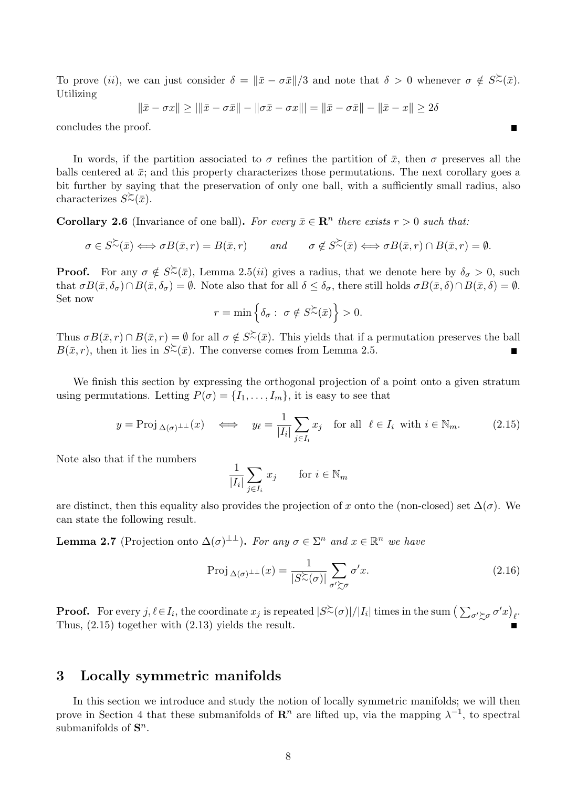To prove (ii), we can just consider  $\delta = ||\bar{x} - \sigma \bar{x}||/3$  and note that  $\delta > 0$  whenever  $\sigma \notin S^{\gtrsim}(\bar{x})$ . Utilizing

$$
\|\bar{x} - \sigma x\| \ge \|\bar{x} - \sigma \bar{x}\| - \|\sigma \bar{x} - \sigma x\|\| = \|\bar{x} - \sigma \bar{x}\| - \|\bar{x} - x\| \ge 2\delta
$$

 $\blacksquare$ 

concludes the proof.

In words, if the partition associated to  $\sigma$  refines the partition of  $\bar{x}$ , then  $\sigma$  preserves all the balls centered at  $\bar{x}$ ; and this property characterizes those permutations. The next corollary goes a bit further by saying that the preservation of only one ball, with a sufficiently small radius, also characterizes  $S\overline{\sim}(\bar{x})$ .

**Corollary 2.6** (Invariance of one ball). For every  $\bar{x} \in \mathbb{R}^n$  there exists  $r > 0$  such that:

$$
\sigma \in S^{\succsim}(\bar{x}) \Longleftrightarrow \sigma B(\bar{x}, r) = B(\bar{x}, r) \qquad and \qquad \sigma \notin S^{\succsim}(\bar{x}) \Longleftrightarrow \sigma B(\bar{x}, r) \cap B(\bar{x}, r) = \emptyset.
$$

**Proof.** For any  $\sigma \notin S^{\geq}(\bar{x})$ , Lemma 2.5(*ii*) gives a radius, that we denote here by  $\delta_{\sigma} > 0$ , such that  $\sigma B(\bar{x}, \delta_{\sigma}) \cap B(\bar{x}, \delta_{\sigma}) = \emptyset$ . Note also that for all  $\delta \leq \delta_{\sigma}$ , there still holds  $\sigma B(\bar{x}, \delta) \cap B(\bar{x}, \delta) = \emptyset$ . Set now

$$
r = \min\left\{\delta_{\sigma}: \ \sigma \notin S^{\succsim}(\bar{x})\right\} > 0.
$$

Thus  $\sigma B(\bar{x}, r) \cap B(\bar{x}, r) = \emptyset$  for all  $\sigma \notin S^{\sim}(\bar{x})$ . This yields that if a permutation preserves the ball  $B(\bar{x}, r)$ , then it lies in  $S\tilde{\sim}(\bar{x})$ . The converse comes from Lemma 2.5.

We finish this section by expressing the orthogonal projection of a point onto a given stratum using permutations. Letting  $P(\sigma) = \{I_1, \ldots, I_m\}$ , it is easy to see that

$$
y = \text{Proj}_{\Delta(\sigma)^{\perp \perp}}(x) \iff y_{\ell} = \frac{1}{|I_i|} \sum_{j \in I_i} x_j \quad \text{for all} \ \ell \in I_i \text{ with } i \in \mathbb{N}_m. \tag{2.15}
$$

Note also that if the numbers

$$
\frac{1}{|I_i|} \sum_{j \in I_i} x_j \qquad \text{for } i \in \mathbb{N}_m
$$

are distinct, then this equality also provides the projection of x onto the (non-closed) set  $\Delta(\sigma)$ . We can state the following result.

**Lemma 2.7** (Projection onto  $\Delta(\sigma)^{\perp \perp}$ ). For any  $\sigma \in \Sigma^n$  and  $x \in \mathbb{R}^n$  we have

$$
\operatorname{Proj}_{\Delta(\sigma)^{\perp\perp}}(x) = \frac{1}{|S^{\succsim}_{\sim}(\sigma)|} \sum_{\sigma' \succsim \sigma} \sigma' x. \tag{2.16}
$$

**Proof.** For every  $j, \ell \in I_i$ , the coordinate  $x_j$  is repeated  $|S \sim (\sigma)|/|I_i|$  times in the sum  $\left(\sum_{\sigma' \succsim \sigma} \sigma' x\right)_{\ell}$ . Thus, (2.15) together with (2.13) yields the result.

### 3 Locally symmetric manifolds

In this section we introduce and study the notion of locally symmetric manifolds; we will then prove in Section 4 that these submanifolds of  $\mathbb{R}^n$  are lifted up, via the mapping  $\lambda^{-1}$ , to spectral submanifolds of  $S<sup>n</sup>$ .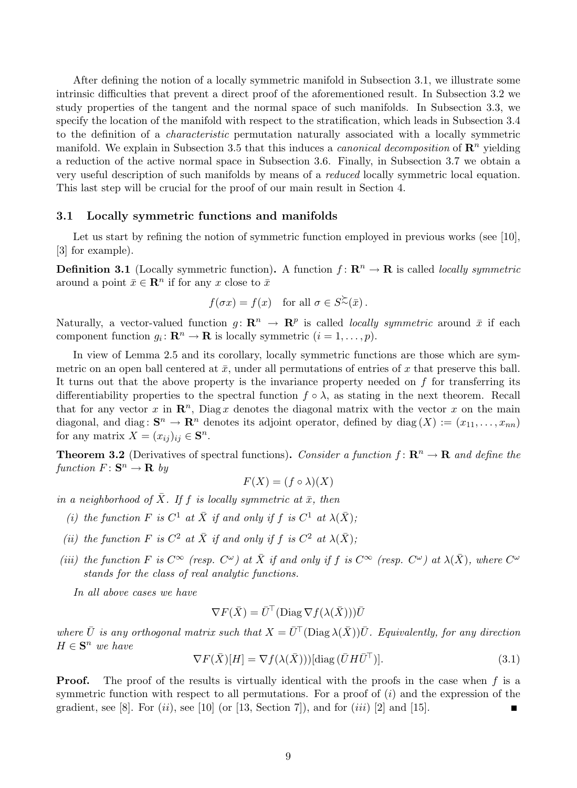After defining the notion of a locally symmetric manifold in Subsection 3.1, we illustrate some intrinsic difficulties that prevent a direct proof of the aforementioned result. In Subsection 3.2 we study properties of the tangent and the normal space of such manifolds. In Subsection 3.3, we specify the location of the manifold with respect to the stratification, which leads in Subsection 3.4 to the definition of a characteristic permutation naturally associated with a locally symmetric manifold. We explain in Subsection 3.5 that this induces a *canonical decomposition* of  $\mathbb{R}^n$  yielding a reduction of the active normal space in Subsection 3.6. Finally, in Subsection 3.7 we obtain a very useful description of such manifolds by means of a reduced locally symmetric local equation. This last step will be crucial for the proof of our main result in Section 4.

#### 3.1 Locally symmetric functions and manifolds

Let us start by refining the notion of symmetric function employed in previous works (see [10], [3] for example).

**Definition 3.1** (Locally symmetric function). A function  $f: \mathbb{R}^n \to \mathbb{R}$  is called *locally symmetric* around a point  $\bar{x} \in \mathbb{R}^n$  if for any x close to  $\bar{x}$ 

$$
f(\sigma x) = f(x)
$$
 for all  $\sigma \in S^{\succsim}(\bar{x})$ .

Naturally, a vector-valued function  $g: \mathbb{R}^n \to \mathbb{R}^p$  is called *locally symmetric* around  $\bar{x}$  if each component function  $g_i: \mathbf{R}^n \to \mathbf{R}$  is locally symmetric  $(i = 1, \ldots, p)$ .

In view of Lemma 2.5 and its corollary, locally symmetric functions are those which are symmetric on an open ball centered at  $\bar{x}$ , under all permutations of entries of x that preserve this ball. It turns out that the above property is the invariance property needed on f for transferring its differentiability properties to the spectral function  $f \circ \lambda$ , as stating in the next theorem. Recall that for any vector x in  $\mathbb{R}^n$ , Diag x denotes the diagonal matrix with the vector x on the main diagonal, and diag:  $S^n \to \mathbf{R}^n$  denotes its adjoint operator, defined by diag $(X) := (x_{11}, \ldots, x_{nn})$ for any matrix  $X = (x_{ij})_{ij} \in \mathbf{S}^n$ .

**Theorem 3.2** (Derivatives of spectral functions). Consider a function  $f: \mathbb{R}^n \to \mathbb{R}$  and define the function  $F: S^n \to \mathbf{R}$  by

$$
F(X) = (f \circ \lambda)(X)
$$

in a neighborhood of  $\overline{X}$ . If f is locally symmetric at  $\overline{x}$ , then

- (i) the function F is  $C^1$  at  $\overline{X}$  if and only if f is  $C^1$  at  $\lambda(\overline{X})$ ;
- (ii) the function F is  $C^2$  at  $\overline{X}$  if and only if f is  $C^2$  at  $\lambda(\overline{X})$ ;
- (iii) the function F is  $C^{\infty}$  (resp.  $C^{\omega}$ ) at  $\bar{X}$  if and only if f is  $C^{\infty}$  (resp.  $C^{\omega}$ ) at  $\lambda(\bar{X})$ , where  $C^{\omega}$ stands for the class of real analytic functions.

In all above cases we have

$$
\nabla F(\bar{X}) = \bar{U}^\top (\text{Diag }\nabla f(\lambda(\bar{X}))) \bar{U}
$$

where  $\bar{U}$  is any orthogonal matrix such that  $X = \bar{U}^{\top}(\text{Diag }\lambda(\bar{X}))\bar{U}$ . Equivalently, for any direction  $H \in \mathbf{S}^n$  we have

$$
\nabla F(\bar{X})[H] = \nabla f(\lambda(\bar{X})))[\text{diag}(\bar{U}H\bar{U}^{\top})].\tag{3.1}
$$

**Proof.** The proof of the results is virtually identical with the proofs in the case when  $f$  is a symmetric function with respect to all permutations. For a proof of  $(i)$  and the expression of the gradient, see [8]. For  $(ii)$ , see [10] (or [13, Section 7]), and for  $(iii)$  [2] and [15].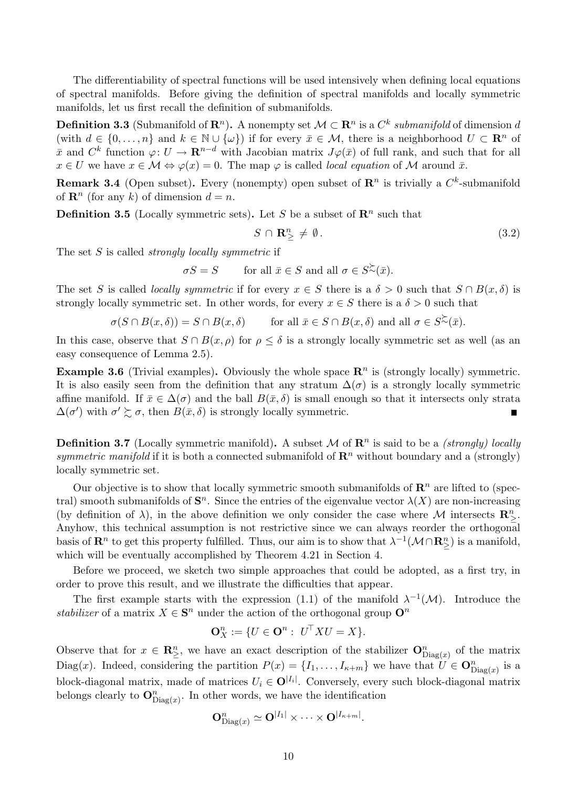The differentiability of spectral functions will be used intensively when defining local equations of spectral manifolds. Before giving the definition of spectral manifolds and locally symmetric manifolds, let us first recall the definition of submanifolds.

**Definition 3.3** (Submanifold of  $\mathbb{R}^n$ ). A nonempty set  $\mathcal{M} \subset \mathbb{R}^n$  is a  $C^k$  submanifold of dimension d (with  $d \in \{0, ..., n\}$  and  $k \in \mathbb{N} \cup \{\omega\}$ ) if for every  $\bar{x} \in \mathcal{M}$ , there is a neighborhood  $U \subset \mathbb{R}^n$  of  $\bar{x}$  and  $C^k$  function  $\varphi: U \to \mathbf{R}^{n-d}$  with Jacobian matrix  $J\varphi(\bar{x})$  of full rank, and such that for all  $x \in U$  we have  $x \in \mathcal{M} \Leftrightarrow \varphi(x) = 0$ . The map  $\varphi$  is called *local equation* of M around  $\bar{x}$ .

**Remark 3.4** (Open subset). Every (nonempty) open subset of  $\mathbb{R}^n$  is trivially a  $C^k$ -submanifold of  $\mathbf{R}^n$  (for any k) of dimension  $d = n$ .

**Definition 3.5** (Locally symmetric sets). Let S be a subset of  $\mathbb{R}^n$  such that

$$
S \cap \mathbf{R}_{\geq}^n \neq \emptyset. \tag{3.2}
$$

The set  $S$  is called *strongly locally symmetric* if

$$
\sigma S = S \quad \text{for all } \bar{x} \in S \text{ and all } \sigma \in S^{\sim}(\bar{x}).
$$

The set S is called *locally symmetric* if for every  $x \in S$  there is a  $\delta > 0$  such that  $S \cap B(x, \delta)$  is strongly locally symmetric set. In other words, for every  $x \in S$  there is a  $\delta > 0$  such that

$$
\sigma(S \cap B(x,\delta)) = S \cap B(x,\delta) \quad \text{for all } \bar{x} \in S \cap B(x,\delta) \text{ and all } \sigma \in S^{\sim}(\bar{x}).
$$

In this case, observe that  $S \cap B(x, \rho)$  for  $\rho \leq \delta$  is a strongly locally symmetric set as well (as an easy consequence of Lemma 2.5).

**Example 3.6** (Trivial examples). Obviously the whole space  $\mathbb{R}^n$  is (strongly locally) symmetric. It is also easily seen from the definition that any stratum  $\Delta(\sigma)$  is a strongly locally symmetric affine manifold. If  $\bar{x} \in \Delta(\sigma)$  and the ball  $B(\bar{x}, \delta)$  is small enough so that it intersects only strata  $\Delta(\sigma')$  with  $\sigma' \succsim \sigma$ , then  $B(\bar{x}, \delta)$  is strongly locally symmetric.

**Definition 3.7** (Locally symmetric manifold). A subset M of  $\mathbb{R}^n$  is said to be a *(strongly) locally* symmetric manifold if it is both a connected submanifold of  $\mathbb{R}^n$  without boundary and a (strongly) locally symmetric set.

Our objective is to show that locally symmetric smooth submanifolds of  $\mathbb{R}^n$  are lifted to (spectral) smooth submanifolds of  $S<sup>n</sup>$ . Since the entries of the eigenvalue vector  $\lambda(X)$  are non-increasing (by definition of  $\lambda$ ), in the above definition we only consider the case where M intersects  $\mathbb{R}^n_{\geq}$ . Anyhow, this technical assumption is not restrictive since we can always reorder the orthogonal basis of  $\mathbf{R}^n$  to get this property fulfilled. Thus, our aim is to show that  $\lambda^{-1}(\mathcal{M}\cap\mathbf{R}_{\geq}^n)$  is a manifold, which will be eventually accomplished by Theorem 4.21 in Section 4.

Before we proceed, we sketch two simple approaches that could be adopted, as a first try, in order to prove this result, and we illustrate the difficulties that appear.

The first example starts with the expression (1.1) of the manifold  $\lambda^{-1}(\mathcal{M})$ . Introduce the *stabilizer* of a matrix  $X \in \mathbf{S}^n$  under the action of the orthogonal group  $\mathbf{O}^n$ 

$$
\mathbf{O}_X^n := \{ U \in \mathbf{O}^n : U^\top X U = X \}.
$$

Observe that for  $x \in \mathbb{R}^n_{\geq}$ , we have an exact description of the stabilizer  $\mathbb{O}^n_{\text{Diag}(x)}$  of the matrix Diag(x). Indeed, considering the partition  $P(x) = \{I_1, \ldots, I_{\kappa+m}\}\$  we have that  $\tilde{U} \in \mathbf{O}_{\mathrm{Diag}(x)}^n$  is a block-diagonal matrix, made of matrices  $U_i \in \mathbf{O}^{|I_i|}$ . Conversely, every such block-diagonal matrix belongs clearly to  $\mathbf{O}_{\mathrm{Diag}(x)}^n$ . In other words, we have the identification

$$
\mathbf{O}^n_{\mathrm{Diag}(x)} \simeq \mathbf{O}^{|I_1|} \times \cdots \times \mathbf{O}^{|I_{\kappa+m}|}.
$$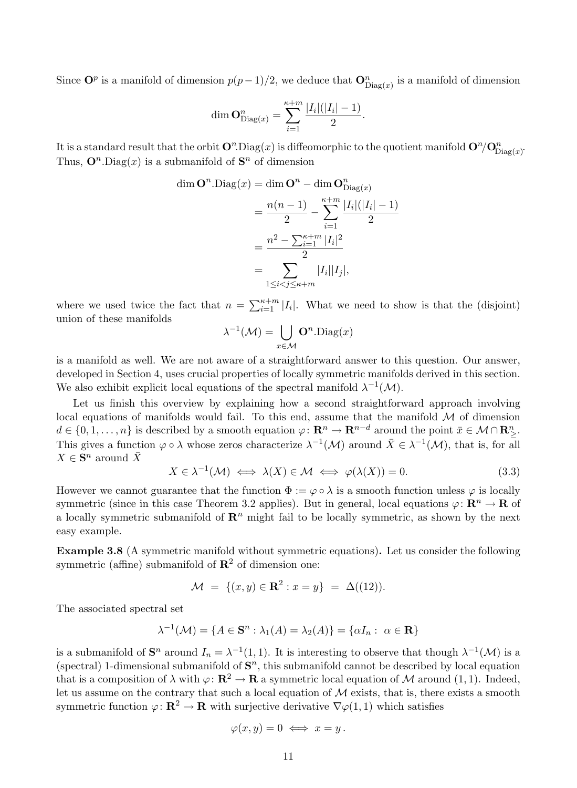Since  $\mathbf{O}^p$  is a manifold of dimension  $p(p-1)/2$ , we deduce that  $\mathbf{O}_{\text{Diag}(x)}^n$  is a manifold of dimension

dim 
$$
\mathbf{O}_{\mathrm{Diag}(x)}^n = \sum_{i=1}^{\kappa+m} \frac{|I_i|(|I_i|-1)}{2}
$$
.

It is a standard result that the orbit  $O^n$ . Diag(x) is diffeomorphic to the quotient manifold  $O^n/O^n_{Diag(x)}$ . Thus,  $\mathbf{O}^n$ . Diag(x) is a submanifold of  $\mathbf{S}^n$  of dimension

$$
\dim \mathbf{O}^n \cdot \text{Diag}(x) = \dim \mathbf{O}^n - \dim \mathbf{O}_{\text{Diag}(x)}^n
$$

$$
= \frac{n(n-1)}{2} - \sum_{i=1}^{\kappa + m} \frac{|I_i|(|I_i| - 1)}{2}
$$

$$
= \frac{n^2 - \sum_{i=1}^{\kappa + m} |I_i|^2}{2}
$$

$$
= \sum_{1 \le i < j \le \kappa + m} |I_i||I_j|,
$$

where we used twice the fact that  $n = \sum_{i=1}^{\kappa+m} |I_i|$ . What we need to show is that the (disjoint) union of these manifolds

$$
\lambda^{-1}(\mathcal{M}) = \bigcup_{x \in \mathcal{M}} \mathbf{O}^n.\text{Diag}(x)
$$

is a manifold as well. We are not aware of a straightforward answer to this question. Our answer, developed in Section 4, uses crucial properties of locally symmetric manifolds derived in this section. We also exhibit explicit local equations of the spectral manifold  $\lambda^{-1}(\mathcal{M})$ .

Let us finish this overview by explaining how a second straightforward approach involving local equations of manifolds would fail. To this end, assume that the manifold  $\mathcal M$  of dimension  $d \in \{0, 1, \ldots, n\}$  is described by a smooth equation  $\varphi \colon \mathbf{R}^n \to \mathbf{R}^{n-d}$  around the point  $\bar{x} \in \mathcal{M} \cap \mathbf{R}_{\geq}^n$ . This gives a function  $\varphi \circ \lambda$  whose zeros characterize  $\lambda^{-1}(\mathcal{M})$  around  $\bar{X} \in \lambda^{-1}(\mathcal{M})$ , that is, for all  $X \in \mathbf{S}^n$  around  $\bar{X}$ 

$$
X \in \lambda^{-1}(\mathcal{M}) \iff \lambda(X) \in \mathcal{M} \iff \varphi(\lambda(X)) = 0. \tag{3.3}
$$

However we cannot guarantee that the function  $\Phi := \varphi \circ \lambda$  is a smooth function unless  $\varphi$  is locally symmetric (since in this case Theorem 3.2 applies). But in general, local equations  $\varphi: \mathbb{R}^n \to \mathbb{R}$  of a locally symmetric submanifold of  $\mathbb{R}^n$  might fail to be locally symmetric, as shown by the next easy example.

Example 3.8 (A symmetric manifold without symmetric equations). Let us consider the following symmetric (affine) submanifold of  $\mathbb{R}^2$  of dimension one:

$$
\mathcal{M} = \{ (x, y) \in \mathbf{R}^2 : x = y \} = \Delta((12)).
$$

The associated spectral set

$$
\lambda^{-1}(\mathcal{M}) = \{ A \in \mathbf{S}^n : \lambda_1(A) = \lambda_2(A) \} = \{ \alpha I_n : \ \alpha \in \mathbf{R} \}
$$

is a submanifold of  $S^n$  around  $I_n = \lambda^{-1}(1,1)$ . It is interesting to observe that though  $\lambda^{-1}(\mathcal{M})$  is a (spectral) 1-dimensional submanifold of  $S<sup>n</sup>$ , this submanifold cannot be described by local equation that is a composition of  $\lambda$  with  $\varphi: \mathbb{R}^2 \to \mathbb{R}$  a symmetric local equation of M around (1, 1). Indeed, let us assume on the contrary that such a local equation of  $M$  exists, that is, there exists a smooth symmetric function  $\varphi: \mathbf{R}^2 \to \mathbf{R}$  with surjective derivative  $\nabla \varphi(1,1)$  which satisfies

$$
\varphi(x,y) = 0 \iff x = y \, .
$$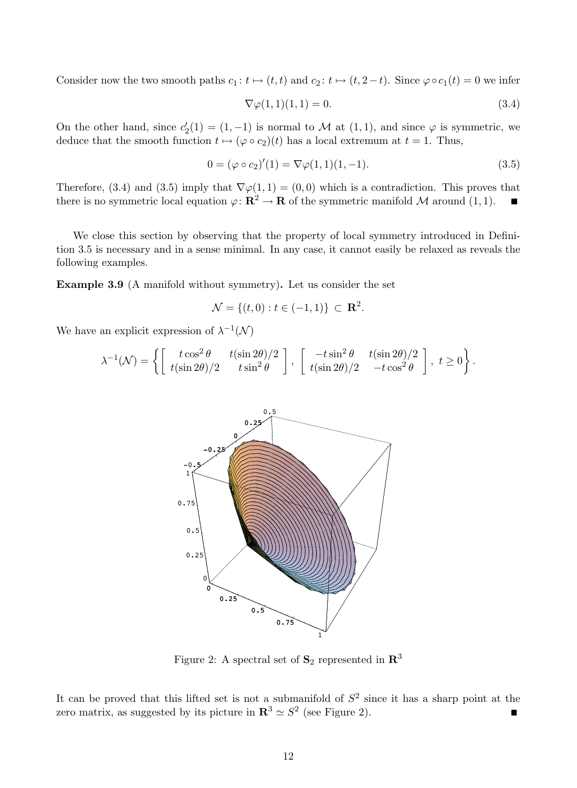Consider now the two smooth paths  $c_1 : t \mapsto (t, t)$  and  $c_2 : t \mapsto (t, 2-t)$ . Since  $\varphi \circ c_1(t) = 0$  we infer

$$
\nabla \varphi(1,1)(1,1) = 0.\tag{3.4}
$$

On the other hand, since  $c'_2(1) = (1, -1)$  is normal to M at  $(1, 1)$ , and since  $\varphi$  is symmetric, we deduce that the smooth function  $t \mapsto (\varphi \circ c_2)(t)$  has a local extremum at  $t = 1$ . Thus,

$$
0 = (\varphi \circ c_2)'(1) = \nabla \varphi(1,1)(1,-1). \tag{3.5}
$$

Therefore, (3.4) and (3.5) imply that  $\nabla \varphi(1,1) = (0,0)$  which is a contradiction. This proves that there is no symmetric local equation  $\varphi: \mathbb{R}^2 \to \mathbb{R}$  of the symmetric manifold M around  $(1, 1)$ .

We close this section by observing that the property of local symmetry introduced in Definition 3.5 is necessary and in a sense minimal. In any case, it cannot easily be relaxed as reveals the following examples.

Example 3.9 (A manifold without symmetry). Let us consider the set

$$
\mathcal{N} = \{(t, 0) : t \in (-1, 1)\} \subset \mathbb{R}^2.
$$

We have an explicit expression of  $\lambda^{-1}(\mathcal{N})$ 

$$
\lambda^{-1}(\mathcal{N}) = \left\{ \begin{bmatrix} t \cos^2 \theta & t(\sin 2\theta)/2 \\ t(\sin 2\theta)/2 & t \sin^2 \theta \end{bmatrix}, \begin{bmatrix} -t \sin^2 \theta & t(\sin 2\theta)/2 \\ t(\sin 2\theta)/2 & -t \cos^2 \theta \end{bmatrix}, t \ge 0 \right\}.
$$



Figure 2: A spectral set of  $S_2$  represented in  $\mathbb{R}^3$ 

It can be proved that this lifted set is not a submanifold of  $S<sup>2</sup>$  since it has a sharp point at the zero matrix, as suggested by its picture in  $\mathbb{R}^3 \simeq S^2$  (see Figure 2).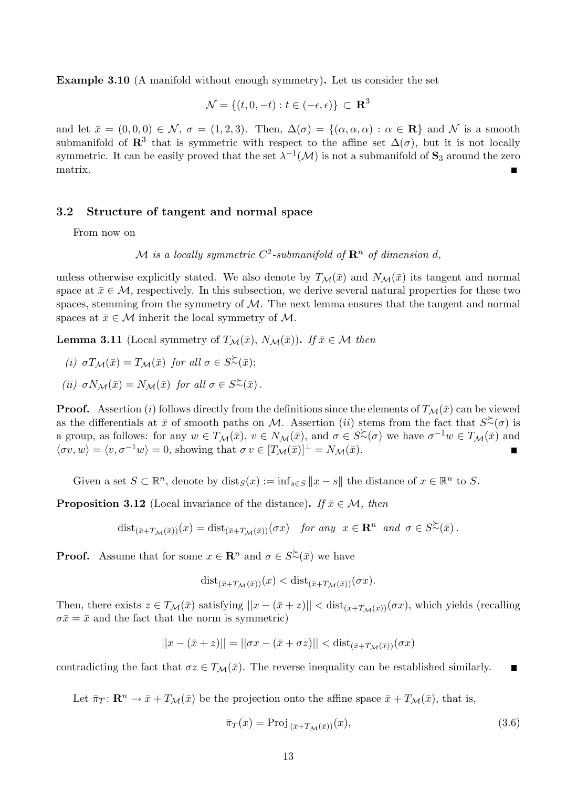Example 3.10 (A manifold without enough symmetry). Let us consider the set

$$
\mathcal{N} = \{(t, 0, -t) : t \in (-\epsilon, \epsilon)\} \subset \mathbf{R}^3
$$

and let  $\bar{x} = (0, 0, 0) \in \mathcal{N}$ ,  $\sigma = (1, 2, 3)$ . Then,  $\Delta(\sigma) = \{(\alpha, \alpha, \alpha) : \alpha \in \mathbb{R}\}\$ and  $\mathcal{N}$  is a smooth submanifold of  $\mathbb{R}^3$  that is symmetric with respect to the affine set  $\Delta(\sigma)$ , but it is not locally symmetric. It can be easily proved that the set  $\lambda^{-1}(\mathcal{M})$  is not a submanifold of  $\mathbf{S}_3$  around the zero matrix.

#### 3.2 Structure of tangent and normal space

From now on

M is a locally symmetric  $C^2$ -submanifold of  $\mathbf{R}^n$  of dimension d,

unless otherwise explicitly stated. We also denote by  $T_{\mathcal{M}}(\bar{x})$  and  $N_{\mathcal{M}}(\bar{x})$  its tangent and normal space at  $\bar{x} \in \mathcal{M}$ , respectively. In this subsection, we derive several natural properties for these two spaces, stemming from the symmetry of  $\mathcal M$ . The next lemma ensures that the tangent and normal spaces at  $\bar{x} \in \mathcal{M}$  inherit the local symmetry of  $\mathcal{M}$ .

**Lemma 3.11** (Local symmetry of  $T_{\mathcal{M}}(\bar{x})$ ,  $N_{\mathcal{M}}(\bar{x})$ ). If  $\bar{x} \in \mathcal{M}$  then

(i) 
$$
\sigma T_{\mathcal{M}}(\bar{x}) = T_{\mathcal{M}}(\bar{x})
$$
 for all  $\sigma \in S^{\succsim}(\bar{x});$ 

(ii)  $\sigma N_{\mathcal{M}}(\bar{x}) = N_{\mathcal{M}}(\bar{x})$  for all  $\sigma \in S^{\succsim}(\bar{x})$ .

**Proof.** Assertion (i) follows directly from the definitions since the elements of  $T_{\mathcal{M}}(\bar{x})$  can be viewed as the differentials at  $\bar{x}$  of smooth paths on M. Assertion (*ii*) stems from the fact that  $S \sim (\sigma)$  is a group, as follows: for any  $w \in T_{\mathcal{M}}(\bar{x}), v \in N_{\mathcal{M}}(\bar{x}),$  and  $\sigma \in S^{\gtrsim}(\sigma)$  we have  $\sigma^{-1}w \in T_{\mathcal{M}}(\bar{x})$  and  $\langle \sigma v, w \rangle = \langle v, \sigma^{-1} w \rangle = 0$ , showing that  $\sigma v \in [T_{\mathcal{M}}(\bar{x})]^{\perp} = N_{\mathcal{M}}(\bar{x}).$ 

Given a set  $S \subset \mathbb{R}^n$ , denote by  $dist_S(x) := inf_{s \in S} ||x - s||$  the distance of  $x \in \mathbb{R}^n$  to S.

**Proposition 3.12** (Local invariance of the distance). If  $\bar{x} \in \mathcal{M}$ , then

$$
\text{dist}_{(\bar{x}+T_{\mathcal{M}}(\bar{x}))}(x) = \text{dist}_{(\bar{x}+T_{\mathcal{M}}(\bar{x}))}(\sigma x) \quad \text{for any} \ \ x \in \mathbb{R}^n \ \text{and} \ \ \sigma \in S^{\geq}(\bar{x}).
$$

**Proof.** Assume that for some  $x \in \mathbb{R}^n$  and  $\sigma \in S^{\succsim}(\bar{x})$  we have

$$
\mathrm{dist}_{(\bar{x}+T_{\mathcal{M}}(\bar{x}))}(x) < \mathrm{dist}_{(\bar{x}+T_{\mathcal{M}}(\bar{x}))}(\sigma x).
$$

Then, there exists  $z \in T_{\mathcal{M}}(\bar{x})$  satisfying  $||x - (\bar{x} + z)|| < \text{dist}_{(\bar{x} + T_{\mathcal{M}}(\bar{x}))}(\sigma x)$ , which yields (recalling  $\sigma \bar{x} = \bar{x}$  and the fact that the norm is symmetric)

$$
||x - (\bar{x} + z)|| = ||\sigma x - (\bar{x} + \sigma z)|| < \text{dist}_{(\bar{x} + T_{\mathcal{M}}(\bar{x}))}(\sigma x)
$$

contradicting the fact that  $\sigma z \in T_{\mathcal{M}}(\bar{x})$ . The reverse inequality can be established similarly.  $\blacksquare$ 

Let  $\bar{\pi}_T : \mathbf{R}^n \to \bar{x} + T_{\mathcal{M}}(\bar{x})$  be the projection onto the affine space  $\bar{x} + T_{\mathcal{M}}(\bar{x})$ , that is,

$$
\bar{\pi}_T(x) = \text{Proj}_{\left(\bar{x} + T_{\mathcal{M}}(\bar{x})\right)}(x),\tag{3.6}
$$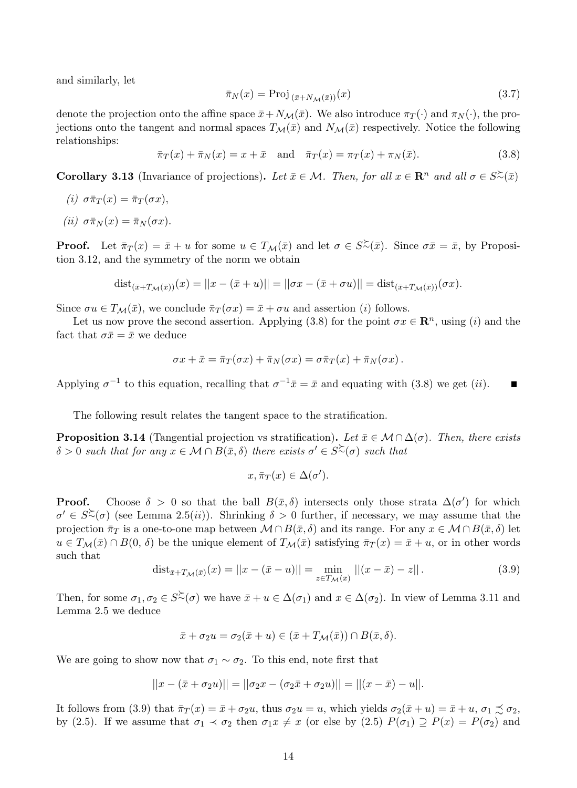and similarly, let

$$
\bar{\pi}_N(x) = \text{Proj}_{(\bar{x} + N_{\mathcal{M}}(\bar{x}))}(x)
$$
\n(3.7)

denote the projection onto the affine space  $\bar{x}+N_{\mathcal{M}}(\bar{x})$ . We also introduce  $\pi_T(\cdot)$  and  $\pi_N(\cdot)$ , the projections onto the tangent and normal spaces  $T_{\mathcal{M}}(\bar{x})$  and  $N_{\mathcal{M}}(\bar{x})$  respectively. Notice the following relationships:

$$
\overline{\pi}_T(x) + \overline{\pi}_N(x) = x + \overline{x} \quad \text{and} \quad \overline{\pi}_T(x) = \pi_T(x) + \pi_N(\overline{x}). \tag{3.8}
$$

**Corollary 3.13** (Invariance of projections). Let  $\bar{x} \in \mathcal{M}$ . Then, for all  $x \in \mathbb{R}^n$  and all  $\sigma \in S^{\geq}(\bar{x})$ 

- (i)  $\sigma \bar{\pi}_T(x) = \bar{\pi}_T(\sigma x),$
- (ii)  $\sigma \bar{\pi}_N(x) = \bar{\pi}_N(\sigma x)$ .

**Proof.** Let  $\bar{\pi}_T(x) = \bar{x} + u$  for some  $u \in T_{\mathcal{M}}(\bar{x})$  and let  $\sigma \in S^{\geq}(\bar{x})$ . Since  $\sigma \bar{x} = \bar{x}$ , by Proposition 3.12, and the symmetry of the norm we obtain

$$
dist_{(\bar{x}+T_{\mathcal{M}}(\bar{x}))}(x) = ||x - (\bar{x}+u)|| = ||\sigma x - (\bar{x}+\sigma u)|| = dist_{(\bar{x}+T_{\mathcal{M}}(\bar{x}))}(\sigma x).
$$

Since  $\sigma u \in T_{\mathcal{M}}(\bar{x})$ , we conclude  $\bar{\pi}_{T}(\sigma x) = \bar{x} + \sigma u$  and assertion (i) follows.

Let us now prove the second assertion. Applying (3.8) for the point  $\sigma x \in \mathbb{R}^n$ , using (i) and the fact that  $\sigma \bar{x} = \bar{x}$  we deduce

$$
\sigma x + \bar{x} = \bar{\pi}_T(\sigma x) + \bar{\pi}_N(\sigma x) = \sigma \bar{\pi}_T(x) + \bar{\pi}_N(\sigma x).
$$

Applying  $\sigma^{-1}$  to this equation, recalling that  $\sigma^{-1}\bar{x} = \bar{x}$  and equating with (3.8) we get (*ii*).

The following result relates the tangent space to the stratification.

**Proposition 3.14** (Tangential projection vs stratification). Let  $\bar{x} \in \mathcal{M} \cap \Delta(\sigma)$ . Then, there exists  $\delta > 0$  such that for any  $x \in \mathcal{M} \cap B(\bar{x}, \delta)$  there exists  $\sigma' \in S^{\geq}(\sigma)$  such that

$$
x, \bar{\pi}_T(x) \in \Delta(\sigma').
$$

**Proof.** Choose  $\delta > 0$  so that the ball  $B(\bar{x}, \delta)$  intersects only those strata  $\Delta(\sigma')$  for which  $\sigma' \in S^{\succeq}(\sigma)$  (see Lemma 2.5(*ii*)). Shrinking  $\delta > 0$  further, if necessary, we may assume that the projection  $\bar{\pi}_T$  is a one-to-one map between  $\mathcal{M} \cap B(\bar{x}, \delta)$  and its range. For any  $x \in \mathcal{M} \cap B(\bar{x}, \delta)$  let  $u \in T_{\mathcal{M}}(\bar{x}) \cap B(0, \delta)$  be the unique element of  $T_{\mathcal{M}}(\bar{x})$  satisfying  $\bar{\pi}_T(x) = \bar{x} + u$ , or in other words such that

$$
dist_{\bar{x}+T_{\mathcal{M}}(\bar{x})}(x) = ||x - (\bar{x} - u)|| = \min_{z \in T_{\mathcal{M}}(\bar{x})} ||(x - \bar{x}) - z||.
$$
 (3.9)

Then, for some  $\sigma_1, \sigma_2 \in S^{\succsim}(\sigma)$  we have  $\bar{x} + u \in \Delta(\sigma_1)$  and  $x \in \Delta(\sigma_2)$ . In view of Lemma 3.11 and Lemma 2.5 we deduce

$$
\bar{x} + \sigma_2 u = \sigma_2(\bar{x} + u) \in (\bar{x} + T_{\mathcal{M}}(\bar{x})) \cap B(\bar{x}, \delta).
$$

We are going to show now that  $\sigma_1 \sim \sigma_2$ . To this end, note first that

$$
||x - (\bar{x} + \sigma_2 u)|| = ||\sigma_2 x - (\sigma_2 \bar{x} + \sigma_2 u)|| = ||(x - \bar{x}) - u||.
$$

It follows from (3.9) that  $\bar{\pi}_T(x) = \bar{x} + \sigma_2 u$ , thus  $\sigma_2 u = u$ , which yields  $\sigma_2(\bar{x} + u) = \bar{x} + u$ ,  $\sigma_1 \precsim \sigma_2$ , by (2.5). If we assume that  $\sigma_1 \prec \sigma_2$  then  $\sigma_1 x \neq x$  (or else by (2.5)  $P(\sigma_1) \supseteq P(x) = P(\sigma_2)$  and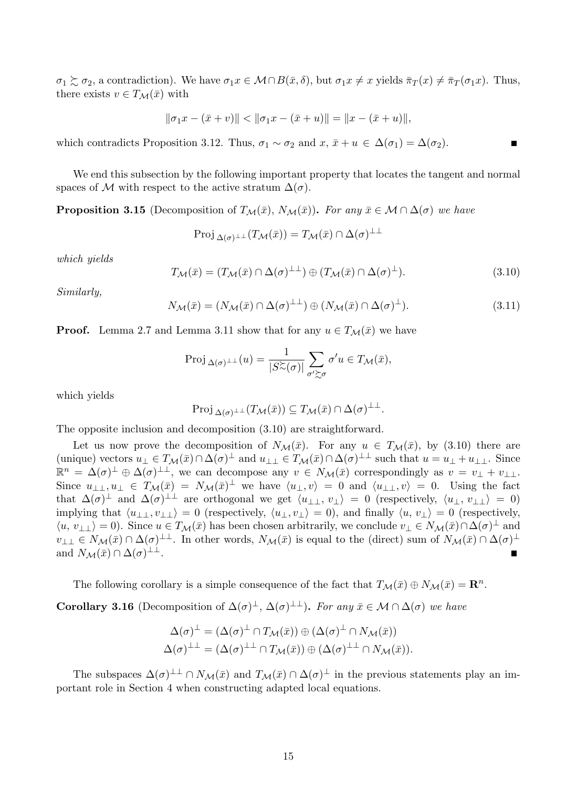$\sigma_1 \succsim \sigma_2$ , a contradiction). We have  $\sigma_1 x \in \mathcal{M} \cap B(\bar{x}, \delta)$ , but  $\sigma_1 x \neq x$  yields  $\bar{\pi}_T(x) \neq \bar{\pi}_T(\sigma_1 x)$ . Thus, there exists  $v \in T_{\mathcal{M}}(\bar{x})$  with

$$
\|\sigma_1 x - (\bar{x} + v)\| < \|\sigma_1 x - (\bar{x} + u)\| = \|x - (\bar{x} + u)\|,
$$

which contradicts Proposition 3.12. Thus,  $\sigma_1 \sim \sigma_2$  and  $x, \bar{x} + u \in \Delta(\sigma_1) = \Delta(\sigma_2)$ .

We end this subsection by the following important property that locates the tangent and normal spaces of M with respect to the active stratum  $\Delta(\sigma)$ .

**Proposition 3.15** (Decomposition of  $T_{\mathcal{M}}(\bar{x}), N_{\mathcal{M}}(\bar{x})$ ). For any  $\bar{x} \in \mathcal{M} \cap \Delta(\sigma)$  we have

$$
\operatorname{Proj}_{\Delta(\sigma)^{\perp\perp}}(T_{\mathcal{M}}(\bar{x})) = T_{\mathcal{M}}(\bar{x}) \cap \Delta(\sigma)^{\perp\perp}
$$

which yields

$$
T_{\mathcal{M}}(\bar{x}) = (T_{\mathcal{M}}(\bar{x}) \cap \Delta(\sigma)^{\perp \perp}) \oplus (T_{\mathcal{M}}(\bar{x}) \cap \Delta(\sigma)^{\perp}). \tag{3.10}
$$

Similarly,

$$
N_{\mathcal{M}}(\bar{x}) = (N_{\mathcal{M}}(\bar{x}) \cap \Delta(\sigma)^{\perp \perp}) \oplus (N_{\mathcal{M}}(\bar{x}) \cap \Delta(\sigma)^{\perp}). \tag{3.11}
$$

**Proof.** Lemma 2.7 and Lemma 3.11 show that for any  $u \in T_{\mathcal{M}}(\bar{x})$  we have

$$
\operatorname{Proj}_{\Delta(\sigma)^{\perp\perp}}(u) = \frac{1}{|S^{\succsim}(\sigma)|} \sum_{\sigma' \succsim \sigma} \sigma' u \in T_{\mathcal{M}}(\bar{x}),
$$

which yields

$$
\operatorname{Proj}_{\Delta(\sigma)^{\perp\perp}}(T_{\mathcal{M}}(\bar{x})) \subseteq T_{\mathcal{M}}(\bar{x}) \cap \Delta(\sigma)^{\perp\perp}.
$$

The opposite inclusion and decomposition (3.10) are straightforward.

Let us now prove the decomposition of  $N_{\mathcal{M}}(\bar{x})$ . For any  $u \in T_{\mathcal{M}}(\bar{x})$ , by (3.10) there are (unique) vectors  $u_{\perp} \in T_{\mathcal{M}}(\bar{x}) \cap \Delta(\sigma)^{\perp}$  and  $u_{\perp\perp} \in T_{\mathcal{M}}(\bar{x}) \cap \Delta(\sigma)^{\perp\perp}$  such that  $u = u_{\perp} + u_{\perp\perp}$ . Since  $\mathbb{R}^n = \Delta(\sigma)^{\perp} \oplus \Delta(\sigma)^{\perp \perp}$ , we can decompose any  $v \in N_{\mathcal{M}}(\bar{x})$  correspondingly as  $v = v_{\perp} + v_{\perp \perp}$ . Since  $u_{\perp\perp}, u_{\perp} \in T_{\mathcal{M}}(\bar{x}) = N_{\mathcal{M}}(\bar{x})^{\perp}$  we have  $\langle u_{\perp}, v \rangle = 0$  and  $\langle u_{\perp\perp}, v \rangle = 0$ . Using the fact that  $\Delta(\sigma)^{\perp}$  and  $\Delta(\sigma)^{\perp\perp}$  are orthogonal we get  $\langle u_{\perp}, v_{\perp} \rangle = 0$  (respectively,  $\langle u_{\perp}, v_{\perp\perp} \rangle = 0$ ) implying that  $\langle u_{\perp\perp}, v_{\perp\perp} \rangle = 0$  (respectively,  $\langle u_{\perp}, v_{\perp} \rangle = 0$ ), and finally  $\langle u, v_{\perp} \rangle = 0$  (respectively,  $\langle u, v_{\perp \perp} \rangle = 0$ ). Since  $u \in T_{\mathcal{M}}(\bar{x})$  has been chosen arbitrarily, we conclude  $v_{\perp} \in N_{\mathcal{M}}(\bar{x}) \cap \Delta(\sigma)^{\perp}$  and  $v_{\perp\perp} \in N_{\mathcal{M}}(\bar{x}) \cap \Delta(\sigma)^{\perp\perp}$ . In other words,  $N_{\mathcal{M}}(\bar{x})$  is equal to the (direct) sum of  $N_{\mathcal{M}}(\bar{x}) \cap \Delta(\sigma)^{\perp}$ and  $N_{\mathcal{M}}(\bar{x}) \cap \Delta(\sigma)^{\perp \perp}$ .

The following corollary is a simple consequence of the fact that  $T_{\mathcal{M}}(\bar{x}) \oplus N_{\mathcal{M}}(\bar{x}) = \mathbb{R}^n$ .

**Corollary 3.16** (Decomposition of  $\Delta(\sigma)^{\perp}$ ,  $\Delta(\sigma)^{\perp \perp}$ ). For any  $\bar{x} \in \mathcal{M} \cap \Delta(\sigma)$  we have

$$
\Delta(\sigma)^{\perp} = (\Delta(\sigma)^{\perp} \cap T_{\mathcal{M}}(\bar{x})) \oplus (\Delta(\sigma)^{\perp} \cap N_{\mathcal{M}}(\bar{x}))
$$
  

$$
\Delta(\sigma)^{\perp \perp} = (\Delta(\sigma)^{\perp \perp} \cap T_{\mathcal{M}}(\bar{x})) \oplus (\Delta(\sigma)^{\perp \perp} \cap N_{\mathcal{M}}(\bar{x})).
$$

The subspaces  $\Delta(\sigma)^{\perp \perp} \cap N_{\mathcal{M}}(\bar{x})$  and  $T_{\mathcal{M}}(\bar{x}) \cap \Delta(\sigma)^{\perp}$  in the previous statements play an important role in Section 4 when constructing adapted local equations.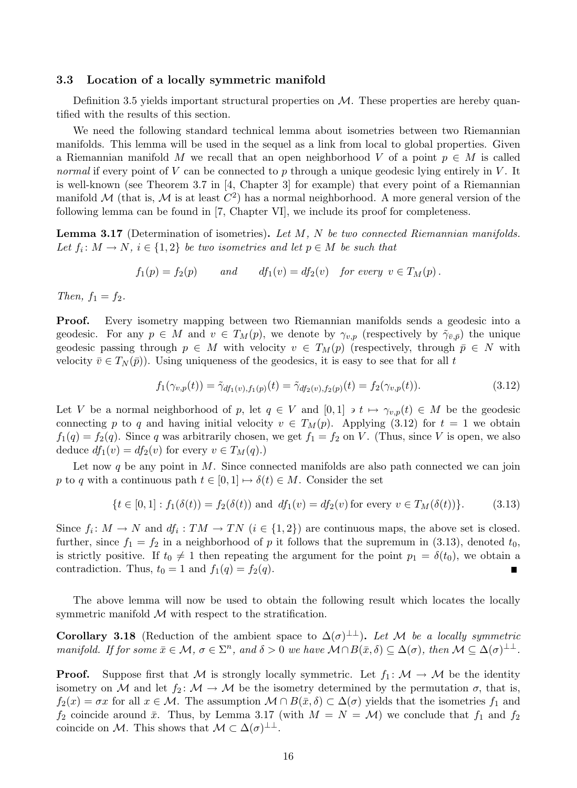#### 3.3 Location of a locally symmetric manifold

Definition 3.5 yields important structural properties on  $M$ . These properties are hereby quantified with the results of this section.

We need the following standard technical lemma about isometries between two Riemannian manifolds. This lemma will be used in the sequel as a link from local to global properties. Given a Riemannian manifold M we recall that an open neighborhood V of a point  $p \in M$  is called normal if every point of V can be connected to p through a unique geodesic lying entirely in V. It is well-known (see Theorem 3.7 in [4, Chapter 3] for example) that every point of a Riemannian manifold M (that is, M is at least  $C^2$ ) has a normal neighborhood. A more general version of the following lemma can be found in [7, Chapter VI], we include its proof for completeness.

**Lemma 3.17** (Determination of isometries). Let  $M$ ,  $N$  be two connected Riemannian manifolds. Let  $f_i \colon M \to N$ ,  $i \in \{1,2\}$  be two isometries and let  $p \in M$  be such that

$$
f_1(p) = f_2(p)
$$
 and  $df_1(v) = df_2(v)$  for every  $v \in T_M(p)$ .

Then,  $f_1 = f_2$ .

**Proof.** Every isometry mapping between two Riemannian manifolds sends a geodesic into a geodesic. For any  $p \in M$  and  $v \in T_M(p)$ , we denote by  $\gamma_{v,p}$  (respectively by  $\tilde{\gamma}_{\bar{v},\bar{p}}$ ) the unique geodesic passing through  $p \in M$  with velocity  $v \in T_M(p)$  (respectively, through  $\bar{p} \in N$  with velocity  $\bar{v} \in T_N(\bar{p})$ . Using uniqueness of the geodesics, it is easy to see that for all t

$$
f_1(\gamma_{v,p}(t)) = \tilde{\gamma}_{df_1(v),f_1(p)}(t) = \tilde{\gamma}_{df_2(v),f_2(p)}(t) = f_2(\gamma_{v,p}(t)).
$$
\n(3.12)

Let V be a normal neighborhood of p, let  $q \in V$  and  $[0,1] \ni t \mapsto \gamma_{v,p}(t) \in M$  be the geodesic connecting p to q and having initial velocity  $v \in T_M(p)$ . Applying (3.12) for  $t = 1$  we obtain  $f_1(q) = f_2(q)$ . Since q was arbitrarily chosen, we get  $f_1 = f_2$  on V. (Thus, since V is open, we also deduce  $df_1(v) = df_2(v)$  for every  $v \in T_M(q)$ .)

Let now q be any point in  $M$ . Since connected manifolds are also path connected we can join p to q with a continuous path  $t \in [0, 1] \mapsto \delta(t) \in M$ . Consider the set

$$
\{t \in [0,1] : f_1(\delta(t)) = f_2(\delta(t)) \text{ and } df_1(v) = df_2(v) \text{ for every } v \in T_M(\delta(t))\}.
$$
 (3.13)

Since  $f_i: M \to N$  and  $df_i: TM \to TN$   $(i \in \{1,2\})$  are continuous maps, the above set is closed. further, since  $f_1 = f_2$  in a neighborhood of p it follows that the supremum in (3.13), denoted  $t_0$ , is strictly positive. If  $t_0 \neq 1$  then repeating the argument for the point  $p_1 = \delta(t_0)$ , we obtain a contradiction. Thus,  $t_0 = 1$  and  $f_1(q) = f_2(q)$ .

The above lemma will now be used to obtain the following result which locates the locally symmetric manifold  $M$  with respect to the stratification.

**Corollary 3.18** (Reduction of the ambient space to  $\Delta(\sigma)^{\perp\perp}$ ). Let M be a locally symmetric manifold. If for some  $\bar{x} \in \mathcal{M}$ ,  $\sigma \in \Sigma^n$ , and  $\delta > 0$  we have  $\mathcal{M} \cap B(\bar{x}, \delta) \subseteq \Delta(\sigma)$ , then  $\mathcal{M} \subseteq \Delta(\sigma)^{\perp \perp}$ .

**Proof.** Suppose first that M is strongly locally symmetric. Let  $f_1: \mathcal{M} \to \mathcal{M}$  be the identity isometry on M and let  $f_2 \colon M \to M$  be the isometry determined by the permutation  $\sigma$ , that is,  $f_2(x) = \sigma x$  for all  $x \in \mathcal{M}$ . The assumption  $\mathcal{M} \cap B(\bar{x}, \delta) \subset \Delta(\sigma)$  yields that the isometries  $f_1$  and  $f_2$  coincide around  $\bar{x}$ . Thus, by Lemma 3.17 (with  $M = N = M$ ) we conclude that  $f_1$  and  $f_2$ coincide on M. This shows that  $\mathcal{M} \subset \Delta(\sigma)^{\perp \perp}$ .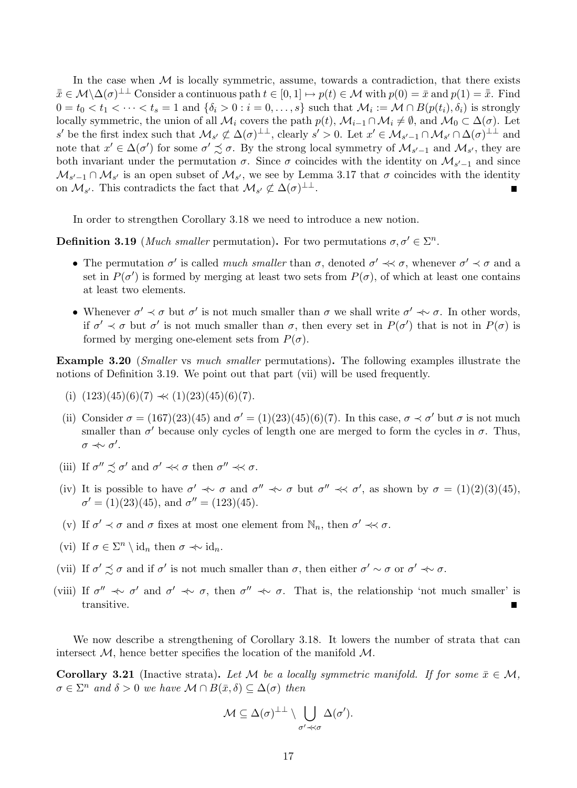In the case when  $\mathcal M$  is locally symmetric, assume, towards a contradiction, that there exists  $\bar{x} \in \mathcal{M} \setminus \Delta(\sigma)^{\perp \perp}$  Consider a continuous path  $t \in [0, 1] \mapsto p(t) \in \mathcal{M}$  with  $p(0) = \bar{x}$  and  $p(1) = \bar{\bar{x}}$ . Find  $0 = t_0 < t_1 < \cdots < t_s = 1$  and  $\{\delta_i > 0 : i = 0, \ldots, s\}$  such that  $\mathcal{M}_i := \mathcal{M} \cap B(p(t_i), \delta_i)$  is strongly locally symmetric, the union of all  $\mathcal{M}_i$  covers the path  $p(t)$ ,  $\mathcal{M}_{i-1} \cap \mathcal{M}_i \neq \emptyset$ , and  $\mathcal{M}_0 \subset \Delta(\sigma)$ . Let s' be the first index such that  $\mathcal{M}_{s'} \not\subset \Delta(\sigma)^{\perp \perp}$ , clearly  $s' > 0$ . Let  $x' \in \mathcal{M}_{s'-1} \cap \mathcal{M}_{s'} \cap \Delta(\sigma)^{\perp \perp}$  and note that  $x' \in \Delta(\sigma')$  for some  $\sigma' \precsim \sigma$ . By the strong local symmetry of  $\mathcal{M}_{s'-1}$  and  $\mathcal{M}_{s'}$ , they are both invariant under the permutation  $\sigma$ . Since  $\sigma$  coincides with the identity on  $\mathcal{M}_{s'-1}$  and since  $\mathcal{M}_{s'-1}\cap\mathcal{M}_{s'}$  is an open subset of  $\mathcal{M}_{s'}$ , we see by Lemma 3.17 that  $\sigma$  coincides with the identity on  $\mathcal{M}_{s'}$ . This contradicts the fact that  $\mathcal{M}_{s'} \not\subset \Delta(\sigma)^{\perp \perp}$ . ۰

In order to strengthen Corollary 3.18 we need to introduce a new notion.

**Definition 3.19** (*Much smaller* permutation). For two permutations  $\sigma, \sigma' \in \Sigma^n$ .

- The permutation  $\sigma'$  is called *much smaller* than  $\sigma$ , denoted  $\sigma' \prec\!\prec \sigma$ , whenever  $\sigma' \prec \sigma$  and a set in  $P(\sigma')$  is formed by merging at least two sets from  $P(\sigma)$ , of which at least one contains at least two elements.
- Whenever  $\sigma' \prec \sigma$  but  $\sigma'$  is not much smaller than  $\sigma$  we shall write  $\sigma' \prec \sigma$ . In other words, if  $\sigma' \prec \sigma$  but  $\sigma'$  is not much smaller than  $\sigma$ , then every set in  $P(\sigma')$  that is not in  $P(\sigma)$  is formed by merging one-element sets from  $P(\sigma)$ .

Example 3.20 (Smaller vs much smaller permutations). The following examples illustrate the notions of Definition 3.19. We point out that part (vii) will be used frequently.

- (i)  $(123)(45)(6)(7) \nless (1)(23)(45)(6)(7)$ .
- (ii) Consider  $\sigma = (167)(23)(45)$  and  $\sigma' = (1)(23)(45)(6)(7)$ . In this case,  $\sigma \prec \sigma'$  but  $\sigma$  is not much smaller than  $\sigma'$  because only cycles of length one are merged to form the cycles in  $\sigma$ . Thus,  $\sigma \nprec~ \sigma'.$
- (iii) If  $\sigma'' \precsim \sigma'$  and  $\sigma' \prec\prec \sigma$  then  $\sigma'' \prec\prec \sigma$ .
- (iv) It is possible to have  $\sigma' \nightharpoonup \sigma$  and  $\sigma'' \nightharpoonup \sigma$  but  $\sigma'' \nightharpoonup \sigma'$ , as shown by  $\sigma = (1)(2)(3)(45)$ ,  $\sigma' = (1)(23)(45)$ , and  $\sigma'' = (123)(45)$ .
- (v) If  $\sigma' \prec \sigma$  and  $\sigma$  fixes at most one element from  $\mathbb{N}_n$ , then  $\sigma' \prec\prec \sigma$ .
- (vi) If  $\sigma \in \Sigma^n \setminus \mathrm{id}_n$  then  $\sigma \nightharpoonup \mathrm{id}_n$ .
- (vii) If  $\sigma' \precsim \sigma$  and if  $\sigma'$  is not much smaller than  $\sigma$ , then either  $\sigma' \sim \sigma$  or  $\sigma' \nightharpoonup \sigma$ .
- (viii) If  $\sigma'' \nightharpoonup \sigma'$  and  $\sigma' \nightharpoonup \sigma$ , then  $\sigma'' \nightharpoonup \sigma$ . That is, the relationship 'not much smaller' is transitive.

We now describe a strengthening of Corollary 3.18. It lowers the number of strata that can intersect  $M$ , hence better specifies the location of the manifold  $M$ .

**Corollary 3.21** (Inactive strata). Let M be a locally symmetric manifold. If for some  $\bar{x} \in \mathcal{M}$ ,  $\sigma \in \Sigma^n$  and  $\delta > 0$  we have  $\mathcal{M} \cap B(\bar{x}, \delta) \subseteq \Delta(\sigma)$  then

$$
\mathcal{M} \subseteq \Delta(\sigma)^{\perp \perp} \setminus \bigcup_{\sigma' \prec\!\prec \sigma} \Delta(\sigma').
$$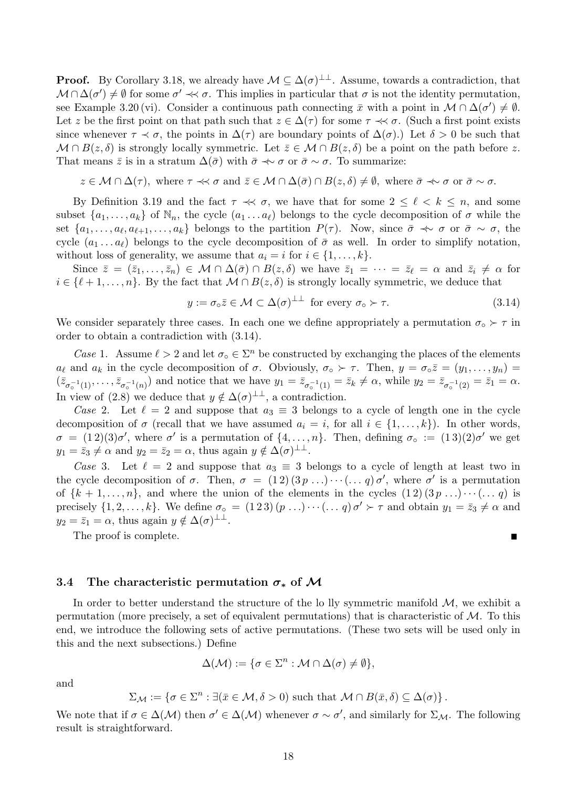**Proof.** By Corollary 3.18, we already have  $M \subseteq \Delta(\sigma)^{\perp \perp}$ . Assume, towards a contradiction, that  $\mathcal{M} \cap \Delta(\sigma') \neq \emptyset$  for some  $\sigma' \prec\prec \sigma$ . This implies in particular that  $\sigma$  is not the identity permutation, see Example 3.20 (vi). Consider a continuous path connecting  $\bar{x}$  with a point in  $\mathcal{M} \cap \Delta(\sigma') \neq \emptyset$ . Let z be the first point on that path such that  $z \in \Delta(\tau)$  for some  $\tau \prec\prec \sigma$ . (Such a first point exists since whenever  $\tau \prec \sigma$ , the points in  $\Delta(\tau)$  are boundary points of  $\Delta(\sigma)$ .) Let  $\delta > 0$  be such that  $\mathcal{M} \cap B(z, \delta)$  is strongly locally symmetric. Let  $\bar{z} \in \mathcal{M} \cap B(z, \delta)$  be a point on the path before z. That means  $\bar{z}$  is in a stratum  $\Delta(\bar{\sigma})$  with  $\bar{\sigma} \prec \sigma$  or  $\bar{\sigma} \sim \sigma$ . To summarize:

$$
z \in \mathcal{M} \cap \Delta(\tau)
$$
, where  $\tau \prec \tau$  and  $\overline{z} \in \mathcal{M} \cap \Delta(\overline{\sigma}) \cap B(z,\delta) \neq \emptyset$ , where  $\overline{\sigma} \prec \tau$  or  $\overline{\sigma} \sim \sigma$ .

By Definition 3.19 and the fact  $\tau \prec \tau$ , we have that for some  $2 \leq \ell \leq k \leq n$ , and some subset  $\{a_1, \ldots, a_k\}$  of  $\mathbb{N}_n$ , the cycle  $(a_1 \ldots a_\ell)$  belongs to the cycle decomposition of  $\sigma$  while the set  $\{a_1, \ldots, a_\ell, a_{\ell+1}, \ldots, a_k\}$  belongs to the partition  $P(\tau)$ . Now, since  $\bar{\sigma} \prec \sigma$  or  $\bar{\sigma} \sim \sigma$ , the cycle  $(a_1 \ldots a_\ell)$  belongs to the cycle decomposition of  $\bar{\sigma}$  as well. In order to simplify notation, without loss of generality, we assume that  $a_i = i$  for  $i \in \{1, \ldots, k\}$ .

Since  $\bar{z} = (\bar{z}_1, \ldots, \bar{z}_n) \in \mathcal{M} \cap \Delta(\bar{\sigma}) \cap B(z, \delta)$  we have  $\bar{z}_1 = \cdots = \bar{z}_\ell = \alpha$  and  $\bar{z}_i \neq \alpha$  for  $i \in {\ell + 1, ..., n}$ . By the fact that  $M \cap B(z, \delta)$  is strongly locally symmetric, we deduce that

$$
y := \sigma_{\circ} \bar{z} \in \mathcal{M} \subset \Delta(\sigma)^{\perp \perp} \text{ for every } \sigma_{\circ} \succ \tau.
$$
 (3.14)

 $\blacksquare$ 

We consider separately three cases. In each one we define appropriately a permutation  $\sigma_{\circ} \succ \tau$  in order to obtain a contradiction with (3.14).

Case 1. Assume  $\ell > 2$  and let  $\sigma_{\circ} \in \Sigma^n$  be constructed by exchanging the places of the elements  $a_\ell$  and  $a_k$  in the cycle decomposition of  $\sigma$ . Obviously,  $\sigma \rightharpoonup \tau$ . Then,  $y = \sigma \rightharpoonup \bar{z} = (y_1, \ldots, y_n) =$  $(\bar{z}_{\sigma_0^{-1}(1)},\ldots,\bar{z}_{\sigma_0^{-1}(n)})$  and notice that we have  $y_1 = \bar{z}_{\sigma_0^{-1}(1)} = \bar{z}_k \neq \alpha$ , while  $y_2 = \bar{z}_{\sigma_0^{-1}(2)} = \bar{z}_1 = \alpha$ . In view of (2.8) we deduce that  $y \notin \Delta(\sigma)^{\perp \perp}$ , a contradiction.

Case 2. Let  $\ell = 2$  and suppose that  $a_3 \equiv 3$  belongs to a cycle of length one in the cycle decomposition of  $\sigma$  (recall that we have assumed  $a_i = i$ , for all  $i \in \{1, ..., k\}$ ). In other words,  $\sigma = (1\,2)(3)\sigma'$ , where  $\sigma'$  is a permutation of  $\{4,\ldots,n\}$ . Then, defining  $\sigma_{\circ} := (1\,3)(2)\sigma'$  we get  $y_1 = \bar{z}_3 \neq \alpha$  and  $y_2 = \bar{z}_2 = \alpha$ , thus again  $y \notin \Delta(\sigma)^{\perp \perp}$ .

Case 3. Let  $\ell = 2$  and suppose that  $a_3 \equiv 3$  belongs to a cycle of length at least two in the cycle decomposition of  $\sigma$ . Then,  $\sigma = (1\,2)(3\,p\ldots)\cdots(\ldots q)\,\sigma'$ , where  $\sigma'$  is a permutation of  $\{k+1,\ldots,n\}$ , and where the union of the elements in the cycles  $(1\,2)\,(3\,p\ldots)\cdots(\ldots q)$  is precisely  $\{1, 2, \ldots, k\}$ . We define  $\sigma_{\circ} = (1\ 2\ 3)(p\ldots) \cdots (\ldots q) \sigma' \succ \tau$  and obtain  $y_1 = \bar{z}_3 \neq \alpha$  and  $y_2 = \bar{z}_1 = \alpha$ , thus again  $y \notin \Delta(\sigma)^{\perp \perp}$ .

The proof is complete.

#### 3.4 The characteristic permutation  $\sigma_*$  of M

In order to better understand the structure of the lo lly symmetric manifold  $M$ , we exhibit a permutation (more precisely, a set of equivalent permutations) that is characteristic of  $\mathcal{M}$ . To this end, we introduce the following sets of active permutations. (These two sets will be used only in this and the next subsections.) Define

$$
\Delta(\mathcal{M}) := \{ \sigma \in \Sigma^n : \mathcal{M} \cap \Delta(\sigma) \neq \emptyset \},\
$$

and

$$
\Sigma_{\mathcal{M}} := \{ \sigma \in \Sigma^n : \exists (\bar{x} \in \mathcal{M}, \delta > 0) \text{ such that } \mathcal{M} \cap B(\bar{x}, \delta) \subseteq \Delta(\sigma) \}.
$$

We note that if  $\sigma \in \Delta(\mathcal{M})$  then  $\sigma' \in \Delta(\mathcal{M})$  whenever  $\sigma \sim \sigma'$ , and similarly for  $\Sigma_{\mathcal{M}}$ . The following result is straightforward.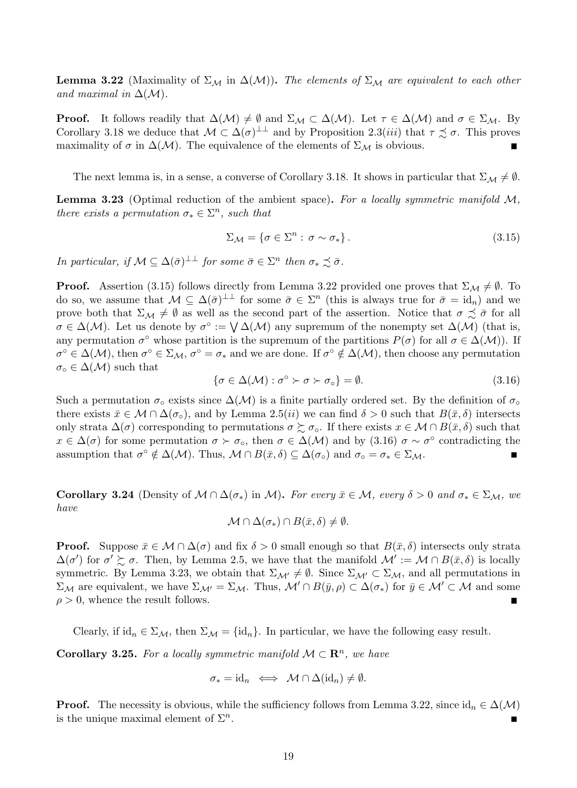**Lemma 3.22** (Maximality of  $\Sigma_M$  in  $\Delta(\mathcal{M})$ ). The elements of  $\Sigma_M$  are equivalent to each other and maximal in  $\Delta(\mathcal{M})$ .

**Proof.** It follows readily that  $\Delta(\mathcal{M}) \neq \emptyset$  and  $\Sigma_{\mathcal{M}} \subset \Delta(\mathcal{M})$ . Let  $\tau \in \Delta(\mathcal{M})$  and  $\sigma \in \Sigma_{\mathcal{M}}$ . By Corollary 3.18 we deduce that  $\mathcal{M} \subset \Delta(\sigma)^{\perp}$  and by Proposition 2.3(*iii*) that  $\tau \precsim \sigma$ . This proves maximality of  $\sigma$  in  $\Delta(\mathcal{M})$ . The equivalence of the elements of  $\Sigma_{\mathcal{M}}$  is obvious. Г

The next lemma is, in a sense, a converse of Corollary 3.18. It shows in particular that  $\Sigma_M \neq \emptyset$ .

**Lemma 3.23** (Optimal reduction of the ambient space). For a locally symmetric manifold  $M$ , there exists a permutation  $\sigma_* \in \Sigma^n$ , such that

$$
\Sigma_{\mathcal{M}} = \{ \sigma \in \Sigma^n : \sigma \sim \sigma_* \}.
$$
\n(3.15)

In particular, if  $\mathcal{M} \subseteq \Delta(\bar{\sigma})^{\perp \perp}$  for some  $\bar{\sigma} \in \Sigma^n$  then  $\sigma_* \precsim \bar{\sigma}$ .

**Proof.** Assertion (3.15) follows directly from Lemma 3.22 provided one proves that  $\Sigma_M \neq \emptyset$ . To do so, we assume that  $M \subseteq \Delta(\bar{\sigma})^{\perp\perp}$  for some  $\bar{\sigma} \in \Sigma^n$  (this is always true for  $\bar{\sigma} = id_n$ ) and we prove both that  $\Sigma_M \neq \emptyset$  as well as the second part of the assertion. Notice that  $\sigma \precsim \bar{\sigma}$  for all  $\sigma \in \Delta(\mathcal{M})$ . Let us denote by  $\sigma^{\circ} := \bigvee \Delta(\mathcal{M})$  any supremum of the nonempty set  $\Delta(\mathcal{M})$  (that is, any permutation  $\sigma^{\circ}$  whose partition is the supremum of the partitions  $P(\sigma)$  for all  $\sigma \in \Delta(\mathcal{M})$ . If  $\sigma^{\circ} \in \Delta(\mathcal{M})$ , then  $\sigma^{\circ} \in \Sigma_{\mathcal{M}}, \sigma^{\circ} = \sigma_*$  and we are done. If  $\sigma^{\circ} \notin \Delta(\mathcal{M})$ , then choose any permutation  $\sigma_{\rm o} \in \Delta(\mathcal{M})$  such that

$$
\{\sigma \in \Delta(\mathcal{M}) : \sigma^{\circ} \succ \sigma \succ \sigma_{\circ}\} = \emptyset. \tag{3.16}
$$

Such a permutation  $\sigma_{\circ}$  exists since  $\Delta(\mathcal{M})$  is a finite partially ordered set. By the definition of  $\sigma_{\circ}$ there exists  $\bar{x} \in \mathcal{M} \cap \Delta(\sigma_{\circ})$ , and by Lemma 2.5(*ii*) we can find  $\delta > 0$  such that  $B(\bar{x}, \delta)$  intersects only strata  $\Delta(\sigma)$  corresponding to permutations  $\sigma \succsim \sigma$ . If there exists  $x \in \mathcal{M} \cap B(\bar{x}, \delta)$  such that  $x \in \Delta(\sigma)$  for some permutation  $\sigma \succ \sigma_{\circ}$ , then  $\sigma \in \Delta(\mathcal{M})$  and by (3.16)  $\sigma \sim \sigma^{\circ}$  contradicting the assumption that  $\sigma^{\circ} \notin \Delta(\mathcal{M})$ . Thus,  $\mathcal{M} \cap B(\bar{x}, \delta) \subseteq \Delta(\sigma_{\circ})$  and  $\sigma_{\circ} = \sigma_{*} \in \Sigma_{\mathcal{M}}$ .

**Corollary 3.24** (Density of  $M \cap \Delta(\sigma_*)$  in M). For every  $\bar{x} \in M$ , every  $\delta > 0$  and  $\sigma_* \in \Sigma_M$ , we have

$$
\mathcal{M} \cap \Delta(\sigma_*) \cap B(\bar{x}, \delta) \neq \emptyset.
$$

**Proof.** Suppose  $\bar{x} \in \mathcal{M} \cap \Delta(\sigma)$  and fix  $\delta > 0$  small enough so that  $B(\bar{x}, \delta)$  intersects only strata  $\Delta(\sigma')$  for  $\sigma' \succsim \sigma$ . Then, by Lemma 2.5, we have that the manifold  $\mathcal{M}' := \mathcal{M} \cap B(\bar{x}, \delta)$  is locally symmetric. By Lemma 3.23, we obtain that  $\Sigma_{\mathcal{M}'}\neq\emptyset$ . Since  $\Sigma_{\mathcal{M}'}\subset\Sigma_{\mathcal{M}}$ , and all permutations in  $\Sigma_M$  are equivalent, we have  $\Sigma_{\mathcal{M}'} = \Sigma_{\mathcal{M}}$ . Thus,  $\mathcal{M}' \cap B(\bar{y}, \rho) \subset \Delta(\sigma_*)$  for  $\bar{y} \in \mathcal{M}' \subset \mathcal{M}$  and some  $\rho > 0$ , whence the result follows.

Clearly, if  $id_n \in \Sigma_{\mathcal{M}}$ , then  $\Sigma_{\mathcal{M}} = \{id_n\}$ . In particular, we have the following easy result.

**Corollary 3.25.** For a locally symmetric manifold  $\mathcal{M} \subset \mathbb{R}^n$ , we have

$$
\sigma_* = \mathrm{id}_n \iff \mathcal{M} \cap \Delta(\mathrm{id}_n) \neq \emptyset.
$$

**Proof.** The necessity is obvious, while the sufficiency follows from Lemma 3.22, since  $id_n \in \Delta(\mathcal{M})$ is the unique maximal element of  $\Sigma<sup>n</sup>$ .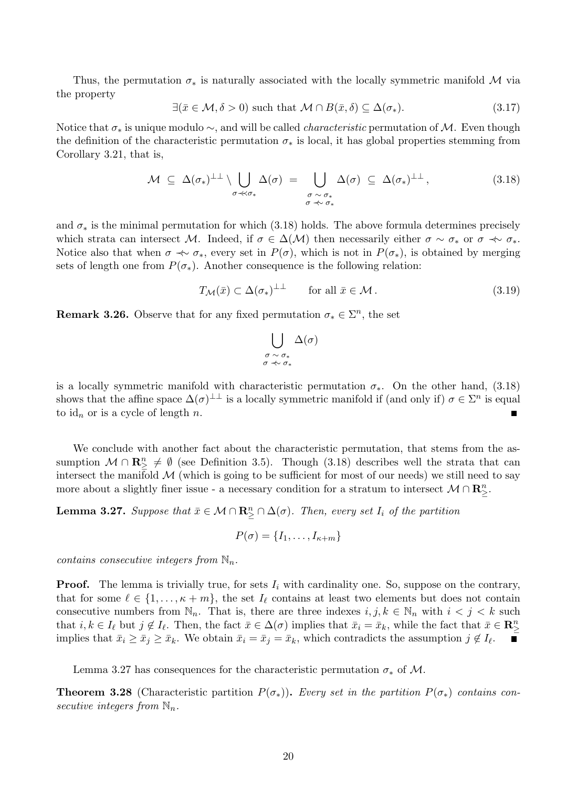Thus, the permutation  $\sigma_*$  is naturally associated with the locally symmetric manifold M via the property

$$
\exists (\bar{x} \in \mathcal{M}, \delta > 0) \text{ such that } \mathcal{M} \cap B(\bar{x}, \delta) \subseteq \Delta(\sigma_{*}).
$$
\n(3.17)

Notice that  $\sigma_*$  is unique modulo  $\sim$ , and will be called *characteristic* permutation of M. Even though the definition of the characteristic permutation  $\sigma_*$  is local, it has global properties stemming from Corollary 3.21, that is,

$$
\mathcal{M} \subseteq \Delta(\sigma_*)^{\perp\perp} \setminus \bigcup_{\substack{\sigma \prec \sigma_* \\ \sigma \prec \sigma_*}} \Delta(\sigma) = \bigcup_{\substack{\sigma \sim \sigma_* \\ \sigma \prec \sigma_*}} \Delta(\sigma) \subseteq \Delta(\sigma_*)^{\perp\perp}, \tag{3.18}
$$

and  $\sigma_*$  is the minimal permutation for which (3.18) holds. The above formula determines precisely which strata can intersect M. Indeed, if  $\sigma \in \Delta(\mathcal{M})$  then necessarily either  $\sigma \sim \sigma_*$  or  $\sigma \nleftrightarrow \sigma_*$ . Notice also that when  $\sigma \nleftrightarrow \sigma_*$ , every set in  $P(\sigma)$ , which is not in  $P(\sigma_*)$ , is obtained by merging sets of length one from  $P(\sigma_*)$ . Another consequence is the following relation:

$$
T_{\mathcal{M}}(\bar{x}) \subset \Delta(\sigma_*)^{\perp \perp} \qquad \text{for all } \bar{x} \in \mathcal{M} \,.
$$
 (3.19)

**Remark 3.26.** Observe that for any fixed permutation  $\sigma_* \in \Sigma^n$ , the set

$$
\bigcup_{\substack{\sigma \sim \sigma_* \\ \sigma \prec \sim \sigma_*}} \Delta(\sigma)
$$

is a locally symmetric manifold with characteristic permutation  $\sigma_*$ . On the other hand, (3.18) shows that the affine space  $\Delta(\sigma)^{\perp\perp}$  is a locally symmetric manifold if (and only if)  $\sigma \in \Sigma^n$  is equal to  $id_n$  or is a cycle of length n.

We conclude with another fact about the characteristic permutation, that stems from the assumption  $M \cap \mathbb{R}^n \geq \emptyset$  (see Definition 3.5). Though (3.18) describes well the strata that can intersect the manifold  $\mathcal M$  (which is going to be sufficient for most of our needs) we still need to say more about a slightly finer issue - a necessary condition for a stratum to intersect  $\mathcal{M} \cap \mathbb{R}^n_{\geq 0}$ .

**Lemma 3.27.** Suppose that  $\bar{x} \in \mathcal{M} \cap \mathbb{R}_{\geq}^n \cap \Delta(\sigma)$ . Then, every set  $I_i$  of the partition

$$
P(\sigma) = \{I_1, \ldots, I_{\kappa+m}\}
$$

contains consecutive integers from  $\mathbb{N}_n$ .

**Proof.** The lemma is trivially true, for sets  $I_i$  with cardinality one. So, suppose on the contrary, that for some  $\ell \in \{1, \ldots, \kappa + m\}$ , the set  $I_\ell$  contains at least two elements but does not contain consecutive numbers from  $\mathbb{N}_n$ . That is, there are three indexes  $i, j, k \in \mathbb{N}_n$  with  $i < j < k$  such that  $i, k \in I_\ell$  but  $j \notin I_\ell$ . Then, the fact  $\bar{x} \in \Delta(\sigma)$  implies that  $\bar{x}_i = \bar{x}_k$ , while the fact that  $\bar{x} \in \mathbb{R}^n_{\geq 0}$ implies that  $\bar{x}_i \ge \bar{x}_j \ge \bar{x}_k$ . We obtain  $\bar{x}_i = \bar{x}_j = \bar{x}_k$ , which contradicts the assumption  $j \notin I_\ell$ . П

Lemma 3.27 has consequences for the characteristic permutation  $\sigma_*$  of M.

**Theorem 3.28** (Characteristic partition  $P(\sigma_*)$ ). Every set in the partition  $P(\sigma_*)$  contains consecutive integers from  $\mathbb{N}_n$ .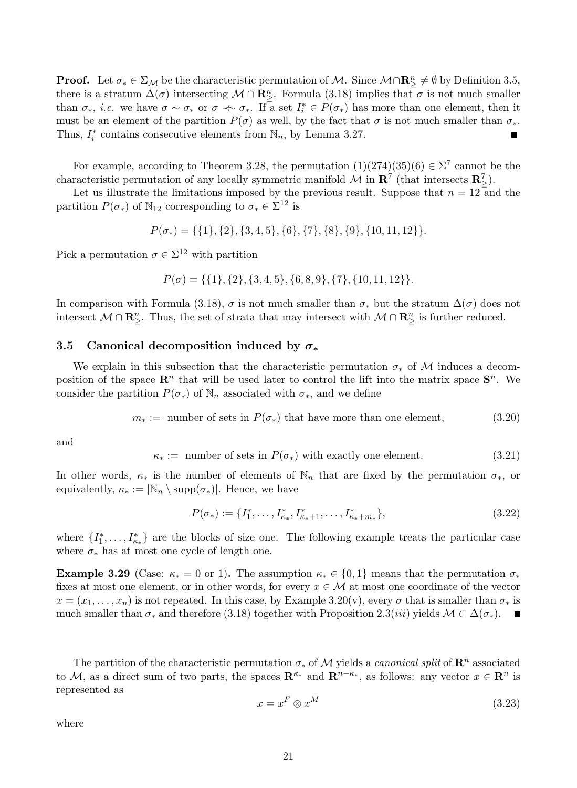**Proof.** Let  $\sigma_* \in \Sigma_{\mathcal{M}}$  be the characteristic permutation of M. Since  $\mathcal{M} \cap \mathbb{R}^n \neq \emptyset$  by Definition 3.5, there is a stratum  $\Delta(\sigma)$  intersecting  $\mathcal{M} \cap \mathbb{R}^n_2$ . Formula (3.18) implies that  $\sigma$  is not much smaller than  $\sigma_*$ , *i.e.* we have  $\sigma \sim \sigma_*$  or  $\sigma \nleftrightarrow \sigma_*$ . If a set  $I_i^* \in P(\sigma_*)$  has more than one element, then it must be an element of the partition  $P(\sigma)$  as well, by the fact that  $\sigma$  is not much smaller than  $\sigma_*$ . Thus,  $I_i^*$  contains consecutive elements from  $\mathbb{N}_n$ , by Lemma 3.27.

For example, according to Theorem 3.28, the permutation  $(1)(274)(35)(6) \in \Sigma^7$  cannot be the characteristic permutation of any locally symmetric manifold  $\mathcal{M}$  in  $\mathbb{R}^7$  (that intersects  $\mathbb{R}^7_{\geq}$ ).

Let us illustrate the limitations imposed by the previous result. Suppose that  $n = 12$  and the partition  $P(\sigma_*)$  of  $\mathbb{N}_{12}$  corresponding to  $\sigma_* \in \Sigma^{12}$  is

$$
P(\sigma_*) = \{\{1\}, \{2\}, \{3, 4, 5\}, \{6\}, \{7\}, \{8\}, \{9\}, \{10, 11, 12\}\}.
$$

Pick a permutation  $\sigma \in \Sigma^{12}$  with partition

$$
P(\sigma) = \{ \{1\}, \{2\}, \{3, 4, 5\}, \{6, 8, 9\}, \{7\}, \{10, 11, 12\} \}.
$$

In comparison with Formula (3.18),  $\sigma$  is not much smaller than  $\sigma_*$  but the stratum  $\Delta(\sigma)$  does not intersect  $\mathcal{M} \cap \mathbb{R}^n_{\geq}$ . Thus, the set of strata that may intersect with  $\mathcal{M} \cap \mathbb{R}^n_{\geq}$  is further reduced.

#### 3.5 Canonical decomposition induced by  $\sigma_*$

We explain in this subsection that the characteristic permutation  $\sigma_*$  of M induces a decomposition of the space  $\mathbb{R}^n$  that will be used later to control the lift into the matrix space  $\mathbb{S}^n$ . We consider the partition  $P(\sigma_*)$  of  $\mathbb{N}_n$  associated with  $\sigma_*$ , and we define

$$
m_* :=
$$
 number of sets in  $P(\sigma_*)$  that have more than one element, (3.20)

and

$$
\kappa_* := \text{ number of sets in } P(\sigma_*) \text{ with exactly one element.} \tag{3.21}
$$

In other words,  $\kappa_*$  is the number of elements of  $\mathbb{N}_n$  that are fixed by the permutation  $\sigma_*$ , or equivalently,  $\kappa_* := |\mathbb{N}_n \setminus \text{supp}(\sigma_*)|$ . Hence, we have

$$
P(\sigma_*) := \{I_1^*, \dots, I_{\kappa_*}^*, I_{\kappa_*+1}^*, \dots, I_{\kappa_*+m_*}^*\},\tag{3.22}
$$

where  $\{I_1^*,\ldots,I_{\kappa_*}^*\}$  are the blocks of size one. The following example treats the particular case where  $\sigma_*$  has at most one cycle of length one.

**Example 3.29** (Case:  $\kappa_* = 0$  or 1). The assumption  $\kappa_* \in \{0, 1\}$  means that the permutation  $\sigma_*$ fixes at most one element, or in other words, for every  $x \in \mathcal{M}$  at most one coordinate of the vector  $x = (x_1, \ldots, x_n)$  is not repeated. In this case, by Example 3.20(v), every  $\sigma$  that is smaller than  $\sigma_*$  is much smaller than  $\sigma_*$  and therefore (3.18) together with Proposition 2.3(*iii*) yields  $\mathcal{M} \subset \Delta(\sigma_*)$ .  $\blacksquare$ 

The partition of the characteristic permutation  $\sigma_*$  of M yields a *canonical split* of  $\mathbb{R}^n$  associated to M, as a direct sum of two parts, the spaces  $\mathbf{R}^{\kappa_*}$  and  $\mathbf{R}^{n-\kappa_*}$ , as follows: any vector  $x \in \mathbf{R}^n$  is represented as

$$
x = x^F \otimes x^M \tag{3.23}
$$

where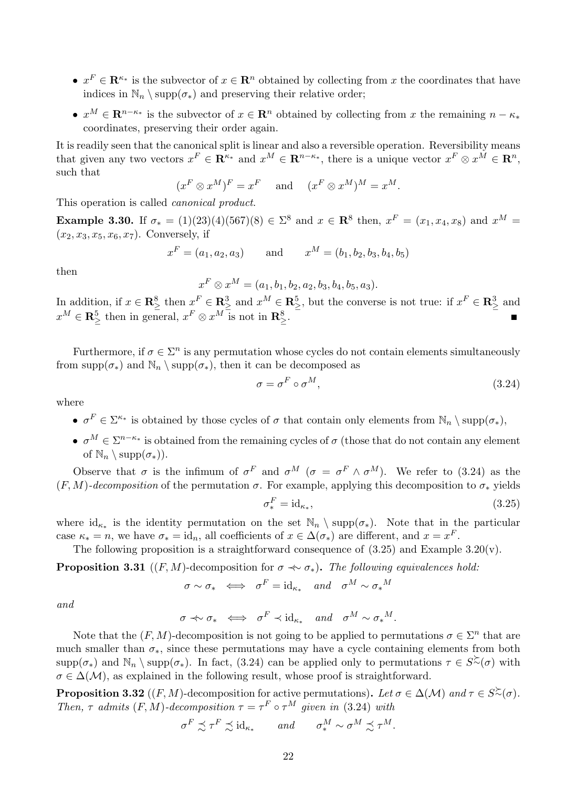- $x^F \in \mathbf{R}^{\kappa_*}$  is the subvector of  $x \in \mathbf{R}^n$  obtained by collecting from x the coordinates that have indices in  $\mathbb{N}_n \setminus \text{supp}(\sigma_*)$  and preserving their relative order;
- $x^M \in \mathbb{R}^{n-\kappa_*}$  is the subvector of  $x \in \mathbb{R}^n$  obtained by collecting from x the remaining  $n-\kappa_*$ coordinates, preserving their order again.

It is readily seen that the canonical split is linear and also a reversible operation. Reversibility means that given any two vectors  $x^F \in \mathbf{R}^{\kappa_*}$  and  $x^M \in \mathbf{R}^{n-\kappa_*}$ , there is a unique vector  $x^F \otimes x^M \in \mathbf{R}^n$ , such that

$$
(x^F \otimes x^M)^F = x^F
$$
 and  $(x^F \otimes x^M)^M = x^M$ .

This operation is called canonical product.

**Example 3.30.** If  $\sigma_* = (1)(23)(4)(567)(8) \in \Sigma^8$  and  $x \in \mathbb{R}^8$  then,  $x^F = (x_1, x_4, x_8)$  and  $x^M =$  $(x_2, x_3, x_5, x_6, x_7)$ . Conversely, if

$$
x^F = (a_1, a_2, a_3)
$$
 and  $x^M = (b_1, b_2, b_3, b_4, b_5)$ 

then

$$
x^F \otimes x^M = (a_1, b_1, b_2, a_2, b_3, b_4, b_5, a_3).
$$

In addition, if  $x \in \mathbb{R}^8_\ge$  then  $x^F \in \mathbb{R}^3_\ge$  and  $x^M \in \mathbb{R}^5_\ge$ , but the converse is not true: if  $x^F \in \mathbb{R}^3_\ge$  and  $x^M \in \mathbb{R}^5_\geq$  then in general,  $x^F \otimes x^M$  is not in  $\mathbb{R}^8_\geq$ .

Furthermore, if  $\sigma \in \Sigma^n$  is any permutation whose cycles do not contain elements simultaneously from supp $(\sigma_*)$  and  $\mathbb{N}_n \setminus \text{supp}(\sigma_*)$ , then it can be decomposed as

$$
\sigma = \sigma^F \circ \sigma^M,\tag{3.24}
$$

where

- $\sigma^F \in \Sigma^{\kappa_*}$  is obtained by those cycles of  $\sigma$  that contain only elements from  $\mathbb{N}_n \setminus \text{supp}(\sigma_*)$ ,
- $\sigma^M \in \Sigma^{n-\kappa_*}$  is obtained from the remaining cycles of  $\sigma$  (those that do not contain any element of  $\mathbb{N}_n \setminus \text{supp}(\sigma_*)$ ).

Observe that  $\sigma$  is the infimum of  $\sigma^F$  and  $\sigma^M$  ( $\sigma = \sigma^F \wedge \sigma^M$ ). We refer to (3.24) as the  $(F, M)$ -decomposition of the permutation  $\sigma$ . For example, applying this decomposition to  $\sigma_*$  yields

$$
\sigma_*^F = \mathrm{id}_{\kappa_*},\tag{3.25}
$$

where  $id_{\kappa_*}$  is the identity permutation on the set  $\mathbb{N}_n \setminus \text{supp}(\sigma_*)$ . Note that in the particular case  $\kappa_* = n$ , we have  $\sigma_* = id_n$ , all coefficients of  $x \in \Delta(\sigma_*)$  are different, and  $x = x^F$ .

The following proposition is a straightforward consequence of  $(3.25)$  and Example 3.20(v).

**Proposition 3.31** ((F, M)-decomposition for  $\sigma \nleftrightarrow \sigma_*$ ). The following equivalences hold:

$$
\sigma \sim \sigma_* \iff \sigma^F = \mathrm{id}_{\kappa_*} \quad and \quad \sigma^M \sim \sigma_*^M
$$

and

$$
\sigma \prec \sigma_* \iff \sigma^F \prec \mathrm{id}_{\kappa_*} \quad and \quad \sigma^M \sim \sigma_*^M.
$$

Note that the  $(F, M)$ -decomposition is not going to be applied to permutations  $\sigma \in \Sigma^n$  that are much smaller than  $\sigma_*$ , since these permutations may have a cycle containing elements from both  $\text{supp}(\sigma_*)$  and  $\mathbb{N}_n \setminus \text{supp}(\sigma_*)$ . In fact, (3.24) can be applied only to permutations  $\tau \in S^{\succsim}(\sigma)$  with  $\sigma \in \Delta(\mathcal{M})$ , as explained in the following result, whose proof is straightforward.

**Proposition 3.32** ((F, M)-decomposition for active permutations). Let  $\sigma \in \Delta(\mathcal{M})$  and  $\tau \in S^{\gtrsim}(\sigma)$ . Then,  $\tau$  admits  $(F, M)$ -decomposition  $\tau = \tau^F \circ \tau^M$  given in (3.24) with

$$
\sigma^F \precsim \tau^F \precsim \mathrm{id}_{\kappa_*} \qquad and \qquad \sigma^M_* \sim \sigma^M \precsim \tau^M.
$$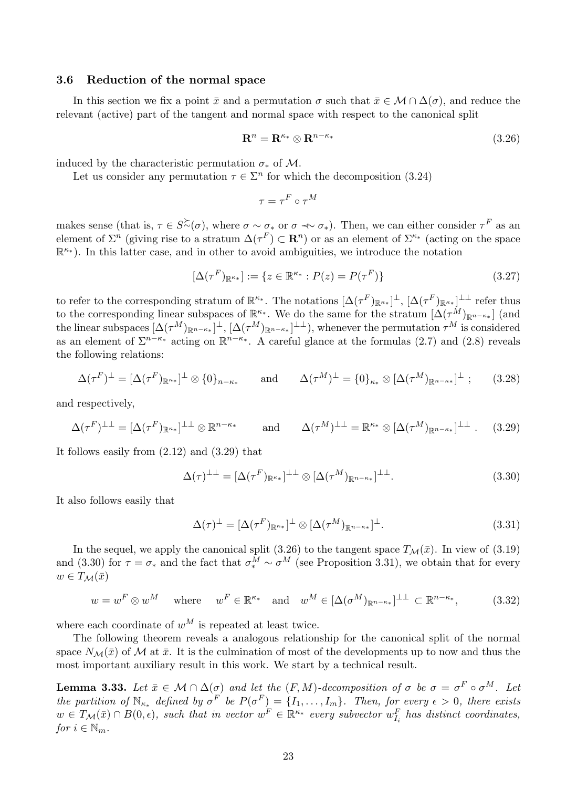#### 3.6 Reduction of the normal space

In this section we fix a point  $\bar{x}$  and a permutation  $\sigma$  such that  $\bar{x} \in \mathcal{M} \cap \Delta(\sigma)$ , and reduce the relevant (active) part of the tangent and normal space with respect to the canonical split

$$
\mathbf{R}^n = \mathbf{R}^{\kappa_*} \otimes \mathbf{R}^{n-\kappa_*} \tag{3.26}
$$

induced by the characteristic permutation  $\sigma_*$  of M.

Let us consider any permutation  $\tau \in \Sigma^n$  for which the decomposition (3.24)

$$
\tau=\tau^F\circ\tau^M
$$

makes sense (that is,  $\tau \in S^{\sim}(\sigma)$ , where  $\sigma \sim \sigma_*$  or  $\sigma \nleftrightarrow \sigma_*$ ). Then, we can either consider  $\tau^F$  as an element of  $\Sigma^n$  (giving rise to a stratum  $\Delta(\tau^F) \subset \mathbf{R}^n$ ) or as an element of  $\Sigma^{\kappa_*}$  (acting on the space R <sup>κ</sup><sup>∗</sup> ). In this latter case, and in other to avoid ambiguities, we introduce the notation

$$
[\Delta(\tau^F)_{\mathbb{R}^{k*}}] := \{ z \in \mathbb{R}^{k*} : P(z) = P(\tau^F) \}
$$
\n(3.27)

to refer to the corresponding stratum of  $\mathbb{R}^{\kappa_*}$ . The notations  $[\Delta(\tau^F)_{\mathbb{R}^{\kappa_*}}]^{\perp}$ ,  $[\Delta(\tau^F)_{\mathbb{R}^{\kappa_*}}]^{\perp\perp}$  refer thus to the corresponding linear subspaces of  $\mathbb{R}^{\kappa_*}$ . We do the same for the stratum  $[\Delta(\tau^M)_{\mathbb{R}^{n-\kappa_*}}]$  (and the linear subspaces  $[\Delta(\tau^M)_{\mathbb{R}^{n-k}}]^{\perp}, [\Delta(\tau^M)_{\mathbb{R}^{n-k}}]^{\perp\perp}$ , whenever the permutation  $\tau^M$  is considered as an element of  $\Sigma^{n-\kappa_*}$  acting on  $\mathbb{R}^{n-\kappa_*}$ . A careful glance at the formulas (2.7) and (2.8) reveals the following relations:

$$
\Delta(\tau^F)^{\perp} = [\Delta(\tau^F)_{\mathbb{R}^{\kappa_*}}]^{\perp} \otimes \{0\}_{n-\kappa_*} \quad \text{and} \quad \Delta(\tau^M)^{\perp} = \{0\}_{\kappa_*} \otimes [\Delta(\tau^M)_{\mathbb{R}^{n-\kappa_*}}]^{\perp} ; \quad (3.28)
$$

and respectively,

$$
\Delta(\tau^F)^{\perp\perp} = [\Delta(\tau^F)_{\mathbb{R}^{\kappa_*}}]^{\perp\perp} \otimes \mathbb{R}^{n-\kappa_*} \quad \text{and} \quad \Delta(\tau^M)^{\perp\perp} = \mathbb{R}^{\kappa_*} \otimes [\Delta(\tau^M)_{\mathbb{R}^{n-\kappa_*}}]^{\perp\perp} . \quad (3.29)
$$

It follows easily from (2.12) and (3.29) that

$$
\Delta(\tau)^{\perp\perp} = [\Delta(\tau^F)_{\mathbb{R}^{\kappa_*}}]^{\perp\perp} \otimes [\Delta(\tau^M)_{\mathbb{R}^{n-\kappa_*}}]^{\perp\perp}.
$$
\n(3.30)

It also follows easily that

$$
\Delta(\tau)^{\perp} = [\Delta(\tau^F)_{\mathbb{R}^{\kappa_*}}]^{\perp} \otimes [\Delta(\tau^M)_{\mathbb{R}^{n-\kappa_*}}]^{\perp}.
$$
\n(3.31)

In the sequel, we apply the canonical split (3.26) to the tangent space  $T_M(\bar{x})$ . In view of (3.19) and (3.30) for  $\tau = \sigma_*$  and the fact that  $\sigma_*^M \sim \sigma^M$  (see Proposition 3.31), we obtain that for every  $w \in T_{\mathcal{M}}(\bar{x})$ 

$$
w = w^F \otimes w^M
$$
 where  $w^F \in \mathbb{R}^{\kappa_*}$  and  $w^M \in [\Delta(\sigma^M)_{\mathbb{R}^{n-\kappa_*}}]^{\perp \perp} \subset \mathbb{R}^{n-\kappa_*}$ , (3.32)

where each coordinate of  $w^M$  is repeated at least twice.

The following theorem reveals a analogous relationship for the canonical split of the normal space  $N_{\mathcal{M}}(\bar{x})$  of  $\mathcal M$  at  $\bar{x}$ . It is the culmination of most of the developments up to now and thus the most important auxiliary result in this work. We start by a technical result.

**Lemma 3.33.** Let  $\bar{x} \in \mathcal{M} \cap \Delta(\sigma)$  and let the  $(F, M)$ -decomposition of  $\sigma$  be  $\sigma = \sigma^F \circ \sigma^M$ . Let the partition of  $\mathbb{N}_{\kappa_*}$  defined by  $\sigma^F$  be  $P(\sigma^F) = \{I_1, \ldots, I_m\}$ . Then, for every  $\epsilon > 0$ , there exists  $w \in T_{\mathcal{M}}(\bar{x}) \cap B(0, \epsilon)$ , such that in vector  $w^F \in \mathbb{R}^{\kappa_*}$  every subvector  $w^F_{I_i}$  has distinct coordinates, for  $i \in \mathbb{N}_m$ .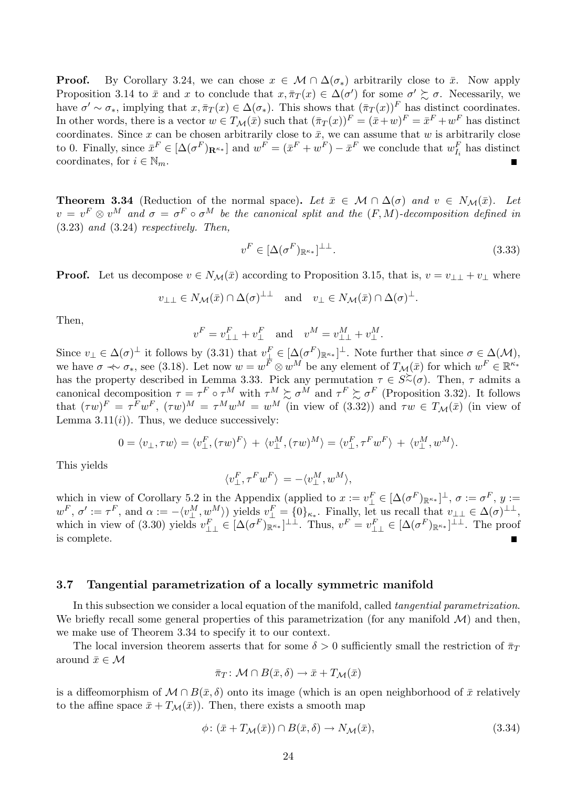**Proof.** By Corollary 3.24, we can chose  $x \in \mathcal{M} \cap \Delta(\sigma_*)$  arbitrarily close to  $\bar{x}$ . Now apply Proposition 3.14 to  $\bar{x}$  and x to conclude that  $x, \bar{\pi}_T(x) \in \Delta(\sigma')$  for some  $\sigma' \succsim \sigma$ . Necessarily, we have  $\sigma' \sim \sigma_*$ , implying that  $x, \overline{\pi}_T(x) \in \Delta(\sigma_*)$ . This shows that  $(\overline{\pi}_T(x))^F$  has distinct coordinates. In other words, there is a vector  $w \in T_{\mathcal{M}}(\bar{x})$  such that  $(\bar{\pi}_T(x))^F = (\bar{x} + w)^F = \bar{x}^F + w^F$  has distinct coordinates. Since x can be chosen arbitrarily close to  $\bar{x}$ , we can assume that w is arbitrarily close to 0. Finally, since  $\bar{x}^F \in [\Delta(\sigma^F)_{\mathbf{R}^{\kappa_*}}]$  and  $w^F = (\bar{x}^F + w^F) - \bar{x}^F$  we conclude that  $w_{I_i}^F$  has distinct coordinates, for  $i \in \mathbb{N}_m$ .

**Theorem 3.34** (Reduction of the normal space). Let  $\bar{x} \in \mathcal{M} \cap \Delta(\sigma)$  and  $v \in N_{\mathcal{M}}(\bar{x})$ . Let  $v = v^F \otimes v^M$  and  $\sigma = \sigma^F \circ \sigma^M$  be the canonical split and the  $(F, M)$ -decomposition defined in (3.23) and (3.24) respectively. Then,

$$
v^F \in [\Delta(\sigma^F)_{\mathbb{R}^{\kappa_*}}]^{\perp \perp}.
$$
\n(3.33)

**Proof.** Let us decompose  $v \in N_{\mathcal{M}}(\bar{x})$  according to Proposition 3.15, that is,  $v = v_{\perp\perp} + v_{\perp}$  where

$$
v_{\perp\perp} \in N_{\mathcal{M}}(\bar{x}) \cap \Delta(\sigma)^{\perp\perp} \quad \text{and} \quad v_{\perp} \in N_{\mathcal{M}}(\bar{x}) \cap \Delta(\sigma)^{\perp}.
$$

Then,

$$
v^F = v_{\perp\perp}^F + v_{\perp}^F
$$
 and  $v^M = v_{\perp\perp}^M + v_{\perp}^M$ .

Since  $v_{\perp} \in \Delta(\sigma)^{\perp}$  it follows by  $(3.31)$  that  $v_{\perp}^{F} \in [\Delta(\sigma^{F})_{\mathbb{R}^{\kappa_{*}}}]^{\perp}$ . Note further that since  $\sigma \in \Delta(\mathcal{M})$ , we have  $\sigma \nleftrightarrow \sigma_*$ , see (3.18). Let now  $w = w^{\overline{F}} \otimes w^{\overline{M}}$  be any element of  $T_{\mathcal{M}}(\bar{x})$  for which  $w^F \in \mathbb{R}^{\kappa_*}$ has the property described in Lemma 3.33. Pick any permutation  $\tau \in S^{\gtrsim}(\sigma)$ . Then,  $\tau$  admits a canonical decomposition  $\tau = \tau^F \circ \tau^M$  with  $\tau^M \succsim \sigma^M$  and  $\tau^F \succsim \sigma^F$  (Proposition 3.32). It follows that  $(\tau w)^F = \tau^F w^F$ ,  $(\tau w)^M = \tau^M w^M = w^M$  (in view of (3.32)) and  $\tau w \in T_M(\bar{x})$  (in view of Lemma 3.11 $(i)$ ). Thus, we deduce successively:

$$
0 = \langle v_{\perp}, \tau w \rangle = \langle v_{\perp}^F, (\tau w)^F \rangle + \langle v_{\perp}^M, (\tau w)^M \rangle = \langle v_{\perp}^F, \tau^F w^F \rangle + \langle v_{\perp}^M, w^M \rangle.
$$

This yields

$$
\langle v_\perp^F, \tau^F w^F \rangle \, = - \langle v_\perp^M, w^M \rangle,
$$

which in view of Corollary 5.2 in the Appendix (applied to  $x := v_{\perp}^F \in [\Delta(\sigma^F)_{\mathbb{R}^{\kappa_*}}]^{\perp}$ ,  $\sigma := \sigma^F$ ,  $y :=$  $w^F$ ,  $\sigma' := \tau^F$ , and  $\alpha := -\langle v^M_{\perp}, w^M_{\perp} \rangle$  yields  $v^F_{\perp} = \{0\}_{\kappa_*}$ . Finally, let us recall that  $v_{\perp \perp} \in \Delta(\sigma)^{\perp \perp}$ , which in view of (3.30) yields  $v_{\perp\perp}^F \in [\Delta(\sigma^F)_{\mathbb{R}^{\kappa_*}}]^{\perp\perp}$ . Thus,  $v^F = v_{\perp\perp}^F \in [\Delta(\sigma^F)_{\mathbb{R}^{\kappa_*}}]^{\perp\perp}$ . The proof is complete.

#### 3.7 Tangential parametrization of a locally symmetric manifold

In this subsection we consider a local equation of the manifold, called *tangential parametrization*. We briefly recall some general properties of this parametrization (for any manifold  $\mathcal{M}$ ) and then, we make use of Theorem 3.34 to specify it to our context.

The local inversion theorem asserts that for some  $\delta > 0$  sufficiently small the restriction of  $\bar{\pi}_T$ around  $\bar{x} \in \mathcal{M}$ 

$$
\bar{\pi}_T \colon \mathcal{M} \cap B(\bar{x}, \delta) \to \bar{x} + T_{\mathcal{M}}(\bar{x})
$$

is a diffeomorphism of  $\mathcal{M} \cap B(\bar{x}, \delta)$  onto its image (which is an open neighborhood of  $\bar{x}$  relatively to the affine space  $\bar{x} + T_{\mathcal{M}}(\bar{x})$ . Then, there exists a smooth map

$$
\phi \colon (\bar{x} + T_{\mathcal{M}}(\bar{x})) \cap B(\bar{x}, \delta) \to N_{\mathcal{M}}(\bar{x}), \tag{3.34}
$$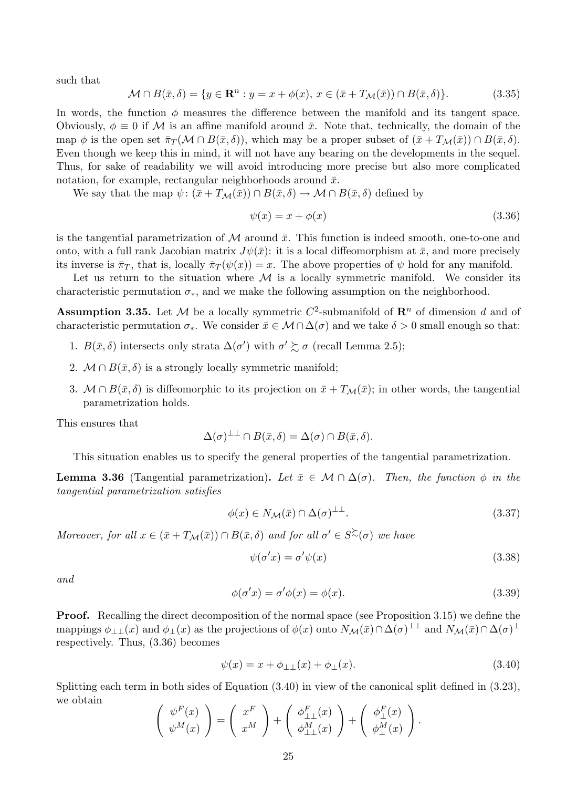such that

$$
\mathcal{M} \cap B(\bar{x}, \delta) = \{ y \in \mathbf{R}^n : y = x + \phi(x), x \in (\bar{x} + T_{\mathcal{M}}(\bar{x})) \cap B(\bar{x}, \delta) \}. \tag{3.35}
$$

In words, the function  $\phi$  measures the difference between the manifold and its tangent space. Obviously,  $\phi \equiv 0$  if M is an affine manifold around  $\bar{x}$ . Note that, technically, the domain of the map  $\phi$  is the open set  $\bar{\pi}_T(\mathcal{M} \cap B(\bar{x}, \delta))$ , which may be a proper subset of  $(\bar{x} + T_{\mathcal{M}}(\bar{x})) \cap B(\bar{x}, \delta)$ . Even though we keep this in mind, it will not have any bearing on the developments in the sequel. Thus, for sake of readability we will avoid introducing more precise but also more complicated notation, for example, rectangular neighborhoods around  $\bar{x}$ .

We say that the map  $\psi: (\bar{x} + T_{\mathcal{M}}(\bar{x})) \cap B(\bar{x}, \delta) \to \mathcal{M} \cap B(\bar{x}, \delta)$  defined by

$$
\psi(x) = x + \phi(x) \tag{3.36}
$$

is the tangential parametrization of  $\mathcal M$  around  $\bar x$ . This function is indeed smooth, one-to-one and onto, with a full rank Jacobian matrix  $J\psi(\bar{x})$ : it is a local diffeomorphism at  $\bar{x}$ , and more precisely its inverse is  $\bar{\pi}_T$ , that is, locally  $\bar{\pi}_T(\psi(x)) = x$ . The above properties of  $\psi$  hold for any manifold.

Let us return to the situation where  $M$  is a locally symmetric manifold. We consider its characteristic permutation  $\sigma_*$ , and we make the following assumption on the neighborhood.

**Assumption 3.35.** Let M be a locally symmetric  $C^2$ -submanifold of  $\mathbb{R}^n$  of dimension d and of characteristic permutation  $\sigma_*$ . We consider  $\bar{x} \in \mathcal{M} \cap \Delta(\sigma)$  and we take  $\delta > 0$  small enough so that:

- 1.  $B(\bar{x}, \delta)$  intersects only strata  $\Delta(\sigma')$  with  $\sigma' \gtrsim \sigma$  (recall Lemma 2.5);
- 2.  $M \cap B(\bar{x}, \delta)$  is a strongly locally symmetric manifold;
- 3.  $M \cap B(\bar{x}, \delta)$  is diffeomorphic to its projection on  $\bar{x} + T_M(\bar{x})$ ; in other words, the tangential parametrization holds.

This ensures that

$$
\Delta(\sigma)^{\perp\perp} \cap B(\bar{x}, \delta) = \Delta(\sigma) \cap B(\bar{x}, \delta).
$$

This situation enables us to specify the general properties of the tangential parametrization.

**Lemma 3.36** (Tangential parametrization). Let  $\bar{x} \in \mathcal{M} \cap \Delta(\sigma)$ . Then, the function  $\phi$  in the tangential parametrization satisfies

$$
\phi(x) \in N_{\mathcal{M}}(\bar{x}) \cap \Delta(\sigma)^{\perp \perp}.
$$
\n(3.37)

Moreover, for all  $x \in (\bar{x} + T_M(\bar{x})) \cap B(\bar{x}, \delta)$  and for all  $\sigma' \in S^{\succsim}(\sigma)$  we have

$$
\psi(\sigma'x) = \sigma'\psi(x) \tag{3.38}
$$

and

$$
\phi(\sigma'x) = \sigma'\phi(x) = \phi(x). \tag{3.39}
$$

Proof. Recalling the direct decomposition of the normal space (see Proposition 3.15) we define the mappings  $\phi_{\perp\perp}(x)$  and  $\phi_{\perp}(x)$  as the projections of  $\phi(x)$  onto  $N_{\mathcal{M}}(\bar{x})\cap\Delta(\sigma)^{\perp\perp}$  and  $N_{\mathcal{M}}(\bar{x})\cap\Delta(\sigma)^{\perp}$ respectively. Thus, (3.36) becomes

$$
\psi(x) = x + \phi_{\perp\perp}(x) + \phi_{\perp}(x). \tag{3.40}
$$

Splitting each term in both sides of Equation (3.40) in view of the canonical split defined in (3.23), we obtain

$$
\begin{pmatrix} \psi^F(x) \\ \psi^M(x) \end{pmatrix} = \begin{pmatrix} x^F \\ x^M \end{pmatrix} + \begin{pmatrix} \phi^F_{\perp\perp}(x) \\ \phi^M_{\perp\perp}(x) \end{pmatrix} + \begin{pmatrix} \phi^F_{\perp}(x) \\ \phi^M_{\perp}(x) \end{pmatrix}.
$$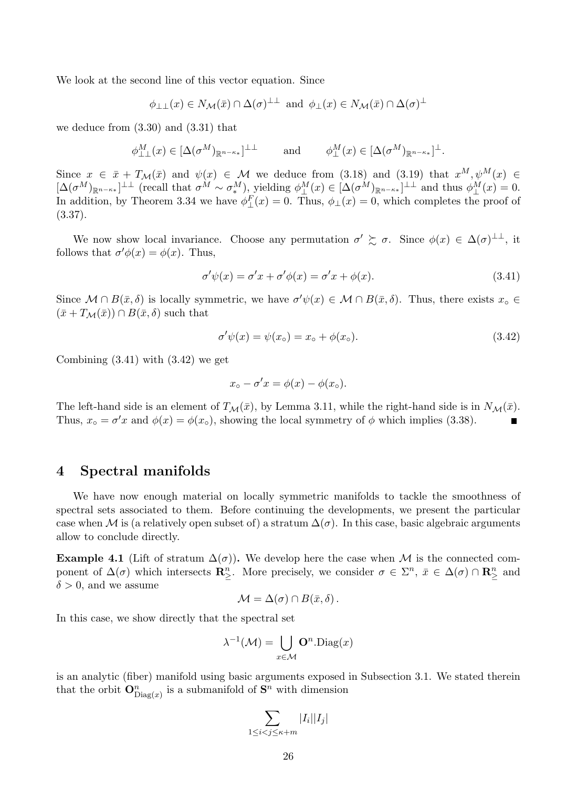We look at the second line of this vector equation. Since

$$
\phi_{\perp\perp}(x) \in N_{\mathcal{M}}(\bar{x}) \cap \Delta(\sigma)^{\perp\perp}
$$
 and  $\phi_{\perp}(x) \in N_{\mathcal{M}}(\bar{x}) \cap \Delta(\sigma)^{\perp}$ 

we deduce from (3.30) and (3.31) that

$$
\phi_{\perp\perp}^M(x) \in [\Delta(\sigma^M)_{\mathbb{R}^{n-\kappa_*}}]^{\perp\perp} \quad \text{and} \quad \phi_{\perp}^M(x) \in [\Delta(\sigma^M)_{\mathbb{R}^{n-\kappa_*}}]^{\perp}.
$$

Since  $x \in \bar{x} + T_{\mathcal{M}}(\bar{x})$  and  $\psi(x) \in \mathcal{M}$  we deduce from (3.18) and (3.19) that  $x^M, \psi^M(x) \in$  $[\Delta(\sigma^M)_{\mathbb{R}^{n-\kappa}}]^{\perp \perp}$  (recall that  $\sigma^M \sim \sigma_*^M$ ), yielding  $\phi^M_{\perp}(x) \in [\Delta(\sigma^M)_{\mathbb{R}^{n-\kappa}}]^{\perp \perp}$  and thus  $\phi^M_{\perp}(x) = 0$ . In addition, by Theorem 3.34 we have  $\phi_{\perp}^{F}(x) = 0$ . Thus,  $\phi_{\perp}(x) = 0$ , which completes the proof of (3.37).

We now show local invariance. Choose any permutation  $\sigma' \succeq \sigma$ . Since  $\phi(x) \in \Delta(\sigma)^{\perp \perp}$ , it follows that  $\sigma' \phi(x) = \phi(x)$ . Thus,

$$
\sigma'\psi(x) = \sigma'x + \sigma'\phi(x) = \sigma'x + \phi(x). \tag{3.41}
$$

Since  $\mathcal{M} \cap B(\bar{x},\delta)$  is locally symmetric, we have  $\sigma'\psi(x) \in \mathcal{M} \cap B(\bar{x},\delta)$ . Thus, there exists  $x_0 \in \mathcal{M}$  $(\bar{x} + T_{\mathcal{M}}(\bar{x})) \cap B(\bar{x}, \delta)$  such that

$$
\sigma'\psi(x) = \psi(x_{\circ}) = x_{\circ} + \phi(x_{\circ}). \tag{3.42}
$$

Combining  $(3.41)$  with  $(3.42)$  we get

$$
x_{\circ} - \sigma' x = \phi(x) - \phi(x_{\circ}).
$$

The left-hand side is an element of  $T_{\mathcal{M}}(\bar{x})$ , by Lemma 3.11, while the right-hand side is in  $N_{\mathcal{M}}(\bar{x})$ . Thus,  $x_{\circ} = \sigma' x$  and  $\phi(x) = \phi(x_{\circ})$ , showing the local symmetry of  $\phi$  which implies (3.38).

### 4 Spectral manifolds

We have now enough material on locally symmetric manifolds to tackle the smoothness of spectral sets associated to them. Before continuing the developments, we present the particular case when M is (a relatively open subset of) a stratum  $\Delta(\sigma)$ . In this case, basic algebraic arguments allow to conclude directly.

**Example 4.1** (Lift of stratum  $\Delta(\sigma)$ ). We develop here the case when M is the connected component of  $\Delta(\sigma)$  which intersects  $\mathbb{R}^n_2$ . More precisely, we consider  $\sigma \in \Sigma^n$ ,  $\bar{x} \in \Delta(\sigma) \cap \mathbb{R}^n_\ge$  and  $\delta > 0$ , and we assume

$$
\mathcal{M} = \Delta(\sigma) \cap B(\bar{x}, \delta).
$$

In this case, we show directly that the spectral set

$$
\lambda^{-1}(\mathcal{M}) = \bigcup_{x \in \mathcal{M}} \mathbf{O}^n.\text{Diag}(x)
$$

is an analytic (fiber) manifold using basic arguments exposed in Subsection 3.1. We stated therein that the orbit  $\mathbf{O}_{\mathrm{Diag}(x)}^n$  is a submanifold of  $\mathbf{S}^n$  with dimension

$$
\sum_{1 \le i < j \le \kappa + m} |I_i||I_j|
$$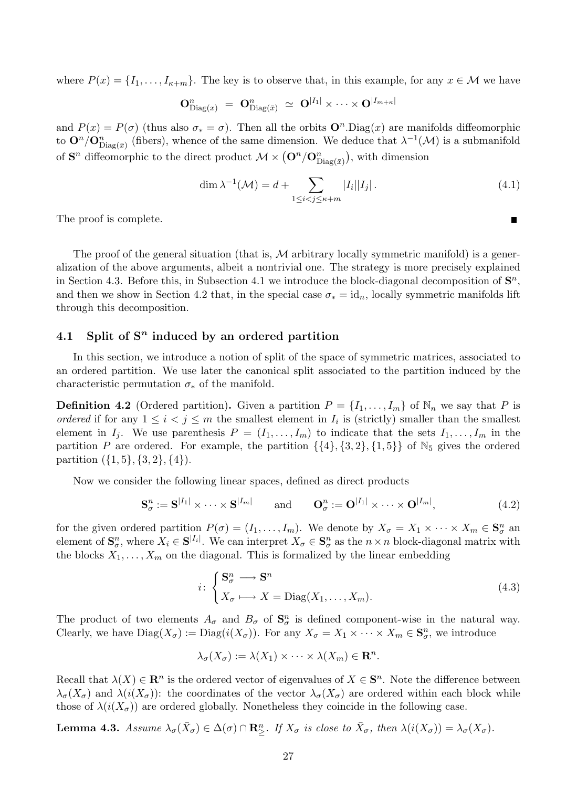where  $P(x) = \{I_1, \ldots, I_{\kappa+m}\}.$  The key is to observe that, in this example, for any  $x \in \mathcal{M}$  we have

$$
\mathbf{O}_{\mathrm{Diag}(x)}^n = \mathbf{O}_{\mathrm{Diag}(\bar{x})}^n \simeq \mathbf{O}^{|I_1|} \times \cdots \times \mathbf{O}^{|I_{m+\kappa}|}
$$

and  $P(x) = P(\sigma)$  (thus also  $\sigma_* = \sigma$ ). Then all the orbits  $\mathbf{O}^n$ . Diag(x) are manifolds diffeomorphic to  $\mathbf{O}^n/\mathbf{O}^n_{Diag(\bar{x})}$  (fibers), whence of the same dimension. We deduce that  $\lambda^{-1}(\mathcal{M})$  is a submanifold of  $S^n$  diffeomorphic to the direct product  $\mathcal{M} \times (O^n/O^n_{Diag(\bar{x})})$ , with dimension

$$
\dim \lambda^{-1}(\mathcal{M}) = d + \sum_{1 \le i < j \le \kappa + m} |I_i||I_j| \,. \tag{4.1}
$$

The proof is complete.

The proof of the general situation (that is,  $\mathcal M$  arbitrary locally symmetric manifold) is a generalization of the above arguments, albeit a nontrivial one. The strategy is more precisely explained in Section 4.3. Before this, in Subsection 4.1 we introduce the block-diagonal decomposition of  $S<sup>n</sup>$ , and then we show in Section 4.2 that, in the special case  $\sigma_* = id_n$ , locally symmetric manifolds lift through this decomposition.

## 4.1 Split of  $S<sup>n</sup>$  induced by an ordered partition

In this section, we introduce a notion of split of the space of symmetric matrices, associated to an ordered partition. We use later the canonical split associated to the partition induced by the characteristic permutation  $\sigma_*$  of the manifold.

**Definition 4.2** (Ordered partition). Given a partition  $P = \{I_1, \ldots, I_m\}$  of  $\mathbb{N}_n$  we say that P is ordered if for any  $1 \leq i < j \leq m$  the smallest element in  $I_i$  is (strictly) smaller than the smallest element in  $I_j$ . We use parenthesis  $P = (I_1, \ldots, I_m)$  to indicate that the sets  $I_1, \ldots, I_m$  in the partition P are ordered. For example, the partition  $\{\{4\}, \{3, 2\}, \{1, 5\}\}\$  of  $\mathbb{N}_5$  gives the ordered partition  $({1, 5}, {3, 2}, {4}).$ 

Now we consider the following linear spaces, defined as direct products

$$
\mathbf{S}_{\sigma}^{n} := \mathbf{S}^{|I_{1}|} \times \cdots \times \mathbf{S}^{|I_{m}|} \quad \text{and} \quad \mathbf{O}_{\sigma}^{n} := \mathbf{O}^{|I_{1}|} \times \cdots \times \mathbf{O}^{|I_{m}|}, \tag{4.2}
$$

for the given ordered partition  $P(\sigma) = (I_1, \ldots, I_m)$ . We denote by  $X_{\sigma} = X_1 \times \cdots \times X_m \in \mathbf{S}_{\sigma}^n$  and element of  $\mathbf{S}_{\sigma}^n$ , where  $X_i \in \mathbf{S}^{|I_i|}$ . We can interpret  $X_{\sigma} \in \mathbf{S}_{\sigma}^n$  as the  $n \times n$  block-diagonal matrix with the blocks  $X_1, \ldots, X_m$  on the diagonal. This is formalized by the linear embedding

$$
i: \begin{cases} \mathbf{S}_{\sigma}^{n} \longrightarrow \mathbf{S}^{n} \\ X_{\sigma} \longmapsto X = \text{Diag}(X_{1}, \dots, X_{m}). \end{cases} (4.3)
$$

The product of two elements  $A_{\sigma}$  and  $B_{\sigma}$  of  $S_{\sigma}^{n}$  is defined component-wise in the natural way. Clearly, we have  $Diag(X_{\sigma}) := Diag(i(X_{\sigma}))$ . For any  $X_{\sigma} = X_1 \times \cdots \times X_m \in \mathbf{S}_{\sigma}^n$ , we introduce

$$
\lambda_{\sigma}(X_{\sigma}) := \lambda(X_1) \times \cdots \times \lambda(X_m) \in \mathbf{R}^n.
$$

Recall that  $\lambda(X) \in \mathbb{R}^n$  is the ordered vector of eigenvalues of  $X \in \mathbb{S}^n$ . Note the difference between  $\lambda_{\sigma}(X_{\sigma})$  and  $\lambda(i(X_{\sigma}))$ : the coordinates of the vector  $\lambda_{\sigma}(X_{\sigma})$  are ordered within each block while those of  $\lambda(i(X_{\sigma}))$  are ordered globally. Nonetheless they coincide in the following case.

**Lemma 4.3.** Assume  $\lambda_{\sigma}(\bar{X}_{\sigma}) \in \Delta(\sigma) \cap \mathbb{R}_{\geq}^n$ . If  $X_{\sigma}$  is close to  $\bar{X}_{\sigma}$ , then  $\lambda(i(X_{\sigma})) = \lambda_{\sigma}(X_{\sigma})$ .

П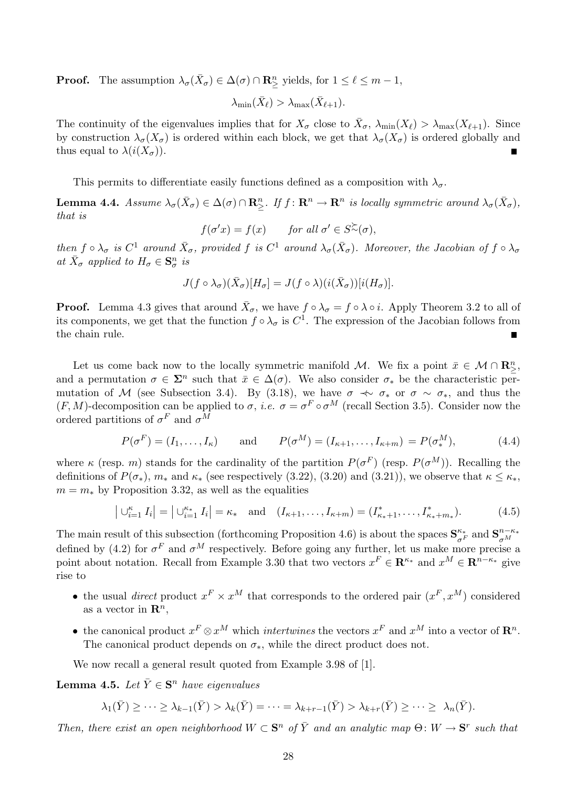**Proof.** The assumption  $\lambda_{\sigma}(\bar{X}_{\sigma}) \in \Delta(\sigma) \cap \mathbb{R}_{\geq}^n$  yields, for  $1 \leq \ell \leq m-1$ ,

$$
\lambda_{\min}(\bar{X}_{\ell}) > \lambda_{\max}(\bar{X}_{\ell+1}).
$$

The continuity of the eigenvalues implies that for  $X_{\sigma}$  close to  $\bar{X}_{\sigma}$ ,  $\lambda_{\min}(X_{\ell}) > \lambda_{\max}(X_{\ell+1})$ . Since by construction  $\lambda_{\sigma}(X_{\sigma})$  is ordered within each block, we get that  $\lambda_{\sigma}(X_{\sigma})$  is ordered globally and thus equal to  $\lambda(i(X_{\sigma}))$ .

This permits to differentiate easily functions defined as a composition with  $\lambda_{\sigma}$ .

**Lemma 4.4.** Assume  $\lambda_{\sigma}(\bar{X}_{\sigma}) \in \Delta(\sigma) \cap \mathbb{R}_{\ge}^n$ . If  $f: \mathbb{R}^n \to \mathbb{R}^n$  is locally symmetric around  $\lambda_{\sigma}(\bar{X}_{\sigma})$ , that is

$$
f(\sigma' x) = f(x)
$$
 for all  $\sigma' \in S^{\sim}(\sigma)$ ,

then  $f \circ \lambda_{\sigma}$  is  $C^1$  around  $\bar{X}_{\sigma}$ , provided f is  $C^1$  around  $\lambda_{\sigma}(\bar{X}_{\sigma})$ . Moreover, the Jacobian of  $f \circ \lambda_{\sigma}$ at  $\bar{X}_{\sigma}$  applied to  $H_{\sigma} \in \mathbf{S}_{\sigma}^{n}$  is

$$
J(f \circ \lambda_{\sigma})(\bar{X}_{\sigma})[H_{\sigma}] = J(f \circ \lambda)(i(\bar{X}_{\sigma}))[i(H_{\sigma})].
$$

**Proof.** Lemma 4.3 gives that around  $\bar{X}_{\sigma}$ , we have  $f \circ \lambda_{\sigma} = f \circ \lambda \circ i$ . Apply Theorem 3.2 to all of its components, we get that the function  $f \circ \lambda_{\sigma}$  is  $C^1$ . The expression of the Jacobian follows from the chain rule.  $\blacksquare$ 

Let us come back now to the locally symmetric manifold M. We fix a point  $\bar{x} \in \mathcal{M} \cap \mathbb{R}^n$ , and a permutation  $\sigma \in \Sigma^n$  such that  $\bar{x} \in \Delta(\sigma)$ . We also consider  $\sigma_*$  be the characteristic permutation of M (see Subsection 3.4). By (3.18), we have  $\sigma \leftrightarrow \sigma_*$  or  $\sigma \sim \sigma_*$ , and thus the  $(F, M)$ -decomposition can be applied to  $\sigma$ , *i.e.*  $\sigma = \sigma^F \circ \sigma^M$  (recall Section 3.5). Consider now the ordered partitions of  $\sigma^F$  and  $\sigma^M$ 

$$
P(\sigma^F) = (I_1, ..., I_\kappa)
$$
 and  $P(\sigma^M) = (I_{\kappa+1}, ..., I_{\kappa+m}) = P(\sigma_*^M),$  (4.4)

where  $\kappa$  (resp. m) stands for the cardinality of the partition  $P(\sigma^F)$  (resp.  $P(\sigma^M)$ ). Recalling the definitions of  $P(\sigma_*)$ ,  $m_*$  and  $\kappa_*$  (see respectively (3.22), (3.20) and (3.21)), we observe that  $\kappa \leq \kappa_*$ ,  $m = m_*$  by Proposition 3.32, as well as the equalities

$$
\left| \bigcup_{i=1}^{\kappa} I_i \right| = \left| \bigcup_{i=1}^{\kappa_*} I_i \right| = \kappa_* \quad \text{and} \quad (I_{\kappa+1}, \dots, I_{\kappa+m}) = (I_{\kappa_*+1}^*, \dots, I_{\kappa_*+m_*}^*).
$$
 (4.5)

The main result of this subsection (forthcoming Proposition 4.6) is about the spaces  $S^{\kappa_*}_{\sigma^F}$  and  $S^{\kappa_*}_{\sigma^N}$  $\sigma^M$ defined by (4.2) for  $\sigma^F$  and  $\sigma^M$  respectively. Before going any further, let us make more precise a point about notation. Recall from Example 3.30 that two vectors  $x^F \in \mathbb{R}^{\kappa_*}$  and  $x^M \in \mathbb{R}^{n-\kappa_*}$  give rise to

- the usual direct product  $x^F \times x^M$  that corresponds to the ordered pair  $(x^F, x^M)$  considered as a vector in  $\mathbf{R}^n$ ,
- the canonical product  $x^F \otimes x^M$  which *intertwines* the vectors  $x^F$  and  $x^M$  into a vector of  $\mathbb{R}^n$ . The canonical product depends on  $\sigma_*$ , while the direct product does not.

We now recall a general result quoted from Example 3.98 of [1].

**Lemma 4.5.** Let  $\bar{Y} \in \mathbf{S}^n$  have eigenvalues

$$
\lambda_1(\bar{Y}) \geq \cdots \geq \lambda_{k-1}(\bar{Y}) > \lambda_k(\bar{Y}) = \cdots = \lambda_{k+r-1}(\bar{Y}) > \lambda_{k+r}(\bar{Y}) \geq \cdots \geq \lambda_n(\bar{Y}).
$$

Then, there exist an open neighborhood  $W \subset \mathbf{S}^n$  of  $\overline{Y}$  and an analytic map  $\Theta: W \to \mathbf{S}^r$  such that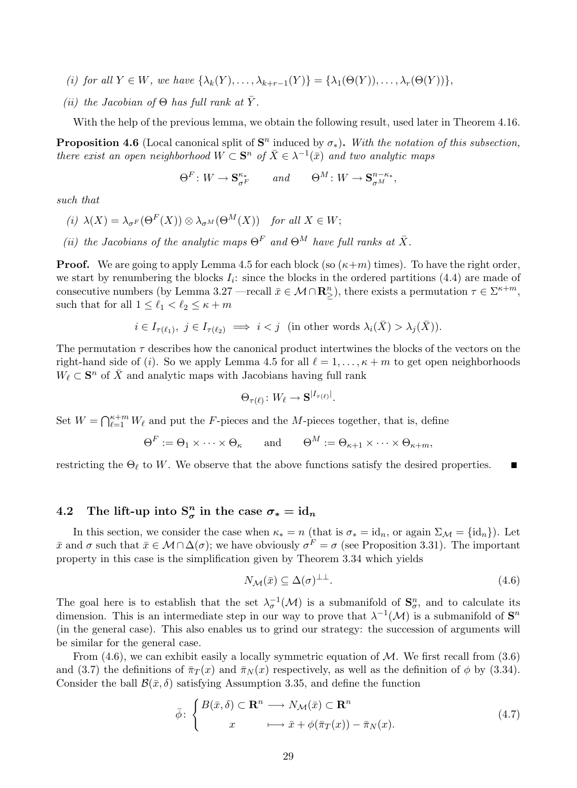- (i) for all  $Y \in W$ , we have  $\{\lambda_k(Y), \ldots, \lambda_{k+r-1}(Y)\} = \{\lambda_1(\Theta(Y)), \ldots, \lambda_r(\Theta(Y))\},\$
- (ii) the Jacobian of  $\Theta$  has full rank at  $\overline{Y}$ .

With the help of the previous lemma, we obtain the following result, used later in Theorem 4.16.

**Proposition 4.6** (Local canonical split of  $S<sup>n</sup>$  induced by  $\sigma_*$ ). With the notation of this subsection, there exist an open neighborhood  $W \subset \mathbf{S}^n$  of  $\bar{X} \in \lambda^{-1}(\bar{x})$  and two analytic maps

$$
\Theta^F\colon W\to \mathbf{S}_{\sigma^F}^{\kappa_*}\qquad and \qquad \Theta^M\colon W\to \mathbf{S}_{\sigma^M}^{n-\kappa_*},
$$

such that

- (i)  $\lambda(X) = \lambda_{\sigma^F}(\Theta^F(X)) \otimes \lambda_{\sigma^M}(\Theta^M(X))$  for all  $X \in W$ ;
- (ii) the Jacobians of the analytic maps  $\Theta^F$  and  $\Theta^M$  have full ranks at  $\bar{X}$ .

**Proof.** We are going to apply Lemma 4.5 for each block (so  $(\kappa+m)$  times). To have the right order, we start by renumbering the blocks  $I_i$ : since the blocks in the ordered partitions (4.4) are made of consecutive numbers (by Lemma 3.27 —recall  $\bar{x} \in \mathcal{M} \cap \mathbb{R}^n$ ), there exists a permutation  $\tau \in \Sigma^{\kappa+m}$ , such that for all  $1 \leq \ell_1 < \ell_2 \leq \kappa + m$ 

$$
i \in I_{\tau(\ell_1)}, \ j \in I_{\tau(\ell_2)} \implies i < j \ \text{ (in other words } \lambda_i(\bar{X}) > \lambda_j(\bar{X})).
$$

The permutation  $\tau$  describes how the canonical product intertwines the blocks of the vectors on the right-hand side of (i). So we apply Lemma 4.5 for all  $\ell = 1, \ldots, \kappa + m$  to get open neighborhoods  $W_\ell \subset \mathbf{S}^n$  of  $\bar{X}$  and analytic maps with Jacobians having full rank

$$
\Theta_{\tau(\ell)}\colon W_{\ell}\to \mathbf{S}^{|I_{\tau(\ell)}|}.
$$

Set  $W = \bigcap_{\ell=1}^{\kappa+m} W_{\ell}$  and put the F-pieces and the M-pieces together, that is, define

$$
\Theta^F := \Theta_1 \times \cdots \times \Theta_\kappa \quad \text{and} \quad \Theta^M := \Theta_{\kappa+1} \times \cdots \times \Theta_{\kappa+m},
$$

restricting the  $\Theta_\ell$  to W. We observe that the above functions satisfy the desired properties.

# 4.2 The lift-up into  $S_{\sigma}^{n}$  in the case  $\sigma_{*} = id_{n}$

In this section, we consider the case when  $\kappa_* = n$  (that is  $\sigma_* = id_n$ , or again  $\Sigma_{\mathcal{M}} = \{id_n\}$ ). Let  $\bar{x}$  and  $\sigma$  such that  $\bar{x} \in \mathcal{M} \cap \Delta(\sigma)$ ; we have obviously  $\sigma^F = \sigma$  (see Proposition 3.31). The important property in this case is the simplification given by Theorem 3.34 which yields

$$
N_{\mathcal{M}}(\bar{x}) \subseteq \Delta(\sigma)^{\perp\perp}.
$$
\n(4.6)

The goal here is to establish that the set  $\lambda_{\sigma}^{-1}(\mathcal{M})$  is a submanifold of  $\mathbf{S}_{\sigma}^n$ , and to calculate its dimension. This is an intermediate step in our way to prove that  $\lambda^{-1}(\mathcal{M})$  is a submanifold of  $S^n$ (in the general case). This also enables us to grind our strategy: the succession of arguments will be similar for the general case.

From  $(4.6)$ , we can exhibit easily a locally symmetric equation of M. We first recall from  $(3.6)$ and (3.7) the definitions of  $\bar{\pi}_T(x)$  and  $\bar{\pi}_N(x)$  respectively, as well as the definition of  $\phi$  by (3.34). Consider the ball  $\mathcal{B}(\bar{x}, \delta)$  satisfying Assumption 3.35, and define the function

$$
\bar{\phi} \colon \begin{cases} B(\bar{x}, \delta) \subset \mathbf{R}^n \longrightarrow N_{\mathcal{M}}(\bar{x}) \subset \mathbf{R}^n \\ x \longmapsto \bar{x} + \phi(\bar{\pi}_T(x)) - \bar{\pi}_N(x). \end{cases} \tag{4.7}
$$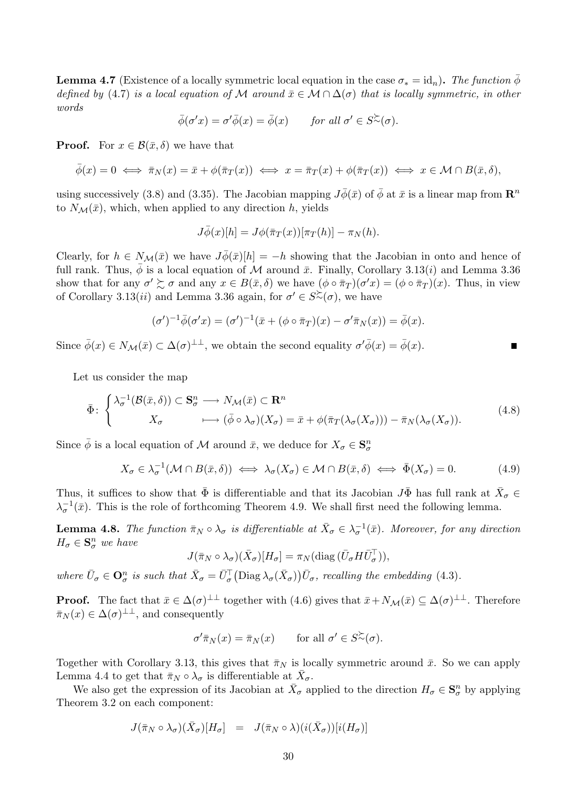**Lemma 4.7** (Existence of a locally symmetric local equation in the case  $\sigma_* = id_n$ ). The function  $\bar{\phi}$ defined by (4.7) is a local equation of M around  $\bar{x} \in \mathcal{M} \cap \Delta(\sigma)$  that is locally symmetric, in other words

$$
\bar{\phi}(\sigma'x) = \sigma'\bar{\phi}(x) = \bar{\phi}(x) \quad \text{for all } \sigma' \in S^{\succcurlyeq}(\sigma).
$$

**Proof.** For  $x \in \mathcal{B}(\bar{x}, \delta)$  we have that

$$
\bar{\phi}(x) = 0 \iff \bar{\pi}_N(x) = \bar{x} + \phi(\bar{\pi}_T(x)) \iff x = \bar{\pi}_T(x) + \phi(\bar{\pi}_T(x)) \iff x \in \mathcal{M} \cap B(\bar{x}, \delta),
$$

using successively (3.8) and (3.35). The Jacobian mapping  $J\bar{\phi}(\bar{x})$  of  $\bar{\phi}$  at  $\bar{x}$  is a linear map from  $\mathbb{R}^n$ to  $N_{\mathcal{M}}(\bar{x})$ , which, when applied to any direction h, yields

$$
J\overline{\phi}(x)[h] = J\phi(\overline{\pi}_T(x))[\pi_T(h)] - \pi_N(h).
$$

Clearly, for  $h \in N_{\mathcal{M}}(\bar{x})$  we have  $J\bar{\phi}(\bar{x})[h] = -h$  showing that the Jacobian in onto and hence of full rank. Thus,  $\bar{\phi}$  is a local equation of M around  $\bar{x}$ . Finally, Corollary 3.13(i) and Lemma 3.36 show that for any  $\sigma' \succsim \sigma$  and any  $x \in B(\bar{x}, \delta)$  we have  $(\phi \circ \bar{\pi}_T)(\sigma' x) = (\phi \circ \bar{\pi}_T)(x)$ . Thus, in view of Corollary 3.13(*ii*) and Lemma 3.36 again, for  $\sigma' \in S^{\gtrsim}(\sigma)$ , we have

$$
(\sigma')^{-1}\overline{\phi}(\sigma'x) = (\sigma')^{-1}(\overline{x} + (\phi \circ \overline{\pi}_T)(x) - \sigma'\overline{\pi}_N(x)) = \overline{\phi}(x).
$$

Since  $\bar{\phi}(x) \in N_{\mathcal{M}}(\bar{x}) \subset \Delta(\sigma)^{\perp \perp}$ , we obtain the second equality  $\sigma' \bar{\phi}(x) = \bar{\phi}(x)$ .

Let us consider the map

$$
\bar{\Phi} \colon \begin{cases} \lambda_{\sigma}^{-1}(\mathcal{B}(\bar{x}, \delta)) \subset \mathbf{S}_{\sigma}^{n} \longrightarrow N_{\mathcal{M}}(\bar{x}) \subset \mathbf{R}^{n} \\ X_{\sigma} \longrightarrow (\bar{\phi} \circ \lambda_{\sigma})(X_{\sigma}) = \bar{x} + \phi(\bar{\pi}_{T}(\lambda_{\sigma}(X_{\sigma}))) - \bar{\pi}_{N}(\lambda_{\sigma}(X_{\sigma})). \end{cases} (4.8)
$$

Since  $\bar{\phi}$  is a local equation of M around  $\bar{x}$ , we deduce for  $X_{\sigma} \in \mathbf{S}_{\sigma}^{n}$ 

$$
X_{\sigma} \in \lambda_{\sigma}^{-1}(\mathcal{M} \cap B(\bar{x}, \delta)) \iff \lambda_{\sigma}(X_{\sigma}) \in \mathcal{M} \cap B(\bar{x}, \delta) \iff \bar{\Phi}(X_{\sigma}) = 0. \tag{4.9}
$$

Thus, it suffices to show that  $\bar{\Phi}$  is differentiable and that its Jacobian  $J\bar{\Phi}$  has full rank at  $\bar{X}_{\sigma} \in$  $\lambda_{\sigma}^{-1}(\bar{x})$ . This is the role of forthcoming Theorem 4.9. We shall first need the following lemma.

**Lemma 4.8.** The function  $\bar{\pi}_N \circ \lambda_\sigma$  is differentiable at  $\bar{X}_\sigma \in \lambda_\sigma^{-1}(\bar{x})$ . Moreover, for any direction  $H_{\sigma} \in \mathbf{S}_{\sigma}^{n}$  we have

$$
J(\bar{\pi}_N \circ \lambda_\sigma)(\bar{X}_\sigma)[H_\sigma] = \pi_N(\text{diag}(\bar{U}_\sigma H \bar{U}_\sigma^\top)),
$$

where  $\bar{U}_{\sigma} \in \mathbf{O}_{\sigma}^{n}$  is such that  $\bar{X}_{\sigma} = \bar{U}_{\sigma}^{\top}(\text{Diag }\lambda_{\sigma}(\bar{X}_{\sigma}))\bar{U}_{\sigma}$ , recalling the embedding (4.3).

**Proof.** The fact that  $\bar{x} \in \Delta(\sigma)^{\perp \perp}$  together with (4.6) gives that  $\bar{x} + N_{\mathcal{M}}(\bar{x}) \subseteq \Delta(\sigma)^{\perp \perp}$ . Therefore  $\bar{\pi}_N(x) \in \Delta(\sigma)^{\perp \perp}$ , and consequently

$$
\sigma'\bar{\pi}_N(x) = \bar{\pi}_N(x) \quad \text{for all } \sigma' \in S^{\sim}(\sigma).
$$

Together with Corollary 3.13, this gives that  $\bar{\pi}_N$  is locally symmetric around  $\bar{x}$ . So we can apply Lemma 4.4 to get that  $\bar{\pi}_N \circ \lambda_\sigma$  is differentiable at  $\bar{X}_\sigma$ .

We also get the expression of its Jacobian at  $\bar{X}_{\sigma}$  applied to the direction  $H_{\sigma} \in \mathbf{S}_{\sigma}^{n}$  by applying Theorem 3.2 on each component:

$$
J(\bar{\pi}_N\circ\lambda_\sigma)(\bar{X}_\sigma)[H_\sigma] \;\;=\;\; J(\bar{\pi}_N\circ\lambda)(i(\bar{X}_\sigma))[i(H_\sigma)]
$$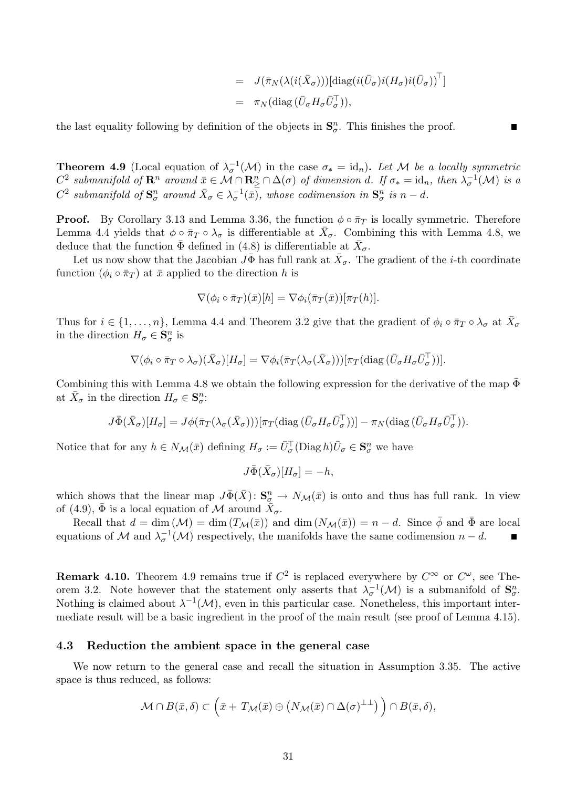$$
= J(\bar{\pi}_N(\lambda(i(\bar{X}_{\sigma})))[\text{diag}(i(\bar{U}_{\sigma})i(H_{\sigma})i(\bar{U}_{\sigma}))^{\top}]
$$
  

$$
= \pi_N(\text{diag}(\bar{U}_{\sigma}H_{\sigma}\bar{U}_{\sigma}^{\top})),
$$

the last equality following by definition of the objects in  $\mathbf{S}_{\sigma}^n$ . This finishes the proof.

**Theorem 4.9** (Local equation of  $\lambda_{\sigma}^{-1}(\mathcal{M})$  in the case  $\sigma_* = id_n$ ). Let M be a locally symmetric  $C^2$  submanifold of  $\mathbf{R}^n$  around  $\bar{x} \in \mathcal{M} \cap \mathbf{R}_{\geq}^n \cap \Delta(\sigma)$  of dimension d. If  $\sigma_* = \text{id}_n$ , then  $\lambda_{\sigma}^{-1}(\mathcal{M})$  is a  $C^2$  submanifold of  $\mathbf{S}_{\sigma}^n$  around  $\bar{X}_{\sigma} \in \lambda_{\sigma}^{-1}(\bar{x})$ , whose codimension in  $\mathbf{S}_{\sigma}^n$  is  $n-d$ .

**Proof.** By Corollary 3.13 and Lemma 3.36, the function  $\phi \circ \overline{\pi}_T$  is locally symmetric. Therefore Lemma 4.4 yields that  $\phi \circ \bar{\pi}_T \circ \lambda_\sigma$  is differentiable at  $\bar{X}_\sigma$ . Combining this with Lemma 4.8, we deduce that the function  $\bar{\Phi}$  defined in (4.8) is differentiable at  $\bar{X}_{\sigma}$ .

Let us now show that the Jacobian  $J\bar{\Phi}$  has full rank at  $\bar{X}_{\sigma}$ . The gradient of the *i*-th coordinate function  $(\phi_i \circ \bar{\pi}_T)$  at  $\bar{x}$  applied to the direction h is

$$
\nabla(\phi_i \circ \bar{\pi}_T)(\bar{x})[h] = \nabla \phi_i(\bar{\pi}_T(\bar{x}))[\pi_T(h)].
$$

Thus for  $i \in \{1, \ldots, n\}$ , Lemma 4.4 and Theorem 3.2 give that the gradient of  $\phi_i \circ \bar{\pi}_T \circ \lambda_\sigma$  at  $\bar{X}_\sigma$ in the direction  $H_{\sigma} \in \mathbf{S}_{\sigma}^{n}$  is

$$
\nabla(\phi_i \circ \bar{\pi}_T \circ \lambda_\sigma)(\bar{X}_\sigma)[H_\sigma] = \nabla \phi_i(\bar{\pi}_T(\lambda_\sigma(\bar{X}_\sigma)))[\pi_T(\text{diag}(\bar{U}_\sigma H_\sigma \bar{U}_\sigma^\top))].
$$

Combining this with Lemma 4.8 we obtain the following expression for the derivative of the map  $\bar{\Phi}$ at  $\bar{X}_{\sigma}$  in the direction  $H_{\sigma} \in \mathbf{S}_{\sigma}^{n}$ :

$$
J\bar{\Phi}(\bar{X}_{\sigma})[H_{\sigma}] = J\phi(\bar{\pi}_T(\lambda_{\sigma}(\bar{X}_{\sigma})))[\pi_T(\text{diag}(\bar{U}_{\sigma}H_{\sigma}\bar{U}_{\sigma}^{\top}))] - \pi_N(\text{diag}(\bar{U}_{\sigma}H_{\sigma}\bar{U}_{\sigma}^{\top}))
$$

Notice that for any  $h \in N_{\mathcal{M}}(\bar{x})$  defining  $H_{\sigma} := \bar{U}_{\sigma}^{\top}(\text{Diag } h) \bar{U}_{\sigma} \in \mathbf{S}_{\sigma}^{n}$  we have

$$
J\bar{\Phi}(\bar{X}_{\sigma})[H_{\sigma}]=-h,
$$

which shows that the linear map  $J\bar{\Phi}(\bar{X})\colon S_{\sigma}^n \to N_{\mathcal{M}}(\bar{x})$  is onto and thus has full rank. In view of (4.9),  $\bar{\Phi}$  is a local equation of M around  $\bar{X}_{\sigma}$ .

Recall that  $d = \dim (\mathcal{M}) = \dim (T_{\mathcal{M}}(\bar{x}))$  and  $\dim (N_{\mathcal{M}}(\bar{x})) = n - d$ . Since  $\bar{\phi}$  and  $\bar{\Phi}$  are local equations of M and  $\lambda_{\sigma}^{-1}(\mathcal{M})$  respectively, the manifolds have the same codimension  $n - d$ .  $\blacksquare$ 

**Remark 4.10.** Theorem 4.9 remains true if  $C^2$  is replaced everywhere by  $C^{\infty}$  or  $C^{\omega}$ , see Theorem 3.2. Note however that the statement only asserts that  $\lambda_{\sigma}^{-1}(\mathcal{M})$  is a submanifold of  $\mathbf{S}_{\sigma}^n$ . Nothing is claimed about  $\lambda^{-1}(\mathcal{M})$ , even in this particular case. Nonetheless, this important intermediate result will be a basic ingredient in the proof of the main result (see proof of Lemma 4.15).

#### 4.3 Reduction the ambient space in the general case

We now return to the general case and recall the situation in Assumption 3.35. The active space is thus reduced, as follows:

$$
\mathcal{M} \cap B(\bar{x}, \delta) \subset (\bar{x} + T_{\mathcal{M}}(\bar{x}) \oplus (N_{\mathcal{M}}(\bar{x}) \cap \Delta(\sigma)^{\perp \perp}) ) \cap B(\bar{x}, \delta),
$$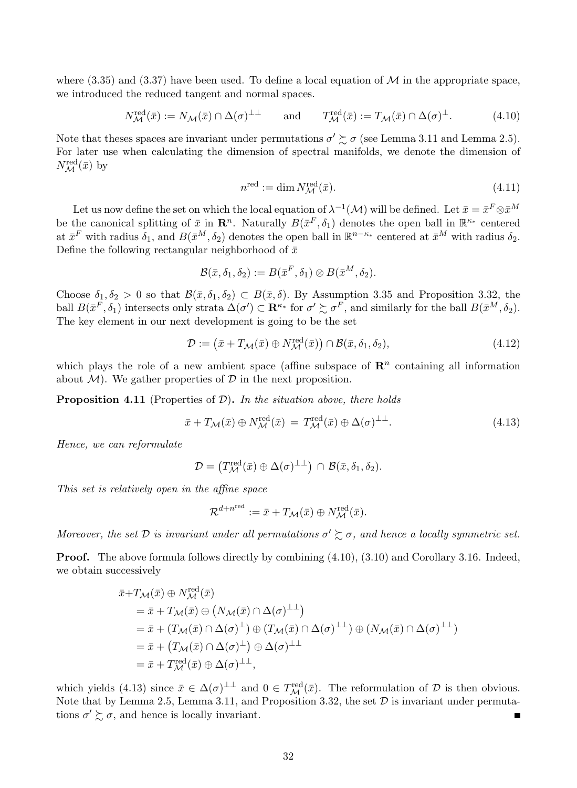where  $(3.35)$  and  $(3.37)$  have been used. To define a local equation of M in the appropriate space, we introduced the reduced tangent and normal spaces.

$$
N_{\mathcal{M}}^{\text{red}}(\bar{x}) := N_{\mathcal{M}}(\bar{x}) \cap \Delta(\sigma)^{\perp \perp} \quad \text{and} \quad T_{\mathcal{M}}^{\text{red}}(\bar{x}) := T_{\mathcal{M}}(\bar{x}) \cap \Delta(\sigma)^{\perp}. \quad (4.10)
$$

Note that theses spaces are invariant under permutations  $\sigma' \gtrsim \sigma$  (see Lemma 3.11 and Lemma 2.5). For later use when calculating the dimension of spectral manifolds, we denote the dimension of  $N^{\text{red}}_{\mathcal{M}}(\bar{x})$  by

$$
n^{\text{red}} := \dim N_{\mathcal{M}}^{\text{red}}(\bar{x}).\tag{4.11}
$$

Let us now define the set on which the local equation of  $\lambda^{-1}(\mathcal{M})$  will be defined. Let  $\bar{x} = \bar{x}^F \otimes \bar{x}^M$ be the canonical splitting of  $\bar{x}$  in  $\mathbb{R}^n$ . Naturally  $B(\bar{x}^F, \delta_1)$  denotes the open ball in  $\mathbb{R}^{\kappa_*}$  centered at  $\bar{x}^F$  with radius  $\delta_1$ , and  $B(\bar{x}^M, \delta_2)$  denotes the open ball in  $\mathbb{R}^{n-\kappa_*}$  centered at  $\bar{x}^M$  with radius  $\delta_2$ . Define the following rectangular neighborhood of  $\bar{x}$ 

$$
\mathcal{B}(\bar{x}, \delta_1, \delta_2) := B(\bar{x}^F, \delta_1) \otimes B(\bar{x}^M, \delta_2).
$$

Choose  $\delta_1, \delta_2 > 0$  so that  $\mathcal{B}(\bar{x}, \delta_1, \delta_2) \subset B(\bar{x}, \delta)$ . By Assumption 3.35 and Proposition 3.32, the ball  $B(\bar{x}^F, \delta_1)$  intersects only strata  $\Delta(\sigma') \subset \mathbf{R}^{\kappa_*}$  for  $\sigma' \succsim \sigma^F$ , and similarly for the ball  $B(\bar{x}^M, \delta_2)$ . The key element in our next development is going to be the set

$$
\mathcal{D} := (\bar{x} + T_{\mathcal{M}}(\bar{x}) \oplus N_{\mathcal{M}}^{\text{red}}(\bar{x})) \cap \mathcal{B}(\bar{x}, \delta_1, \delta_2), \tag{4.12}
$$

which plays the role of a new ambient space (affine subspace of  $\mathbb{R}^n$  containing all information about  $\mathcal{M}$ ). We gather properties of  $\mathcal D$  in the next proposition.

**Proposition 4.11** (Properties of  $\mathcal{D}$ ). In the situation above, there holds

$$
\bar{x} + T_{\mathcal{M}}(\bar{x}) \oplus N_{\mathcal{M}}^{\text{red}}(\bar{x}) = T_{\mathcal{M}}^{\text{red}}(\bar{x}) \oplus \Delta(\sigma)^{\perp \perp}.
$$
\n(4.13)

Hence, we can reformulate

$$
\mathcal{D} = \left( T^{\text{red}}_{\mathcal{M}}(\bar{x}) \oplus \Delta(\sigma)^{\perp \perp} \right) \cap \mathcal{B}(\bar{x}, \delta_1, \delta_2).
$$

This set is relatively open in the affine space

$$
\mathcal{R}^{d+n^{\text{red}}} := \bar{x} + T_{\mathcal{M}}(\bar{x}) \oplus N_{\mathcal{M}}^{\text{red}}(\bar{x}).
$$

Moreover, the set D is invariant under all permutations  $\sigma' \succeq \sigma$ , and hence a locally symmetric set.

**Proof.** The above formula follows directly by combining  $(4.10)$ ,  $(3.10)$  and Corollary 3.16. Indeed, we obtain successively

$$
\begin{split} \bar{x} + T_{\mathcal{M}}(\bar{x}) &\oplus N_{\mathcal{M}}^{\text{red}}(\bar{x}) \\ &= \bar{x} + T_{\mathcal{M}}(\bar{x}) \oplus \left( N_{\mathcal{M}}(\bar{x}) \cap \Delta(\sigma)^{\perp \perp} \right) \\ &= \bar{x} + \left( T_{\mathcal{M}}(\bar{x}) \cap \Delta(\sigma)^{\perp} \right) \oplus \left( T_{\mathcal{M}}(\bar{x}) \cap \Delta(\sigma)^{\perp \perp} \right) \oplus \left( N_{\mathcal{M}}(\bar{x}) \cap \Delta(\sigma)^{\perp \perp} \right) \\ &= \bar{x} + \left( T_{\mathcal{M}}(\bar{x}) \cap \Delta(\sigma)^{\perp} \right) \oplus \Delta(\sigma)^{\perp \perp} \\ &= \bar{x} + T_{\mathcal{M}}^{\text{red}}(\bar{x}) \oplus \Delta(\sigma)^{\perp \perp}, \end{split}
$$

which yields (4.13) since  $\bar{x} \in \Delta(\sigma)^{\perp\perp}$  and  $0 \in T^{\text{red}}_{\mathcal{M}}(\bar{x})$ . The reformulation of  $\mathcal{D}$  is then obvious. Note that by Lemma 2.5, Lemma 3.11, and Proposition 3.32, the set  $D$  is invariant under permutations  $\sigma' \succeq \sigma$ , and hence is locally invariant.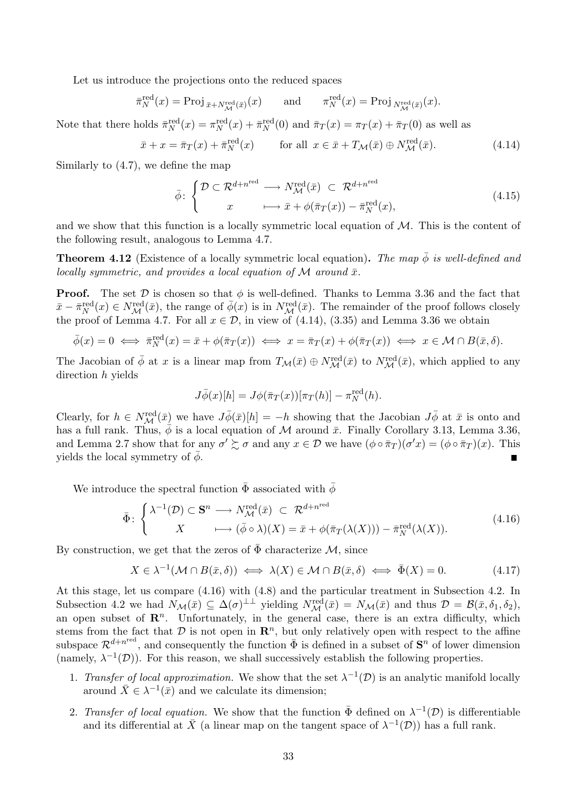Let us introduce the projections onto the reduced spaces

$$
\bar{\pi}_N^{\text{red}}(x) = \text{Proj}_{\bar{x} + N_{\mathcal{M}}^{\text{red}}(\bar{x})}(x) \quad \text{and} \quad \pi_N^{\text{red}}(x) = \text{Proj}_{N_{\mathcal{M}}^{\text{red}}(\bar{x})}(x).
$$

Note that there holds  $\bar{\pi}_N^{\text{red}}(x) = \pi_N^{\text{red}}(x) + \bar{\pi}_N^{\text{red}}(0)$  and  $\bar{\pi}_T(x) = \pi_T(x) + \bar{\pi}_T(0)$  as well as

$$
\bar{x} + x = \bar{\pi}_T(x) + \bar{\pi}_N^{\text{red}}(x) \qquad \text{for all } x \in \bar{x} + T_{\mathcal{M}}(\bar{x}) \oplus N_{\mathcal{M}}^{\text{red}}(\bar{x}). \tag{4.14}
$$

Similarly to (4.7), we define the map

$$
\bar{\phi} \colon \begin{cases} \mathcal{D} \subset \mathcal{R}^{d+n^{\text{red}}} \longrightarrow N_{\mathcal{M}}^{\text{red}}(\bar{x}) \subset \mathcal{R}^{d+n^{\text{red}}} \\ x \longmapsto \bar{x} + \phi(\bar{\pi}_T(x)) - \bar{\pi}_N^{\text{red}}(x), \end{cases} \tag{4.15}
$$

and we show that this function is a locally symmetric local equation of  $M$ . This is the content of the following result, analogous to Lemma 4.7.

**Theorem 4.12** (Existence of a locally symmetric local equation). The map  $\bar{\phi}$  is well-defined and locally symmetric, and provides a local equation of  $M$  around  $\bar{x}$ .

**Proof.** The set  $\mathcal{D}$  is chosen so that  $\phi$  is well-defined. Thanks to Lemma 3.36 and the fact that  $\bar{x}-\bar{\pi}_{N}^{\text{red}}(x)\in N_{\mathcal{M}}^{\text{red}}(\bar{x})$ , the range of  $\bar{\phi}(x)$  is in  $N_{\mathcal{M}}^{\text{red}}(\bar{x})$ . The remainder of the proof follows closely the proof of Lemma 4.7. For all  $x \in \mathcal{D}$ , in view of (4.14), (3.35) and Lemma 3.36 we obtain

$$
\bar{\phi}(x) = 0 \iff \bar{\pi}_N^{\text{red}}(x) = \bar{x} + \phi(\bar{\pi}_T(x)) \iff x = \bar{\pi}_T(x) + \phi(\bar{\pi}_T(x)) \iff x \in \mathcal{M} \cap B(\bar{x}, \delta).
$$

The Jacobian of  $\bar{\phi}$  at x is a linear map from  $T_{\mathcal{M}}(\bar{x}) \oplus N_{\mathcal{M}}^{\text{red}}(\bar{x})$  to  $N_{\mathcal{M}}^{\text{red}}(\bar{x})$ , which applied to any direction *h* yields

$$
J\overline{\phi}(x)[h] = J\phi(\overline{\pi}_T(x))[\pi_T(h)] - \pi_N^{\text{red}}(h).
$$

Clearly, for  $h \in N^{\text{red}}_{\mathcal{M}}(\bar{x})$  we have  $J\bar{\phi}(\bar{x})[h] = -h$  showing that the Jacobian  $J\bar{\phi}$  at  $\bar{x}$  is onto and has a full rank. Thus,  $\bar{\phi}$  is a local equation of M around  $\bar{x}$ . Finally Corollary 3.13, Lemma 3.36, and Lemma 2.7 show that for any  $\sigma' \succsim \sigma$  and any  $x \in \mathcal{D}$  we have  $(\phi \circ \bar{\pi}_T)(\sigma' x) = (\phi \circ \bar{\pi}_T)(x)$ . This yields the local symmetry of  $\bar{\phi}$ .

We introduce the spectral function  $\bar{\Phi}$  associated with  $\bar{\phi}$ 

$$
\bar{\Phi} \colon \begin{cases} \lambda^{-1}(\mathcal{D}) \subset \mathbf{S}^n \longrightarrow N_{\mathcal{M}}^{\text{red}}(\bar{x}) \subset \mathcal{R}^{d+n^{\text{red}}} \\ X \longmapsto (\bar{\phi} \circ \lambda)(X) = \bar{x} + \phi(\bar{\pi}_T(\lambda(X))) - \bar{\pi}_N^{\text{red}}(\lambda(X)). \end{cases} (4.16)
$$

By construction, we get that the zeros of  $\bar{\Phi}$  characterize M, since

$$
X \in \lambda^{-1}(\mathcal{M} \cap B(\bar{x}, \delta)) \iff \lambda(X) \in \mathcal{M} \cap B(\bar{x}, \delta) \iff \bar{\Phi}(X) = 0. \tag{4.17}
$$

At this stage, let us compare (4.16) with (4.8) and the particular treatment in Subsection 4.2. In Subsection 4.2 we had  $N_{\mathcal{M}}(\bar{x}) \subseteq \Delta(\sigma)^{\perp \perp}$  yielding  $N_{\mathcal{M}}^{\text{red}}(\bar{x}) = N_{\mathcal{M}}(\bar{x})$  and thus  $\mathcal{D} = \mathcal{B}(\bar{x}, \delta_1, \delta_2)$ , an open subset of  $\mathbb{R}^n$ . Unfortunately, in the general case, there is an extra difficulty, which stems from the fact that D is not open in  $\mathbb{R}^n$ , but only relatively open with respect to the affine subspace  $\mathcal{R}^{d+n^{\text{red}}}$ , and consequently the function  $\bar{\Phi}$  is defined in a subset of  $\mathbf{S}^n$  of lower dimension (namely,  $\lambda^{-1}(\mathcal{D})$ ). For this reason, we shall successively establish the following properties.

- 1. Transfer of local approximation. We show that the set  $\lambda^{-1}(\mathcal{D})$  is an analytic manifold locally around  $\bar{X} \in \lambda^{-1}(\bar{x})$  and we calculate its dimension;
- 2. Transfer of local equation. We show that the function  $\bar{\Phi}$  defined on  $\lambda^{-1}(\mathcal{D})$  is differentiable and its differential at  $\bar{X}$  (a linear map on the tangent space of  $\lambda^{-1}(\mathcal{D})$ ) has a full rank.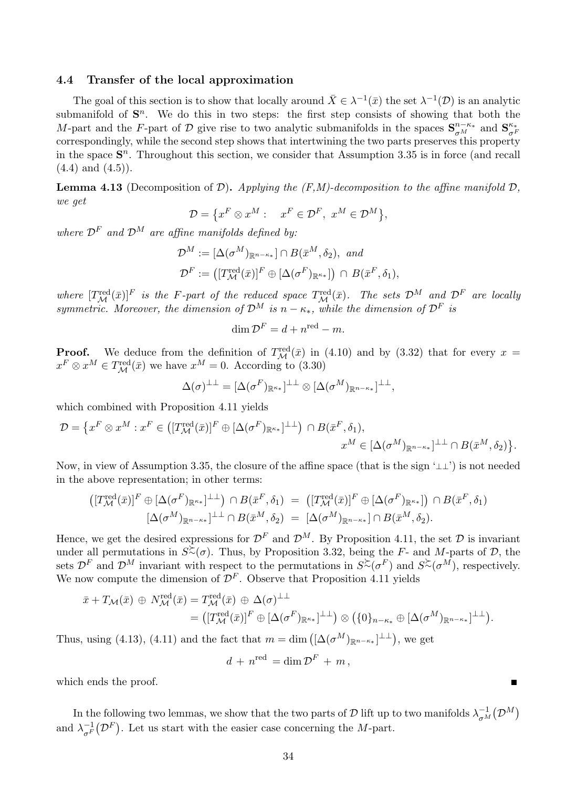#### 4.4 Transfer of the local approximation

The goal of this section is to show that locally around  $\bar{X} \in \lambda^{-1}(\bar{x})$  the set  $\lambda^{-1}(\mathcal{D})$  is an analytic submanifold of  $S<sup>n</sup>$ . We do this in two steps: the first step consists of showing that both the M-part and the F-part of D give rise to two analytic submanifolds in the spaces  $S_{\sigma^{M}}^{n-\kappa_*}$  and  $S_{\sigma^{N}}^{\kappa_*}$  $\sigma^F$ correspondingly, while the second step shows that intertwining the two parts preserves this property in the space  $S<sup>n</sup>$ . Throughout this section, we consider that Assumption 3.35 is in force (and recall  $(4.4)$  and  $(4.5)$ ).

**Lemma 4.13** (Decomposition of D). Applying the  $(F,M)$ -decomposition to the affine manifold D, we get

$$
\mathcal{D} = \left\{ x^F \otimes x^M : \quad x^F \in \mathcal{D}^F, \ x^M \in \mathcal{D}^M \right\},
$$

where  $\mathcal{D}^F$  and  $\mathcal{D}^M$  are affine manifolds defined by:

$$
\mathcal{D}^M := [\Delta(\sigma^M)_{\mathbb{R}^{n-\kappa_*}}] \cap B(\bar{x}^M, \delta_2), \text{ and}
$$
  

$$
\mathcal{D}^F := ([T_\mathcal{M}^{\text{red}}(\bar{x})]^F \oplus [\Delta(\sigma^F)_{\mathbb{R}^{\kappa_*}}]) \cap B(\bar{x}^F, \delta_1),
$$

where  $[T^{\text{red}}_{\mathcal{M}}(\bar{x})]^F$  is the F-part of the reduced space  $T^{\text{red}}_{\mathcal{M}}(\bar{x})$ . The sets  $\mathcal{D}^M$  and  $\mathcal{D}^F$  are locally symmetric. Moreover, the dimension of  $\mathcal{D}^M$  is  $n - \kappa_*$ , while the dimension of  $\mathcal{D}^F$  is

$$
\dim \mathcal{D}^F = d + n^{\text{red}} - m.
$$

**Proof.** We deduce from the definition of  $T_{\mathcal{M}}^{\text{red}}(\bar{x})$  in (4.10) and by (3.32) that for every  $x =$  $x^F \otimes x^M \in T^{\text{red}}_{\mathcal{M}}(\bar{x})$  we have  $x^M = 0$ . According to (3.30)

$$
\Delta(\sigma)^{\perp\perp} = [\Delta(\sigma^F)_{\mathbb{R}^{\kappa_*}}]^{\perp\perp} \otimes [\Delta(\sigma^M)_{\mathbb{R}^{n-\kappa_*}}]^{\perp\perp},
$$

which combined with Proposition 4.11 yields

$$
\mathcal{D} = \left\{ x^F \otimes x^M : x^F \in \left( [T_{\mathcal{M}}^{\text{red}}(\bar{x})]^F \oplus [\Delta(\sigma^F)_{\mathbb{R}^{\kappa_*}}]^{ \perp \perp} \right) \cap B(\bar{x}^F, \delta_1), \right\}
$$

$$
x^M \in [\Delta(\sigma^M)_{\mathbb{R}^{n-\kappa_*}}]^{ \perp \perp} \cap B(\bar{x}^M, \delta_2) \right\}.
$$

Now, in view of Assumption 3.35, the closure of the affine space (that is the sign ' $\perp\perp$ ') is not needed in the above representation; in other terms:

$$
([T_{\mathcal{M}}^{\text{red}}(\bar{x})]^{F} \oplus [\Delta(\sigma^{F})_{\mathbb{R}^{\kappa*}}]^{\perp\perp}) \cap B(\bar{x}^{F}, \delta_{1}) = ([T_{\mathcal{M}}^{\text{red}}(\bar{x})]^{F} \oplus [\Delta(\sigma^{F})_{\mathbb{R}^{\kappa*}}]) \cap B(\bar{x}^{F}, \delta_{1})
$$

$$
[\Delta(\sigma^{M})_{\mathbb{R}^{n-\kappa*}}]^{\perp\perp} \cap B(\bar{x}^{M}, \delta_{2}) = [\Delta(\sigma^{M})_{\mathbb{R}^{n-\kappa*}}] \cap B(\bar{x}^{M}, \delta_{2}).
$$

Hence, we get the desired expressions for  $\mathcal{D}^F$  and  $\mathcal{D}^M$ . By Proposition 4.11, the set  $\mathcal D$  is invariant under all permutations in  $S\tilde{\sim}(\sigma)$ . Thus, by Proposition 3.32, being the F- and M-parts of D, the sets  $\mathcal{D}^F$  and  $\mathcal{D}^M$  invariant with respect to the permutations in  $S^{\sim}(\sigma^F)$  and  $S^{\sim}(\sigma^M)$ , respectively. We now compute the dimension of  $\mathcal{D}^F$ . Observe that Proposition 4.11 yields

$$
\bar{x} + T_{\mathcal{M}}(\bar{x}) \oplus N_{\mathcal{M}}^{\text{red}}(\bar{x}) = T_{\mathcal{M}}^{\text{red}}(\bar{x}) \oplus \Delta(\sigma)^{\perp \perp} \n= ([T_{\mathcal{M}}^{\text{red}}(\bar{x})]^{F} \oplus [\Delta(\sigma^{F})_{\mathbb{R}^{\kappa_{*}}}]^{\perp \perp}) \otimes (\{0\}_{n-\kappa_{*}} \oplus [\Delta(\sigma^{M})_{\mathbb{R}^{n-\kappa_{*}}}^{\perp \perp}) .
$$

Thus, using (4.13), (4.11) and the fact that  $m = \dim \left( [\Delta(\sigma^M)_{\mathbb{R}^{n-\kappa_*}}]^{\perp \perp} \right)$ , we get

$$
d + n^{\text{red}} = \dim \mathcal{D}^F + m,
$$

which ends the proof.

In the following two lemmas, we show that the two parts of D lift up to two manifolds  $\lambda_{\sigma}^{-1}$  $\frac{-1}{\sigma^{M}}\big(\mathcal{D}^{M}\big)$ and  $\lambda_{\sigma}^{-1}$  $\sigma_{\sigma}^{-1}(\mathcal{D}^F)$ . Let us start with the easier case concerning the M-part.

Г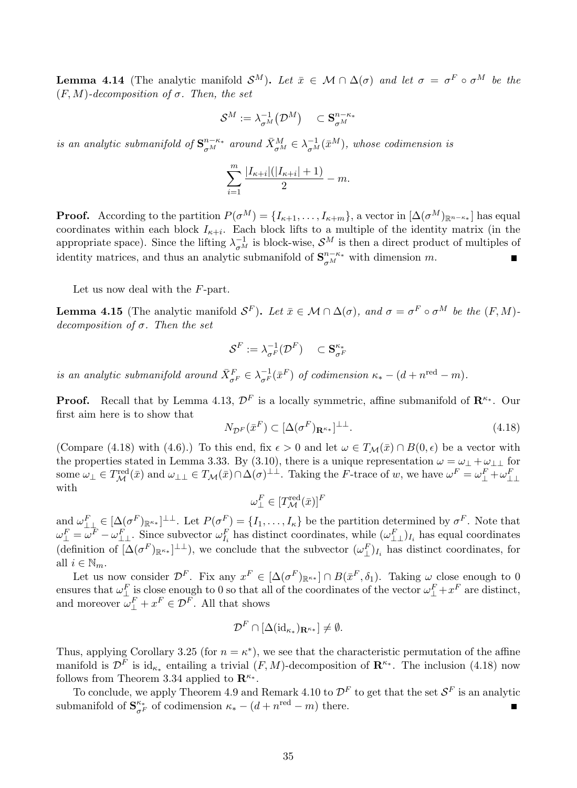**Lemma 4.14** (The analytic manifold  $\mathcal{S}^M$ ). Let  $\bar{x} \in \mathcal{M} \cap \Delta(\sigma)$  and let  $\sigma = \sigma^F \circ \sigma^M$  be the  $(F, M)$ -decomposition of  $\sigma$ . Then, the set

$$
\mathcal{S}^M:=\lambda_{\sigma^M}^{-1}\big(\mathcal{D}^M\big)\quad \subset \mathbf{S}_{\sigma^M}^{n-\kappa_*}
$$

is an analytic submanifold of  $S^{n-k*}_{\sigma^M}$  around  $\bar{X}^M_{\sigma^M} \in \lambda_{\sigma^M}^{-1}(\bar{x}^M)$ , whose codimension is

$$
\sum_{i=1}^{m} \frac{|I_{\kappa+i}|(|I_{\kappa+i}|+1)}{2} - m.
$$

**Proof.** According to the partition  $P(\sigma^M) = \{I_{\kappa+1}, \ldots, I_{\kappa+m}\}\$ , a vector in  $[\Delta(\sigma^M)_{\mathbb{R}^{n-\kappa_*}}]$  has equal coordinates within each block  $I_{\kappa+i}$ . Each block lifts to a multiple of the identity matrix (in the appropriate space). Since the lifting  $\lambda_{\sigma}^{-1}$  is block-wise,  $\mathcal{S}^M$  is then a direct product of multiples of identity matrices, and thus an analytic submanifold of  $S_{\sigma^{M}}^{n-\kappa*}$  with dimension m.

Let us now deal with the F-part.

**Lemma 4.15** (The analytic manifold  $\mathcal{S}^F$ ). Let  $\bar{x} \in \mathcal{M} \cap \Delta(\sigma)$ , and  $\sigma = \sigma^F \circ \sigma^M$  be the  $(F, M)$ decomposition of  $\sigma$ . Then the set

$$
\mathcal{S}^F:=\lambda^{-1}_{\sigma^F}(\mathcal{D}^F)\quad \subset \mathbf{S}^{\kappa_*}_{\sigma^F}
$$

is an analytic submanifold around  $\bar{X}_{\sigma^F}^F \in \lambda_{\sigma^F}^{-1}(\bar{x}^F)$  of codimension  $\kappa_* - (d + n^{\text{red}} - m)$ .

**Proof.** Recall that by Lemma 4.13,  $\mathcal{D}^F$  is a locally symmetric, affine submanifold of  $\mathbb{R}^{\kappa_*}$ . Our first aim here is to show that

$$
N_{\mathcal{D}^F}(\bar{x}^F) \subset [\Delta(\sigma^F)_{\mathbf{R}^{\kappa_*}}]^{\perp \perp}.
$$
\n(4.18)

(Compare (4.18) with (4.6).) To this end, fix  $\epsilon > 0$  and let  $\omega \in T_{\mathcal{M}}(\bar{x}) \cap B(0, \epsilon)$  be a vector with the properties stated in Lemma 3.33. By (3.10), there is a unique representation  $\omega = \omega_{\perp} + \omega_{\perp\perp}$  for some  $\omega_{\perp} \in T^{\text{red}}_{\mathcal{M}}(\bar{x})$  and  $\omega_{\perp\perp} \in T_{\mathcal{M}}(\bar{x}) \cap \Delta(\sigma)^{\perp\perp}$ . Taking the F-trace of w, we have  $\omega^F = \omega_{\perp}^F + \omega_{\perp\perp}^F$ with

$$
\omega_{\perp}^{F} \in [T^{\text{red}}_{\mathcal{M}}(\bar{x})]^{F}
$$

and  $\omega_{\perp\perp}^F \in [\Delta(\sigma^F)_{\mathbb{R}^{\kappa_*}}]^{\perp\perp}$ . Let  $P(\sigma^F) = \{I_1, \ldots, I_\kappa\}$  be the partition determined by  $\sigma^F$ . Note that  $\omega_{\perp}^F = \omega_{\perp\perp}^F$ . Since subvector  $\omega_{I_i}^F$  has distinct coordinates, while  $(\omega_{\perp\perp}^F)_{I_i}$  has equal coordinates (definition of  $[\Delta(\sigma^F)_{\mathbb{R}^{\kappa_*}}]^{\perp \perp}$ ), we conclude that the subvector  $(\omega^F_{\perp})_{I_i}$  has distinct coordinates, for all  $i \in \mathbb{N}_m$ .

Let us now consider  $\mathcal{D}^F$ . Fix any  $x^F \in [\Delta(\sigma^F)_{\mathbb{R}^{K*}}] \cap B(\bar{x}^F, \delta_1)$ . Taking  $\omega$  close enough to 0 ensures that  $\omega_{\perp}^F$  is close enough to 0 so that all of the coordinates of the vector  $\omega_{\perp}^F + x^F$  are distinct, and moreover  $\omega_{\perp}^F + x^F \in \mathcal{D}^F$ . All that shows

$$
\mathcal{D}^F \cap [\Delta({\rm id}_{\kappa_*})_{\mathbf{R}^{\kappa_*}}] \neq \emptyset.
$$

Thus, applying Corollary 3.25 (for  $n = \kappa^*$ ), we see that the characteristic permutation of the affine manifold is  $\mathcal{D}^F$  is  $id_{\kappa_*}$  entailing a trivial  $(F, M)$ -decomposition of  $\mathbb{R}^{\kappa_*}$ . The inclusion (4.18) now follows from Theorem 3.34 applied to  $\mathbf{R}^{\kappa_*}$ .

To conclude, we apply Theorem 4.9 and Remark 4.10 to  $\mathcal{D}^F$  to get that the set  $\mathcal{S}^F$  is an analytic submanifold of  $\mathbf{S}_{\sigma^F}^{\kappa_*}$  of codimension  $\kappa_* - (d + n^{\text{red}} - m)$  there.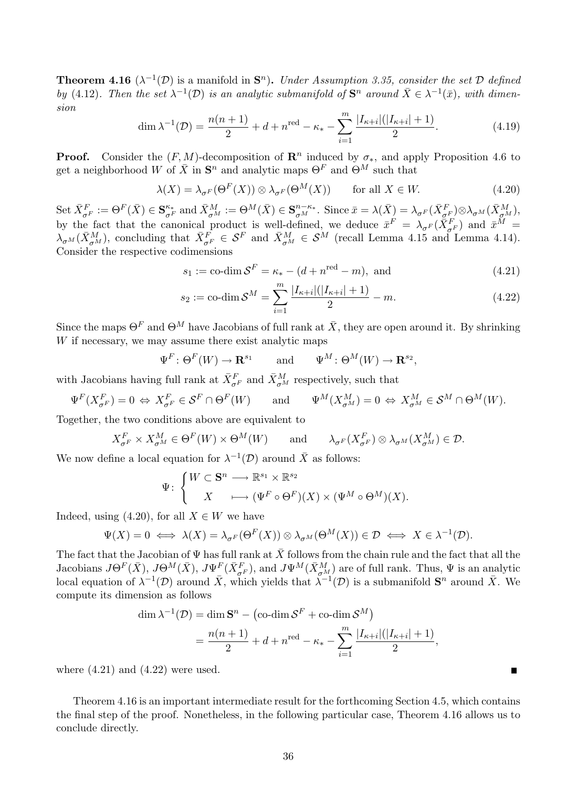**Theorem 4.16** ( $\lambda^{-1}(\mathcal{D})$  is a manifold in  $\mathbf{S}^n$ ). Under Assumption 3.35, consider the set  $\mathcal D$  defined by (4.12). Then the set  $\lambda^{-1}(\mathcal{D})$  is an analytic submanifold of  $S^n$  around  $\bar{X} \in \lambda^{-1}(\bar{x})$ , with dimension

$$
\dim \lambda^{-1}(\mathcal{D}) = \frac{n(n+1)}{2} + d + n^{\text{red}} - \kappa_* - \sum_{i=1}^{m} \frac{|I_{\kappa+i}|(|I_{\kappa+i}|+1)}{2}.
$$
 (4.19)

**Proof.** Consider the  $(F, M)$ -decomposition of  $\mathbb{R}^n$  induced by  $\sigma_*$ , and apply Proposition 4.6 to get a neighborhood W of  $\bar{X}$  in  $S<sup>n</sup>$  and analytic maps  $\Theta<sup>F</sup>$  and  $\Theta<sup>M</sup>$  such that

$$
\lambda(X) = \lambda_{\sigma^F}(\Theta^F(X)) \otimes \lambda_{\sigma^F}(\Theta^M(X)) \qquad \text{for all } X \in W. \tag{4.20}
$$

 $\operatorname{Set}\bar{X}_{\sigma^F}^F := \Theta^F(\bar{X}) \in \mathbf{S}_{\sigma^F}^{\kappa_*} \text{ and } \bar{X}_{\sigma^M}^M := \Theta^M(\bar{X}) \in \mathbf{S}_{\sigma^M}^{n-\kappa_*}. \text{ Since } \bar{x} = \lambda(\bar{X}) = \lambda_{\sigma^F}(\bar{X}_{\sigma^F}^F) \otimes \lambda_{\sigma^M}(\bar{X}_{\sigma^M}^M),$ by the fact that the canonical product is well-defined, we deduce  $\bar{x}^F = \lambda_{\sigma^F}(\bar{X}_{\sigma^F}^F)$  and  $\bar{x}^{\tilde{M}} =$  $\lambda_{\sigma^M}(\bar{X}_{\sigma^M}^M)$ , concluding that  $\bar{X}_{\sigma^F}^F \in \mathcal{S}^F$  and  $\bar{X}_{\sigma^M}^M \in \mathcal{S}^M$  (recall Lemma 4.15 and Lemma 4.14). Consider the respective codimensions

$$
s_1 := \operatorname{co-dim} \mathcal{S}^F = \kappa_* - (d + n^{\text{red}} - m), \text{ and}
$$
\n
$$
(4.21)
$$

$$
s_2 := \text{co-dim}\,\mathcal{S}^M = \sum_{i=1}^m \frac{|I_{\kappa+i}|(|I_{\kappa+i}|+1)}{2} - m. \tag{4.22}
$$

Since the maps  $\Theta^F$  and  $\Theta^M$  have Jacobians of full rank at  $\bar{X}$ , they are open around it. By shrinking  $W$  if necessary, we may assume there exist analytic maps

$$
\Psi^F \colon \Theta^F(W) \to \mathbf{R}^{s_1}
$$
 and  $\Psi^M \colon \Theta^M(W) \to \mathbf{R}^{s_2}$ ,

with Jacobians having full rank at  $\bar{X}^F_{\sigma^F}$  and  $\bar{X}^M_{\sigma^M}$  respectively, such that

$$
\Psi^F(X_{\sigma^F}^F) = 0 \Leftrightarrow X_{\sigma^F}^F \in \mathcal{S}^F \cap \Theta^F(W) \qquad \text{and} \qquad \Psi^M(X_{\sigma^M}^M) = 0 \Leftrightarrow X_{\sigma^M}^M \in \mathcal{S}^M \cap \Theta^M(W).
$$

Together, the two conditions above are equivalent to

$$
X_{\sigma^F}^F \times X_{\sigma^M}^M \in \Theta^F(W) \times \Theta^M(W) \quad \text{and} \quad \lambda_{\sigma^F}(X_{\sigma^F}^F) \otimes \lambda_{\sigma^M}(X_{\sigma^M}^M) \in \mathcal{D}.
$$

We now define a local equation for  $\lambda^{-1}(\mathcal{D})$  around  $\bar{X}$  as follows:

$$
\Psi \colon \begin{cases} W \subset \mathbf{S}^n \longrightarrow \mathbb{R}^{s_1} \times \mathbb{R}^{s_2} \\ X \longrightarrow (\Psi^F \circ \Theta^F)(X) \times (\Psi^M \circ \Theta^M)(X). \end{cases}
$$

Indeed, using (4.20), for all  $X \in W$  we have

$$
\Psi(X) = 0 \iff \lambda(X) = \lambda_{\sigma^F}(\Theta^F(X)) \otimes \lambda_{\sigma^M}(\Theta^M(X)) \in \mathcal{D} \iff X \in \lambda^{-1}(\mathcal{D}).
$$

The fact that the Jacobian of  $\Psi$  has full rank at  $\bar{X}$  follows from the chain rule and the fact that all the Jacobians  $J\Theta^F(\bar{X}), J\Theta^M(\bar{X}), J\Psi^F(\bar{X}^F_{\sigma^F})$ , and  $J\Psi^M(\bar{X}^M_{\sigma^M})$  are of full rank. Thus,  $\Psi$  is an analytic local equation of  $\lambda^{-1}(D)$  around  $\bar{X}$ , which yields that  $\lambda^{-1}(D)$  is a submanifold  $S<sup>n</sup>$  around  $\bar{X}$ . We compute its dimension as follows

$$
\dim \lambda^{-1}(\mathcal{D}) = \dim \mathbf{S}^n - (\text{co-dim }\mathcal{S}^F + \text{co-dim }\mathcal{S}^M)
$$
  
=  $\frac{n(n+1)}{2} + d + n^{\text{red}} - \kappa_* - \sum_{i=1}^m \frac{|I_{\kappa+i}|(|I_{\kappa+i}|+1)}{2},$ 

 $\blacksquare$ 

where  $(4.21)$  and  $(4.22)$  were used.

Theorem 4.16 is an important intermediate result for the forthcoming Section 4.5, which contains the final step of the proof. Nonetheless, in the following particular case, Theorem 4.16 allows us to conclude directly.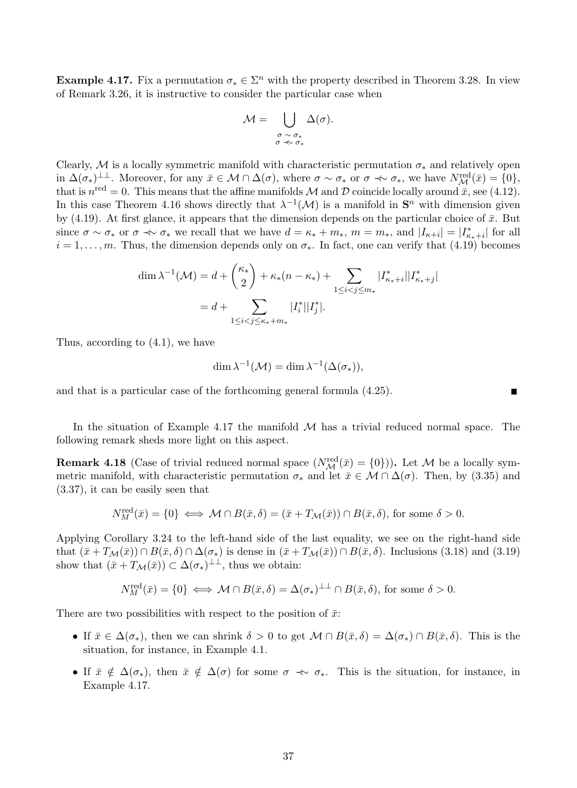**Example 4.17.** Fix a permutation  $\sigma_* \in \Sigma^n$  with the property described in Theorem 3.28. In view of Remark 3.26, it is instructive to consider the particular case when

$$
\mathcal{M} = \bigcup_{\substack{\sigma \sim \sigma_* \\ \sigma \prec \sim \sigma_*}} \Delta(\sigma).
$$

Clearly, M is a locally symmetric manifold with characteristic permutation  $\sigma_*$  and relatively open in  $\Delta(\sigma_*)^{\perp\perp}$ . Moreover, for any  $\bar{x} \in \mathcal{M} \cap \Delta(\sigma)$ , where  $\sigma \sim \sigma_*$  or  $\sigma \prec \sigma_*$ , we have  $N^{\text{red}}_{\mathcal{M}}(\bar{x}) = \{0\},\$ that is  $n^{\text{red}} = 0$ . This means that the affine manifolds M and D coincide locally around  $\bar{x}$ , see (4.12). In this case Theorem 4.16 shows directly that  $\lambda^{-1}(\mathcal{M})$  is a manifold in  $S<sup>n</sup>$  with dimension given by (4.19). At first glance, it appears that the dimension depends on the particular choice of  $\bar{x}$ . But since  $\sigma \sim \sigma_*$  or  $\sigma \nightharpoonup \sigma_*$  we recall that we have  $d = \kappa_* + m_*, m = m_*$ , and  $|I_{\kappa+i}| = |I^*_{\kappa_*+i}|$  for all  $i = 1, \ldots, m$ . Thus, the dimension depends only on  $\sigma_*$ . In fact, one can verify that (4.19) becomes

$$
\dim \lambda^{-1}(\mathcal{M}) = d + \binom{\kappa_*}{2} + \kappa_*(n - \kappa_*) + \sum_{1 \le i < j \le m_*} |I^*_{\kappa_*+i}| |I^*_{\kappa_*+j}|
$$
\n
$$
= d + \sum_{1 \le i < j \le \kappa_* + m_*} |I^*_i| |I^*_j|.
$$

Thus, according to (4.1), we have

$$
\dim \lambda^{-1}(\mathcal{M}) = \dim \lambda^{-1}(\Delta(\sigma_*)),
$$

and that is a particular case of the forthcoming general formula (4.25).

In the situation of Example 4.17 the manifold  $\mathcal M$  has a trivial reduced normal space. The following remark sheds more light on this aspect.

**Remark 4.18** (Case of trivial reduced normal space  $(N_{\mathcal{M}}^{\text{red}}(\bar{x}) = \{0\})$ ). Let M be a locally symmetric manifold, with characteristic permutation  $\sigma_*$  and let  $\bar{x} \in \mathcal{M} \cap \Delta(\sigma)$ . Then, by (3.35) and (3.37), it can be easily seen that

$$
N_M^{\text{red}}(\bar{x}) = \{0\} \iff \mathcal{M} \cap B(\bar{x}, \delta) = (\bar{x} + T_{\mathcal{M}}(\bar{x})) \cap B(\bar{x}, \delta), \text{ for some } \delta > 0.
$$

Applying Corollary 3.24 to the left-hand side of the last equality, we see on the right-hand side that  $(\bar{x} + T_{\mathcal{M}}(\bar{x})) \cap B(\bar{x}, \delta) \cap \Delta(\sigma_{*})$  is dense in  $(\bar{x} + T_{\mathcal{M}}(\bar{x})) \cap B(\bar{x}, \delta)$ . Inclusions (3.18) and (3.19) show that  $(\bar{x} + T_{\mathcal{M}}(\bar{x})) \subset \Delta(\sigma_*)^{\perp \perp}$ , thus we obtain:

$$
N_M^{\text{red}}(\bar{x}) = \{0\} \iff \mathcal{M} \cap B(\bar{x}, \delta) = \Delta(\sigma_*)^{\perp \perp} \cap B(\bar{x}, \delta), \text{ for some } \delta > 0.
$$

There are two possibilities with respect to the position of  $\bar{x}$ :

- If  $\bar{x} \in \Delta(\sigma_*)$ , then we can shrink  $\delta > 0$  to get  $\mathcal{M} \cap B(\bar{x}, \delta) = \Delta(\sigma_*) \cap B(\bar{x}, \delta)$ . This is the situation, for instance, in Example 4.1.
- If  $\bar{x} \notin \Delta(\sigma_{*})$ , then  $\bar{x} \notin \Delta(\sigma)$  for some  $\sigma \nprec \sigma_{*}$ . This is the situation, for instance, in Example 4.17.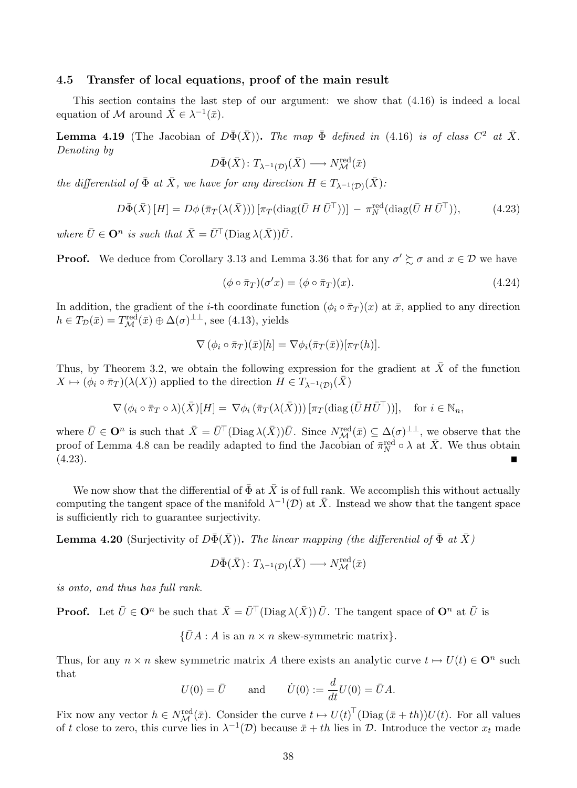#### 4.5 Transfer of local equations, proof of the main result

This section contains the last step of our argument: we show that (4.16) is indeed a local equation of M around  $\bar{X} \in \lambda^{-1}(\bar{x})$ .

**Lemma 4.19** (The Jacobian of  $D\bar{\Phi}(\bar{X})$ ). The map  $\bar{\Phi}$  defined in (4.16) is of class  $C^2$  at  $\bar{X}$ . Denoting by

$$
D\bar{\Phi}(\bar{X})\colon T_{\lambda^{-1}(\mathcal{D})}(\bar{X})\longrightarrow N_{\mathcal{M}}^{\text{red}}(\bar{x})
$$

the differential of  $\bar{\Phi}$  at  $\bar{X}$ , we have for any direction  $H \in T_{\lambda^{-1}(\mathcal{D})}(\bar{X})$ :

$$
D\bar{\Phi}(\bar{X})[H] = D\phi\left(\bar{\pi}_T(\lambda(\bar{X})))\left[\pi_T(\text{diag}(\bar{U}H\bar{U}^{\top}))\right] - \pi_N^{\text{red}}(\text{diag}(\bar{U}H\bar{U}^{\top}))\right),\tag{4.23}
$$

where  $\bar{U} \in \mathbf{O}^n$  is such that  $\bar{X} = \bar{U}^{\top}(\text{Diag }\lambda(\bar{X}))\bar{U}$ .

**Proof.** We deduce from Corollary 3.13 and Lemma 3.36 that for any  $\sigma' \succeq \sigma$  and  $x \in \mathcal{D}$  we have

$$
(\phi \circ \bar{\pi}_T)(\sigma' x) = (\phi \circ \bar{\pi}_T)(x). \tag{4.24}
$$

In addition, the gradient of the *i*-th coordinate function  $(\phi_i \circ \bar{\pi}_T)(x)$  at  $\bar{x}$ , applied to any direction  $h \in T_{\mathcal{D}}(\bar{x}) = T^{\text{red}}_{\mathcal{M}}(\bar{x}) \oplus \Delta(\sigma)^{\perp \perp}$ , see (4.13), yields

$$
\nabla (\phi_i \circ \bar{\pi}_T)(\bar{x})[h] = \nabla \phi_i(\bar{\pi}_T(\bar{x}))[\pi_T(h)].
$$

Thus, by Theorem 3.2, we obtain the following expression for the gradient at  $\bar{X}$  of the function  $X \mapsto (\phi_i \circ \bar{\pi}_T)(\lambda(X))$  applied to the direction  $H \in T_{\lambda^{-1}(\mathcal{D})}(\bar{X})$ 

$$
\nabla (\phi_i \circ \overline{\pi}_T \circ \lambda)(\overline{X})[H] = \nabla \phi_i (\overline{\pi}_T(\lambda(\overline{X}))) [\pi_T(\text{diag}(\overline{U}H\overline{U}^{\top}))], \text{ for } i \in \mathbb{N}_n,
$$

where  $\bar{U} \in \mathbf{O}^n$  is such that  $\bar{X} = \bar{U}^{\top}(\text{Diag }\lambda(\bar{X}))\bar{U}$ . Since  $N^{\text{red}}_{\mathcal{M}}(\bar{x}) \subseteq \Delta(\sigma)^{\perp \perp}$ , we observe that the proof of Lemma 4.8 can be readily adapted to find the Jacobian of  $\bar{\pi}_N^{\text{red}} \circ \lambda$  at  $\bar{X}$ . We thus obtain (4.23).

We now show that the differential of  $\bar{\Phi}$  at  $\bar{X}$  is of full rank. We accomplish this without actually computing the tangent space of the manifold  $\lambda^{-1}(\mathcal{D})$  at  $\bar{X}$ . Instead we show that the tangent space is sufficiently rich to guarantee surjectivity.

**Lemma 4.20** (Surjectivity of  $D\bar{\Phi}(\bar{X})$ ). The linear mapping (the differential of  $\bar{\Phi}$  at  $\bar{X}$ )

$$
D\bar{\Phi}(\bar{X})\colon T_{\lambda^{-1}(\mathcal{D})}(\bar{X}) \longrightarrow N_{\mathcal{M}}^{\text{red}}(\bar{x})
$$

is onto, and thus has full rank.

**Proof.** Let  $\bar{U} \in \mathbf{O}^n$  be such that  $\bar{X} = \bar{U}^{\top}(\text{Diag }\lambda(\bar{X}))\bar{U}$ . The tangent space of  $\mathbf{O}^n$  at  $\bar{U}$  is

 ${\{\bar{U}A : A \text{ is an } n \times n \text{ skew-symmetric matrix}\}}.$ 

Thus, for any  $n \times n$  skew symmetric matrix A there exists an analytic curve  $t \mapsto U(t) \in \mathbb{O}^n$  such that

$$
U(0) = \bar{U}
$$
 and  $\dot{U}(0) := \frac{d}{dt}U(0) = \bar{U}A$ .

Fix now any vector  $h \in N_{\mathcal{M}}^{\text{red}}(\bar{x})$ . Consider the curve  $t \mapsto U(t)^{\top}(\text{Diag}(\bar{x}+th))U(t)$ . For all values of t close to zero, this curve lies in  $\lambda^{-1}(\mathcal{D})$  because  $\bar{x} + th$  lies in  $\mathcal{D}$ . Introduce the vector  $x_t$  made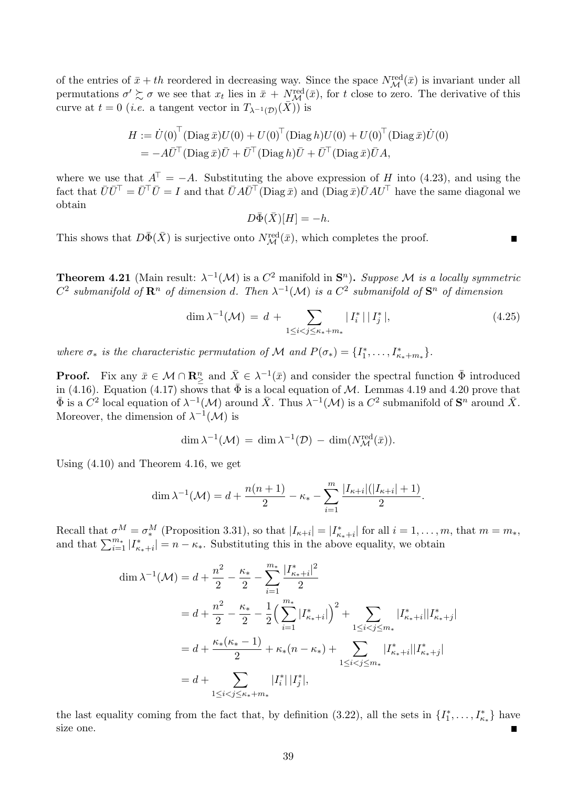of the entries of  $\bar{x} + th$  reordered in decreasing way. Since the space  $N_{\mathcal{M}}^{\text{red}}(\bar{x})$  is invariant under all permutations  $\sigma' \gtrsim \sigma$  we see that  $x_t$  lies in  $\bar{x} + N^{\text{red}}_{\mathcal{M}}(\bar{x})$ , for t close to zero. The derivative of this curve at  $t = 0$  (*i.e.* a tangent vector in  $T_{\lambda^{-1}(\mathcal{D})}(\bar{X})$ ) is

$$
H := \dot{U}(0)^{\top} (\text{Diag}\,\bar{x})U(0) + U(0)^{\top} (\text{Diag}\,h)U(0) + U(0)^{\top} (\text{Diag}\,\bar{x})\dot{U}(0)
$$
  
=  $-A\bar{U}^{\top} (\text{Diag}\,\bar{x})\bar{U} + \bar{U}^{\top} (\text{Diag}\,h)\bar{U} + \bar{U}^{\top} (\text{Diag}\,\bar{x})\bar{U}A,$ 

where we use that  $A^{\dagger} = -A$ . Substituting the above expression of H into (4.23), and using the fact that  $\bar{U}\bar{U}^{\top}=\bar{U}^{\top}\bar{U}=I$  and that  $\bar{U}A\bar{U}^{\top}(\text{Diag}\,\bar{x})$  and  $(\text{Diag}\,\bar{x})\bar{U}AU^{\top}$  have the same diagonal we obtain

$$
D\bar{\Phi}(\bar{X})[H] = -h.
$$

This shows that  $D\bar{\Phi}(\bar{X})$  is surjective onto  $N^{\text{red}}_{\mathcal{M}}(\bar{x})$ , which completes the proof.

**Theorem 4.21** (Main result:  $\lambda^{-1}(\mathcal{M})$  is a  $C^2$  manifold in  $\mathbf{S}^n$ ). Suppose M is a locally symmetric  $C^2$  submanifold of  $\mathbf{R}^n$  of dimension d. Then  $\lambda^{-1}(\mathcal{M})$  is a  $C^2$  submanifold of  $\mathbf{S}^n$  of dimension

$$
\dim \lambda^{-1}(\mathcal{M}) = d + \sum_{1 \le i < j \le \kappa_* + m_*} |I_i^*| |I_j^*|,\tag{4.25}
$$

|

where  $\sigma_*$  is the characteristic permutation of M and  $P(\sigma_*) = \{I_1^*, \ldots, I_{\kappa_* + m_*}^*\}.$ 

**Proof.** Fix any  $\bar{x} \in \mathcal{M} \cap \mathbb{R}_{\geq}^n$  and  $\bar{X} \in \lambda^{-1}(\bar{x})$  and consider the spectral function  $\bar{\Phi}$  introduced in (4.16). Equation (4.17) shows that  $\bar{\Phi}$  is a local equation of M. Lemmas 4.19 and 4.20 prove that  $\bar{\Phi}$  is a  $C^2$  local equation of  $\lambda^{-1}(\mathcal{M})$  around  $\bar{X}$ . Thus  $\lambda^{-1}(\mathcal{M})$  is a  $C^2$  submanifold of  $\mathbf{S}^n$  around  $\bar{X}$ . Moreover, the dimension of  $\lambda^{-1}(\mathcal{M})$  is

$$
\dim \lambda^{-1}(\mathcal{M}) = \dim \lambda^{-1}(\mathcal{D}) - \dim(N_{\mathcal{M}}^{\text{red}}(\bar{x})).
$$

Using (4.10) and Theorem 4.16, we get

$$
\dim \lambda^{-1}(\mathcal{M}) = d + \frac{n(n+1)}{2} - \kappa_* - \sum_{i=1}^m \frac{|I_{\kappa+i}|(|I_{\kappa+i}|+1)}{2}.
$$

Recall that  $\sigma^M = \sigma_*^M$  (Proposition 3.31), so that  $|I_{\kappa+i}| = |I_{\kappa_*+i}^*|$  for all  $i = 1, \ldots, m$ , that  $m = m_*$ , and that  $\sum_{i=1}^{m^*} |I^*_{\kappa_*+i}| = n - \kappa_*$ . Substituting this in the above equality, we obtain

$$
\dim \lambda^{-1}(\mathcal{M}) = d + \frac{n^2}{2} - \frac{\kappa_*}{2} - \sum_{i=1}^{m_*} \frac{|I^*_{\kappa_*+i}|^2}{2}
$$
  
=  $d + \frac{n^2}{2} - \frac{\kappa_*}{2} - \frac{1}{2} \Big( \sum_{i=1}^{m_*} |I^*_{\kappa_*+i}| \Big)^2 + \sum_{1 \le i < j \le m_*} |I^*_{\kappa_*+i}| |I^*_{\kappa_*+j}|$   
=  $d + \frac{\kappa_*(\kappa_*-1)}{2} + \kappa_*(n - \kappa_*) + \sum_{1 \le i < j \le m_*} |I^*_{\kappa_*+i}| |I^*_{\kappa_*+j}|$   
=  $d + \sum_{1 \le i < j \le \kappa_* + m_*} |I^*_{i}| |I^*_{j}|,$ 

the last equality coming from the fact that, by definition (3.22), all the sets in  $\{I_1^*,\ldots,I_{\kappa_*}^*\}$  have size one.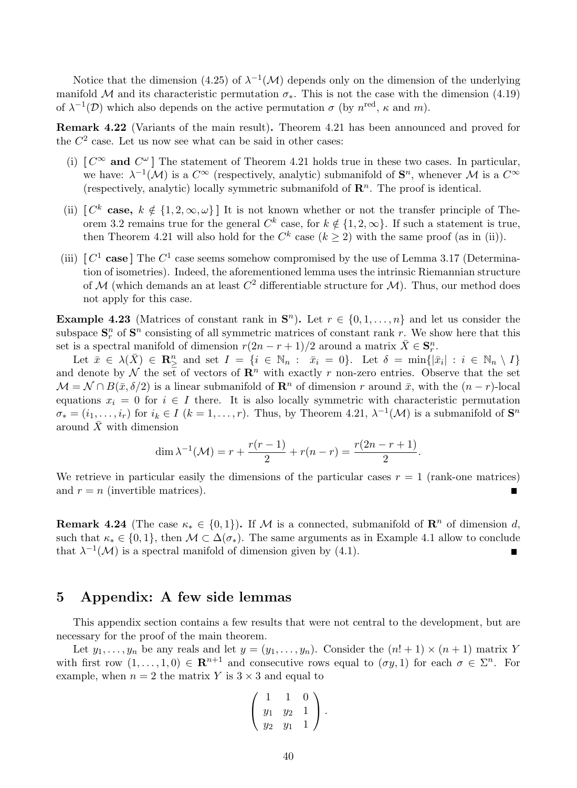Notice that the dimension (4.25) of  $\lambda^{-1}(\mathcal{M})$  depends only on the dimension of the underlying manifold M and its characteristic permutation  $\sigma_*$ . This is not the case with the dimension (4.19) of  $\lambda^{-1}(\mathcal{D})$  which also depends on the active permutation  $\sigma$  (by  $n^{\text{red}}$ ,  $\kappa$  and  $m$ ).

Remark 4.22 (Variants of the main result). Theorem 4.21 has been announced and proved for the  $C<sup>2</sup>$  case. Let us now see what can be said in other cases:

- (i)  $[C^{\infty}]$  and  $C^{\omega}$  The statement of Theorem 4.21 holds true in these two cases. In particular, we have:  $\lambda^{-1}(\mathcal{M})$  is a  $C^{\infty}$  (respectively, analytic) submanifold of  $\mathbf{S}^n$ , whenever M is a  $C^{\infty}$ (respectively, analytic) locally symmetric submanifold of  $\mathbb{R}^n$ . The proof is identical.
- (ii)  $[C^k \text{ case}, k \notin \{1, 2, \infty, \omega\}]$  It is not known whether or not the transfer principle of Theorem 3.2 remains true for the general  $C^k$  case, for  $k \notin \{1, 2, \infty\}$ . If such a statement is true, then Theorem 4.21 will also hold for the  $C^k$  case  $(k \geq 2)$  with the same proof (as in (ii)).
- (iii)  $[C^1 \text{ case}]$  The  $C^1$  case seems somehow compromised by the use of Lemma 3.17 (Determination of isometries). Indeed, the aforementioned lemma uses the intrinsic Riemannian structure of M (which demands an at least  $C^2$  differentiable structure for M). Thus, our method does not apply for this case.

**Example 4.23** (Matrices of constant rank in  $S<sup>n</sup>$ ). Let  $r \in \{0, 1, ..., n\}$  and let us consider the subspace  $\mathbf{S}_r^n$  of  $\mathbf{S}^n$  consisting of all symmetric matrices of constant rank r. We show here that this set is a spectral manifold of dimension  $r(2n - r + 1)/2$  around a matrix  $\bar{X} \in \mathbf{S}_r^n$ .

Let  $\bar{x} \in \lambda(\bar{X}) \in \mathbb{R}_{\geq}^n$  and set  $I = \{i \in \mathbb{N}_n : \tilde{x}_i = 0\}$ . Let  $\delta = \min\{|\bar{x}_i| : i \in \mathbb{N}_n \setminus I\}$ and denote by  $\mathcal N$  the set of vectors of  $\mathbb R^n$  with exactly r non-zero entries. Observe that the set  $\mathcal{M} = \mathcal{N} \cap B(\bar{x}, \delta/2)$  is a linear submanifold of  $\mathbb{R}^n$  of dimension r around  $\bar{x}$ , with the  $(n - r)$ -local equations  $x_i = 0$  for  $i \in I$  there. It is also locally symmetric with characteristic permutation  $\sigma_* = (i_1, \ldots, i_r)$  for  $i_k \in I$   $(k = 1, \ldots, r)$ . Thus, by Theorem 4.21,  $\lambda^{-1}(\mathcal{M})$  is a submanifold of  $\mathbf{S}^n$ around  $\bar{X}$  with dimension

$$
\dim \lambda^{-1}(\mathcal{M}) = r + \frac{r(r-1)}{2} + r(n-r) = \frac{r(2n-r+1)}{2}.
$$

We retrieve in particular easily the dimensions of the particular cases  $r = 1$  (rank-one matrices) and  $r = n$  (invertible matrices).

**Remark 4.24** (The case  $\kappa_* \in \{0,1\}$ ). If M is a connected, submanifold of  $\mathbb{R}^n$  of dimension d, such that  $\kappa_* \in \{0, 1\}$ , then  $\mathcal{M} \subset \Delta(\sigma_*)$ . The same arguments as in Example 4.1 allow to conclude that  $\lambda^{-1}(\mathcal{M})$  is a spectral manifold of dimension given by (4.1).

# 5 Appendix: A few side lemmas

This appendix section contains a few results that were not central to the development, but are necessary for the proof of the main theorem.

Let  $y_1, \ldots, y_n$  be any reals and let  $y = (y_1, \ldots, y_n)$ . Consider the  $(n! + 1) \times (n + 1)$  matrix Y with first row  $(1,\ldots,1,0) \in \mathbf{R}^{n+1}$  and consecutive rows equal to  $(\sigma y,1)$  for each  $\sigma \in \Sigma^n$ . For example, when  $n = 2$  the matrix Y is  $3 \times 3$  and equal to

$$
\left(\begin{array}{rrr} 1 & 1 & 0 \\ y_1 & y_2 & 1 \\ y_2 & y_1 & 1 \end{array}\right).
$$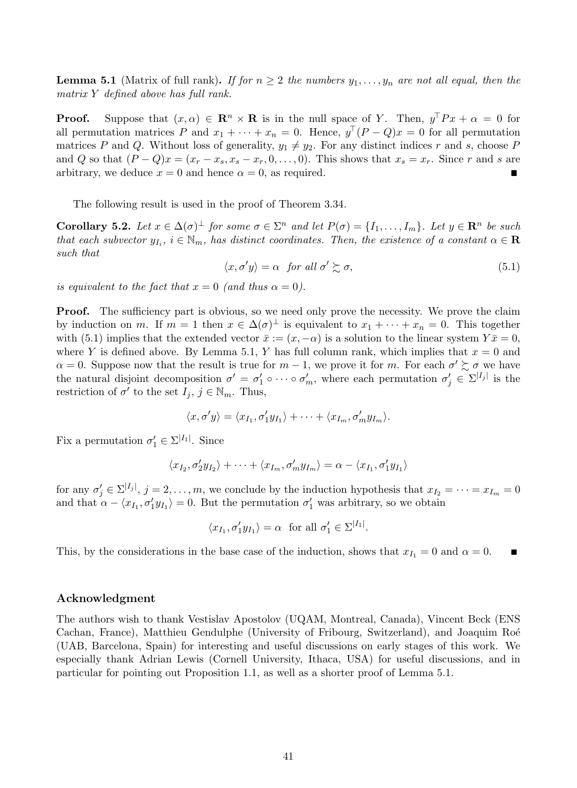**Lemma 5.1** (Matrix of full rank). If for  $n \geq 2$  the numbers  $y_1, \ldots, y_n$  are not all equal, then the matrix Y defined above has full rank.

**Proof.** Suppose that  $(x, \alpha) \in \mathbb{R}^n \times \mathbb{R}$  is in the null space of Y. Then,  $y^{\top}Px + \alpha = 0$  for all permutation matrices P and  $x_1 + \cdots + x_n = 0$ . Hence,  $y^T(P - Q)x = 0$  for all permutation matrices P and Q. Without loss of generality,  $y_1 \neq y_2$ . For any distinct indices r and s, choose P and Q so that  $(P - Q)x = (x_r - x_s, x_s - x_r, 0, \ldots, 0)$ . This shows that  $x_s = x_r$ . Since r and s are arbitrary, we deduce  $x = 0$  and hence  $\alpha = 0$ , as required.

The following result is used in the proof of Theorem 3.34.

**Corollary 5.2.** Let  $x \in \Delta(\sigma)^{\perp}$  for some  $\sigma \in \Sigma^n$  and let  $P(\sigma) = \{I_1, \ldots, I_m\}$ . Let  $y \in \mathbb{R}^n$  be such that each subvector  $y_{I_i}$ ,  $i \in \mathbb{N}_m$ , has distinct coordinates. Then, the existence of a constant  $\alpha \in \mathbb{R}$ such that

$$
\langle x, \sigma' y \rangle = \alpha \quad \text{for all } \sigma' \succsim \sigma,
$$
\n
$$
(5.1)
$$

is equivalent to the fact that  $x = 0$  (and thus  $\alpha = 0$ ).

**Proof.** The sufficiency part is obvious, so we need only prove the necessity. We prove the claim by induction on m. If  $m = 1$  then  $x \in \Delta(\sigma)^{\perp}$  is equivalent to  $x_1 + \cdots + x_n = 0$ . This together with (5.1) implies that the extended vector  $\bar{x} := (x, -\alpha)$  is a solution to the linear system  $Y\bar{x} = 0$ , where Y is defined above. By Lemma 5.1, Y has full column rank, which implies that  $x = 0$  and  $\alpha = 0$ . Suppose now that the result is true for  $m - 1$ , we prove it for m. For each  $\sigma' \gtrsim \sigma$  we have the natural disjoint decomposition  $\sigma' = \sigma'_1 \circ \cdots \circ \sigma'_m$ , where each permutation  $\sigma'_j \in \Sigma^{|I_j|}$  is the restriction of  $\sigma'$  to the set  $I_j, j \in \mathbb{N}_m$ . Thus,

$$
\langle x, \sigma' y \rangle = \langle x_{I_1}, \sigma'_1 y_{I_1} \rangle + \cdots + \langle x_{I_m}, \sigma'_m y_{I_m} \rangle.
$$

Fix a permutation  $\sigma'_1 \in \Sigma^{|I_1|}$ . Since

$$
\langle x_{I_2}, \sigma'_2y_{I_2}\rangle + \cdots + \langle x_{I_m}, \sigma'_my_{I_m}\rangle = \alpha - \langle x_{I_1}, \sigma'_1y_{I_1}\rangle
$$

for any  $\sigma'_j \in \Sigma^{|I_j|}, j = 2, \ldots, m$ , we conclude by the induction hypothesis that  $x_{I_2} = \cdots = x_{I_m} = 0$ and that  $\alpha - \langle x_{I_1}, \sigma'_1 y_{I_1} \rangle = 0$ . But the permutation  $\sigma'_1$  was arbitrary, so we obtain

$$
\langle x_{I_1}, \sigma'_1 y_{I_1} \rangle = \alpha
$$
 for all  $\sigma'_1 \in \Sigma^{|I_1|}$ .

This, by the considerations in the base case of the induction, shows that  $x_{I_1} = 0$  and  $\alpha = 0$ .

#### Acknowledgment

The authors wish to thank Vestislav Apostolov (UQAM, Montreal, Canada), Vincent Beck (ENS Cachan, France), Matthieu Gendulphe (University of Fribourg, Switzerland), and Joaquim Roé (UAB, Barcelona, Spain) for interesting and useful discussions on early stages of this work. We especially thank Adrian Lewis (Cornell University, Ithaca, USA) for useful discussions, and in particular for pointing out Proposition 1.1, as well as a shorter proof of Lemma 5.1.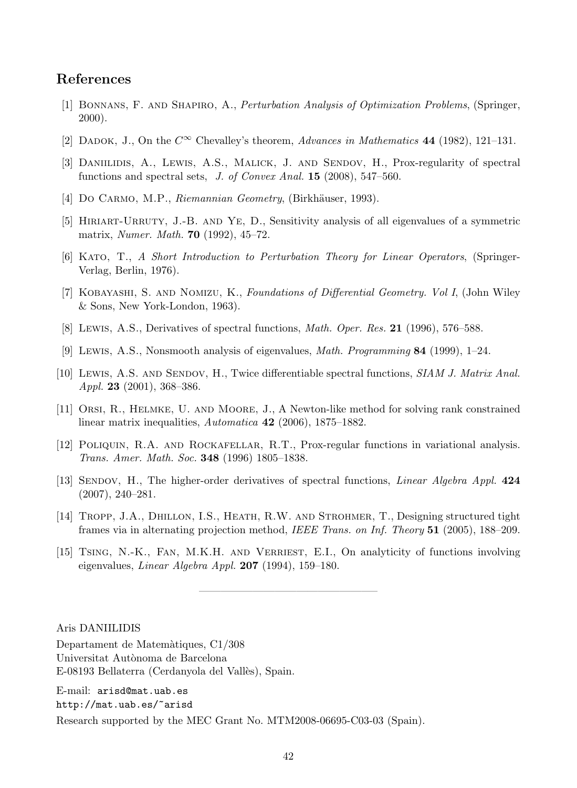# References

- [1] Bonnans, F. and Shapiro, A., Perturbation Analysis of Optimization Problems, (Springer, 2000).
- [2] DADOK, J., On the  $C^{\infty}$  Chevalley's theorem, Advances in Mathematics 44 (1982), 121–131.
- [3] DANIILIDIS, A., LEWIS, A.S., MALICK, J. AND SENDOV, H., Prox-regularity of spectral functions and spectral sets, J. of Convex Anal. 15 (2008), 547–560.
- [4] Do CARMO, M.P., Riemannian Geometry, (Birkhäuser, 1993).
- [5] Hiriart-Urruty, J.-B. and Ye, D., Sensitivity analysis of all eigenvalues of a symmetric matrix, Numer. Math. 70 (1992), 45–72.
- [6] Kato, T., A Short Introduction to Perturbation Theory for Linear Operators, (Springer-Verlag, Berlin, 1976).
- [7] Kobayashi, S. and Nomizu, K., Foundations of Differential Geometry. Vol I, (John Wiley & Sons, New York-London, 1963).
- [8] Lewis, A.S., Derivatives of spectral functions, Math. Oper. Res. 21 (1996), 576–588.
- [9] Lewis, A.S., Nonsmooth analysis of eigenvalues, Math. Programming 84 (1999), 1–24.
- [10] LEWIS, A.S. AND SENDOV, H., Twice differentiable spectral functions, SIAM J. Matrix Anal. Appl. 23 (2001), 368–386.
- [11] Orsi, R., Helmke, U. and Moore, J., A Newton-like method for solving rank constrained linear matrix inequalities, Automatica 42 (2006), 1875–1882.
- [12] Poliquin, R.A. and Rockafellar, R.T., Prox-regular functions in variational analysis. Trans. Amer. Math. Soc. 348 (1996) 1805–1838.
- [13] SENDOV, H., The higher-order derivatives of spectral functions, *Linear Algebra Appl.* 424 (2007), 240–281.
- [14] Tropp, J.A., Dhillon, I.S., Heath, R.W. and Strohmer, T., Designing structured tight frames via in alternating projection method, IEEE Trans. on Inf. Theory 51 (2005), 188–209.
- [15] Tsing, N.-K., Fan, M.K.H. and Verriest, E.I., On analyticity of functions involving eigenvalues, Linear Algebra Appl. 207 (1994), 159–180.

————————————————–

Aris DANIILIDIS

Departament de Matemàtiques, C1/308 Universitat Autònoma de Barcelona E-08193 Bellaterra (Cerdanyola del Vallès), Spain.

E-mail: arisd@mat.uab.es http://mat.uab.es/~arisd

Research supported by the MEC Grant No. MTM2008-06695-C03-03 (Spain).